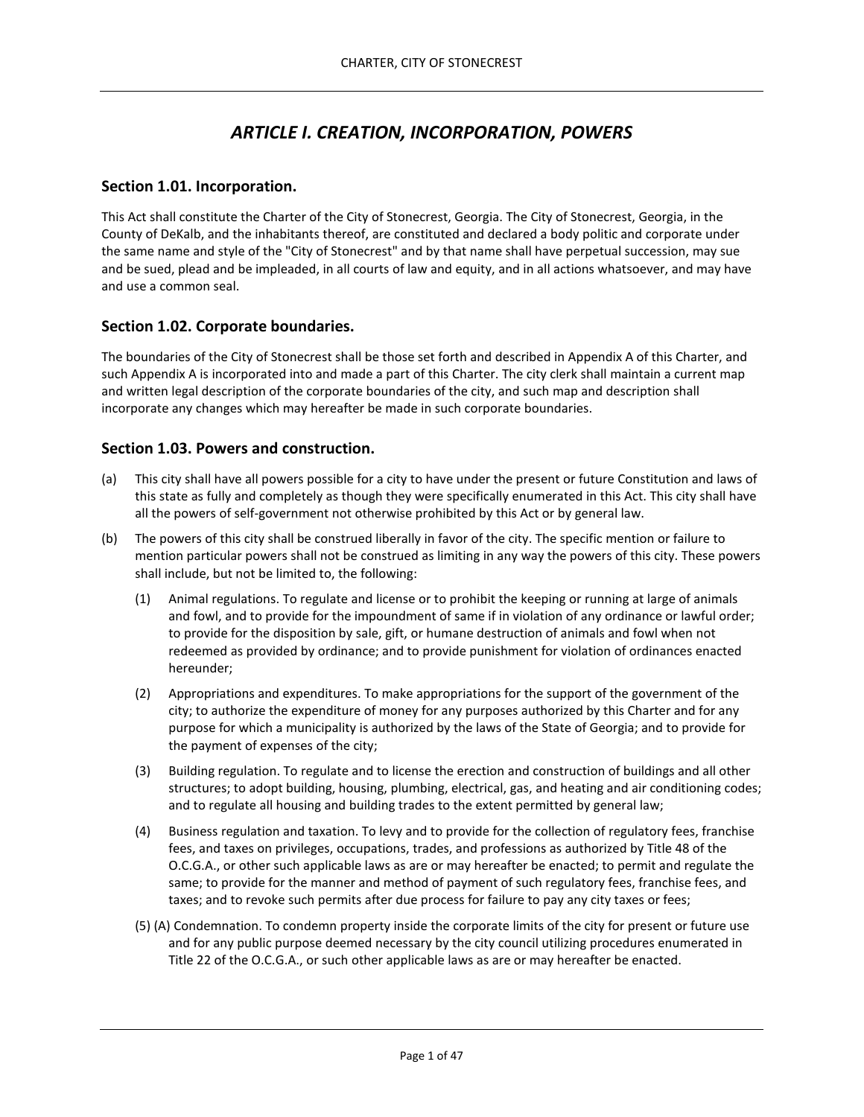# *ARTICLE I. CREATION, INCORPORATION, POWERS*

#### **Section 1.01. Incorporation.**

This Act shall constitute the Charter of the City of Stonecrest, Georgia. The City of Stonecrest, Georgia, in the County of DeKalb, and the inhabitants thereof, are constituted and declared a body politic and corporate under the same name and style of the "City of Stonecrest" and by that name shall have perpetual succession, may sue and be sued, plead and be impleaded, in all courts of law and equity, and in all actions whatsoever, and may have and use a common seal.

## **Section 1.02. Corporate boundaries.**

The boundaries of the City of Stonecrest shall be those set forth and described in Appendix A of this Charter, and such Appendix A is incorporated into and made a part of this Charter. The city clerk shall maintain a current map and written legal description of the corporate boundaries of the city, and such map and description shall incorporate any changes which may hereafter be made in such corporate boundaries.

#### **Section 1.03. Powers and construction.**

- (a) This city shall have all powers possible for a city to have under the present or future Constitution and laws of this state as fully and completely as though they were specifically enumerated in this Act. This city shall have all the powers of self-government not otherwise prohibited by this Act or by general law.
- (b) The powers of this city shall be construed liberally in favor of the city. The specific mention or failure to mention particular powers shall not be construed as limiting in any way the powers of this city. These powers shall include, but not be limited to, the following:
	- (1) Animal regulations. To regulate and license or to prohibit the keeping or running at large of animals and fowl, and to provide for the impoundment of same if in violation of any ordinance or lawful order; to provide for the disposition by sale, gift, or humane destruction of animals and fowl when not redeemed as provided by ordinance; and to provide punishment for violation of ordinances enacted hereunder;
	- (2) Appropriations and expenditures. To make appropriations for the support of the government of the city; to authorize the expenditure of money for any purposes authorized by this Charter and for any purpose for which a municipality is authorized by the laws of the State of Georgia; and to provide for the payment of expenses of the city;
	- (3) Building regulation. To regulate and to license the erection and construction of buildings and all other structures; to adopt building, housing, plumbing, electrical, gas, and heating and air conditioning codes; and to regulate all housing and building trades to the extent permitted by general law;
	- (4) Business regulation and taxation. To levy and to provide for the collection of regulatory fees, franchise fees, and taxes on privileges, occupations, trades, and professions as authorized by Title 48 of the O.C.G.A., or other such applicable laws as are or may hereafter be enacted; to permit and regulate the same; to provide for the manner and method of payment of such regulatory fees, franchise fees, and taxes; and to revoke such permits after due process for failure to pay any city taxes or fees;
	- (5) (A) Condemnation. To condemn property inside the corporate limits of the city for present or future use and for any public purpose deemed necessary by the city council utilizing procedures enumerated in Title 22 of the O.C.G.A., or such other applicable laws as are or may hereafter be enacted.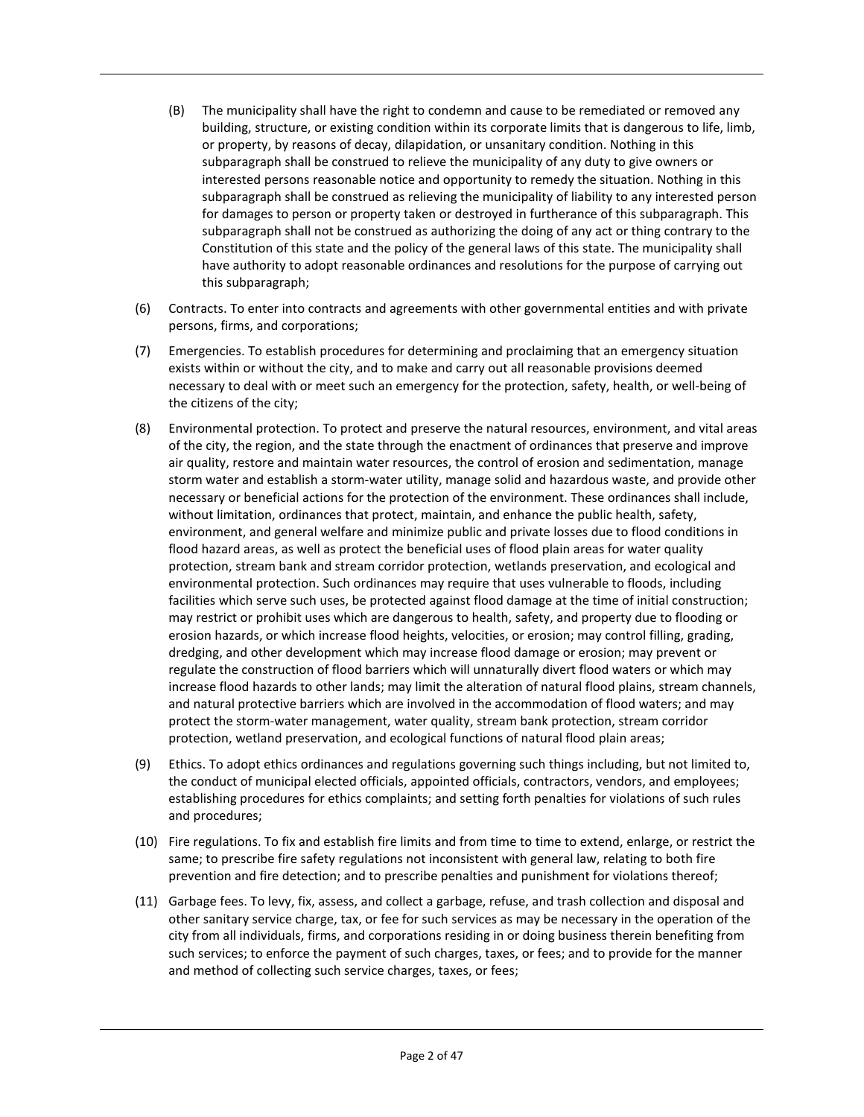- (B) The municipality shall have the right to condemn and cause to be remediated or removed any building, structure, or existing condition within its corporate limits that is dangerous to life, limb, or property, by reasons of decay, dilapidation, or unsanitary condition. Nothing in this subparagraph shall be construed to relieve the municipality of any duty to give owners or interested persons reasonable notice and opportunity to remedy the situation. Nothing in this subparagraph shall be construed as relieving the municipality of liability to any interested person for damages to person or property taken or destroyed in furtherance of this subparagraph. This subparagraph shall not be construed as authorizing the doing of any act or thing contrary to the Constitution of this state and the policy of the general laws of this state. The municipality shall have authority to adopt reasonable ordinances and resolutions for the purpose of carrying out this subparagraph;
- (6) Contracts. To enter into contracts and agreements with other governmental entities and with private persons, firms, and corporations;
- (7) Emergencies. To establish procedures for determining and proclaiming that an emergency situation exists within or without the city, and to make and carry out all reasonable provisions deemed necessary to deal with or meet such an emergency for the protection, safety, health, or well-being of the citizens of the city;
- (8) Environmental protection. To protect and preserve the natural resources, environment, and vital areas of the city, the region, and the state through the enactment of ordinances that preserve and improve air quality, restore and maintain water resources, the control of erosion and sedimentation, manage storm water and establish a storm-water utility, manage solid and hazardous waste, and provide other necessary or beneficial actions for the protection of the environment. These ordinances shall include, without limitation, ordinances that protect, maintain, and enhance the public health, safety, environment, and general welfare and minimize public and private losses due to flood conditions in flood hazard areas, as well as protect the beneficial uses of flood plain areas for water quality protection, stream bank and stream corridor protection, wetlands preservation, and ecological and environmental protection. Such ordinances may require that uses vulnerable to floods, including facilities which serve such uses, be protected against flood damage at the time of initial construction; may restrict or prohibit uses which are dangerous to health, safety, and property due to flooding or erosion hazards, or which increase flood heights, velocities, or erosion; may control filling, grading, dredging, and other development which may increase flood damage or erosion; may prevent or regulate the construction of flood barriers which will unnaturally divert flood waters or which may increase flood hazards to other lands; may limit the alteration of natural flood plains, stream channels, and natural protective barriers which are involved in the accommodation of flood waters; and may protect the storm-water management, water quality, stream bank protection, stream corridor protection, wetland preservation, and ecological functions of natural flood plain areas;
- (9) Ethics. To adopt ethics ordinances and regulations governing such things including, but not limited to, the conduct of municipal elected officials, appointed officials, contractors, vendors, and employees; establishing procedures for ethics complaints; and setting forth penalties for violations of such rules and procedures;
- (10) Fire regulations. To fix and establish fire limits and from time to time to extend, enlarge, or restrict the same; to prescribe fire safety regulations not inconsistent with general law, relating to both fire prevention and fire detection; and to prescribe penalties and punishment for violations thereof;
- (11) Garbage fees. To levy, fix, assess, and collect a garbage, refuse, and trash collection and disposal and other sanitary service charge, tax, or fee for such services as may be necessary in the operation of the city from all individuals, firms, and corporations residing in or doing business therein benefiting from such services; to enforce the payment of such charges, taxes, or fees; and to provide for the manner and method of collecting such service charges, taxes, or fees;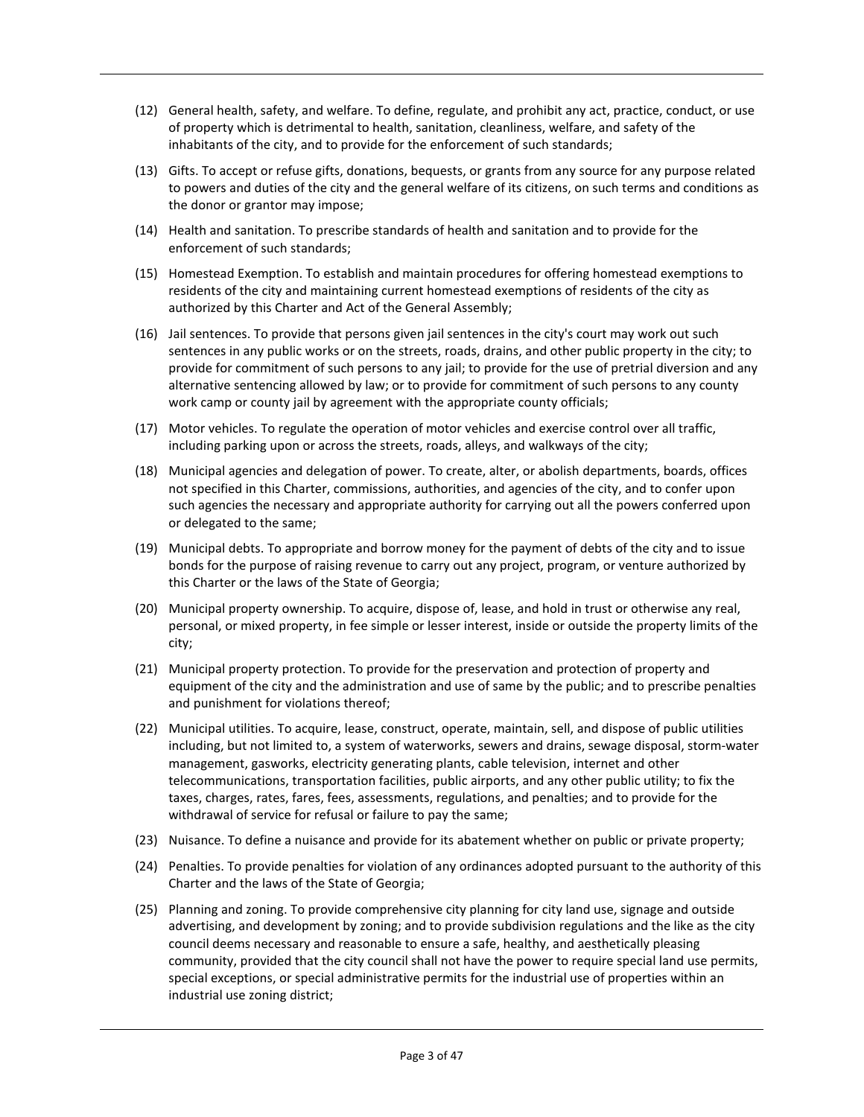- (12) General health, safety, and welfare. To define, regulate, and prohibit any act, practice, conduct, or use of property which is detrimental to health, sanitation, cleanliness, welfare, and safety of the inhabitants of the city, and to provide for the enforcement of such standards;
- (13) Gifts. To accept or refuse gifts, donations, bequests, or grants from any source for any purpose related to powers and duties of the city and the general welfare of its citizens, on such terms and conditions as the donor or grantor may impose;
- (14) Health and sanitation. To prescribe standards of health and sanitation and to provide for the enforcement of such standards;
- (15) Homestead Exemption. To establish and maintain procedures for offering homestead exemptions to residents of the city and maintaining current homestead exemptions of residents of the city as authorized by this Charter and Act of the General Assembly;
- (16) Jail sentences. To provide that persons given jail sentences in the city's court may work out such sentences in any public works or on the streets, roads, drains, and other public property in the city; to provide for commitment of such persons to any jail; to provide for the use of pretrial diversion and any alternative sentencing allowed by law; or to provide for commitment of such persons to any county work camp or county jail by agreement with the appropriate county officials;
- (17) Motor vehicles. To regulate the operation of motor vehicles and exercise control over all traffic, including parking upon or across the streets, roads, alleys, and walkways of the city;
- (18) Municipal agencies and delegation of power. To create, alter, or abolish departments, boards, offices not specified in this Charter, commissions, authorities, and agencies of the city, and to confer upon such agencies the necessary and appropriate authority for carrying out all the powers conferred upon or delegated to the same;
- (19) Municipal debts. To appropriate and borrow money for the payment of debts of the city and to issue bonds for the purpose of raising revenue to carry out any project, program, or venture authorized by this Charter or the laws of the State of Georgia;
- (20) Municipal property ownership. To acquire, dispose of, lease, and hold in trust or otherwise any real, personal, or mixed property, in fee simple or lesser interest, inside or outside the property limits of the city;
- (21) Municipal property protection. To provide for the preservation and protection of property and equipment of the city and the administration and use of same by the public; and to prescribe penalties and punishment for violations thereof;
- (22) Municipal utilities. To acquire, lease, construct, operate, maintain, sell, and dispose of public utilities including, but not limited to, a system of waterworks, sewers and drains, sewage disposal, storm-water management, gasworks, electricity generating plants, cable television, internet and other telecommunications, transportation facilities, public airports, and any other public utility; to fix the taxes, charges, rates, fares, fees, assessments, regulations, and penalties; and to provide for the withdrawal of service for refusal or failure to pay the same;
- (23) Nuisance. To define a nuisance and provide for its abatement whether on public or private property;
- (24) Penalties. To provide penalties for violation of any ordinances adopted pursuant to the authority of this Charter and the laws of the State of Georgia;
- (25) Planning and zoning. To provide comprehensive city planning for city land use, signage and outside advertising, and development by zoning; and to provide subdivision regulations and the like as the city council deems necessary and reasonable to ensure a safe, healthy, and aesthetically pleasing community, provided that the city council shall not have the power to require special land use permits, special exceptions, or special administrative permits for the industrial use of properties within an industrial use zoning district;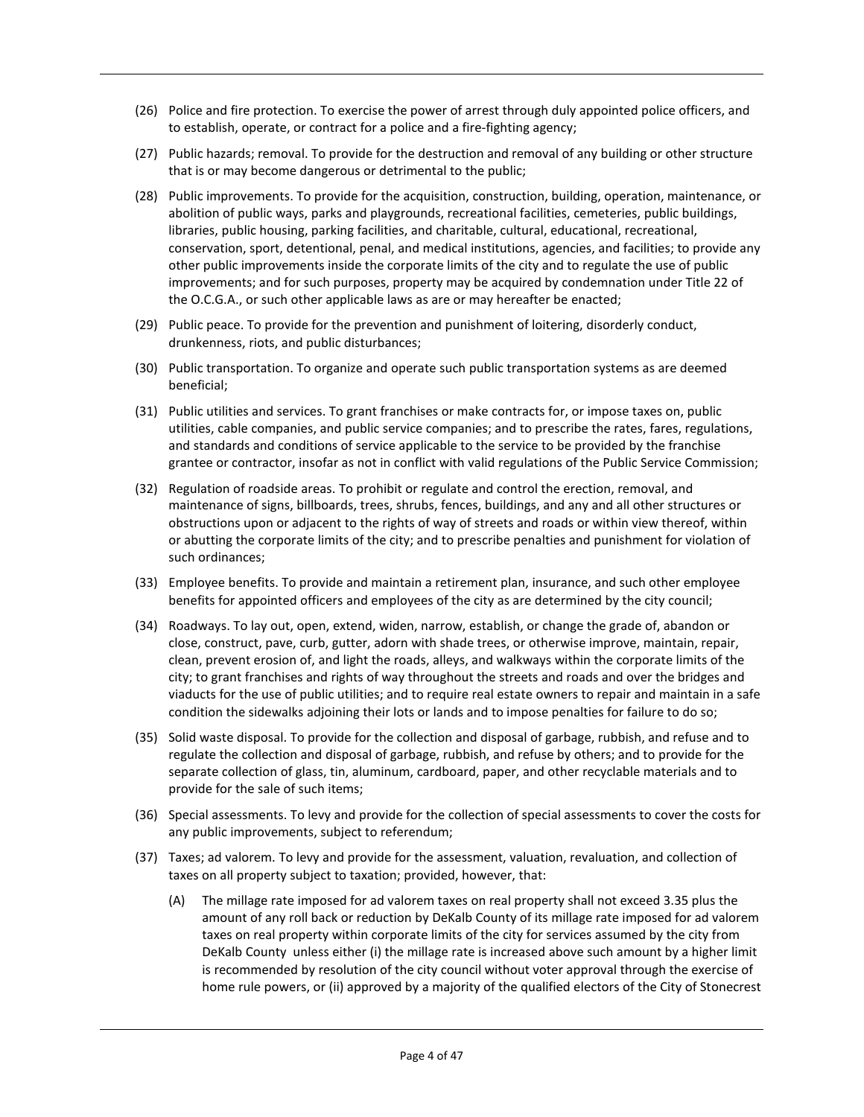- (26) Police and fire protection. To exercise the power of arrest through duly appointed police officers, and to establish, operate, or contract for a police and a fire-fighting agency;
- (27) Public hazards; removal. To provide for the destruction and removal of any building or other structure that is or may become dangerous or detrimental to the public;
- (28) Public improvements. To provide for the acquisition, construction, building, operation, maintenance, or abolition of public ways, parks and playgrounds, recreational facilities, cemeteries, public buildings, libraries, public housing, parking facilities, and charitable, cultural, educational, recreational, conservation, sport, detentional, penal, and medical institutions, agencies, and facilities; to provide any other public improvements inside the corporate limits of the city and to regulate the use of public improvements; and for such purposes, property may be acquired by condemnation under Title 22 of the O.C.G.A., or such other applicable laws as are or may hereafter be enacted;
- (29) Public peace. To provide for the prevention and punishment of loitering, disorderly conduct, drunkenness, riots, and public disturbances;
- (30) Public transportation. To organize and operate such public transportation systems as are deemed beneficial;
- (31) Public utilities and services. To grant franchises or make contracts for, or impose taxes on, public utilities, cable companies, and public service companies; and to prescribe the rates, fares, regulations, and standards and conditions of service applicable to the service to be provided by the franchise grantee or contractor, insofar as not in conflict with valid regulations of the Public Service Commission;
- (32) Regulation of roadside areas. To prohibit or regulate and control the erection, removal, and maintenance of signs, billboards, trees, shrubs, fences, buildings, and any and all other structures or obstructions upon or adjacent to the rights of way of streets and roads or within view thereof, within or abutting the corporate limits of the city; and to prescribe penalties and punishment for violation of such ordinances;
- (33) Employee benefits. To provide and maintain a retirement plan, insurance, and such other employee benefits for appointed officers and employees of the city as are determined by the city council;
- (34) Roadways. To lay out, open, extend, widen, narrow, establish, or change the grade of, abandon or close, construct, pave, curb, gutter, adorn with shade trees, or otherwise improve, maintain, repair, clean, prevent erosion of, and light the roads, alleys, and walkways within the corporate limits of the city; to grant franchises and rights of way throughout the streets and roads and over the bridges and viaducts for the use of public utilities; and to require real estate owners to repair and maintain in a safe condition the sidewalks adjoining their lots or lands and to impose penalties for failure to do so;
- (35) Solid waste disposal. To provide for the collection and disposal of garbage, rubbish, and refuse and to regulate the collection and disposal of garbage, rubbish, and refuse by others; and to provide for the separate collection of glass, tin, aluminum, cardboard, paper, and other recyclable materials and to provide for the sale of such items;
- (36) Special assessments. To levy and provide for the collection of special assessments to cover the costs for any public improvements, subject to referendum;
- (37) Taxes; ad valorem. To levy and provide for the assessment, valuation, revaluation, and collection of taxes on all property subject to taxation; provided, however, that:
	- (A) The millage rate imposed for ad valorem taxes on real property shall not exceed 3.35 plus the amount of any roll back or reduction by DeKalb County of its millage rate imposed for ad valorem taxes on real property within corporate limits of the city for services assumed by the city from DeKalb County unless either (i) the millage rate is increased above such amount by a higher limit is recommended by resolution of the city council without voter approval through the exercise of home rule powers, or (ii) approved by a majority of the qualified electors of the City of Stonecrest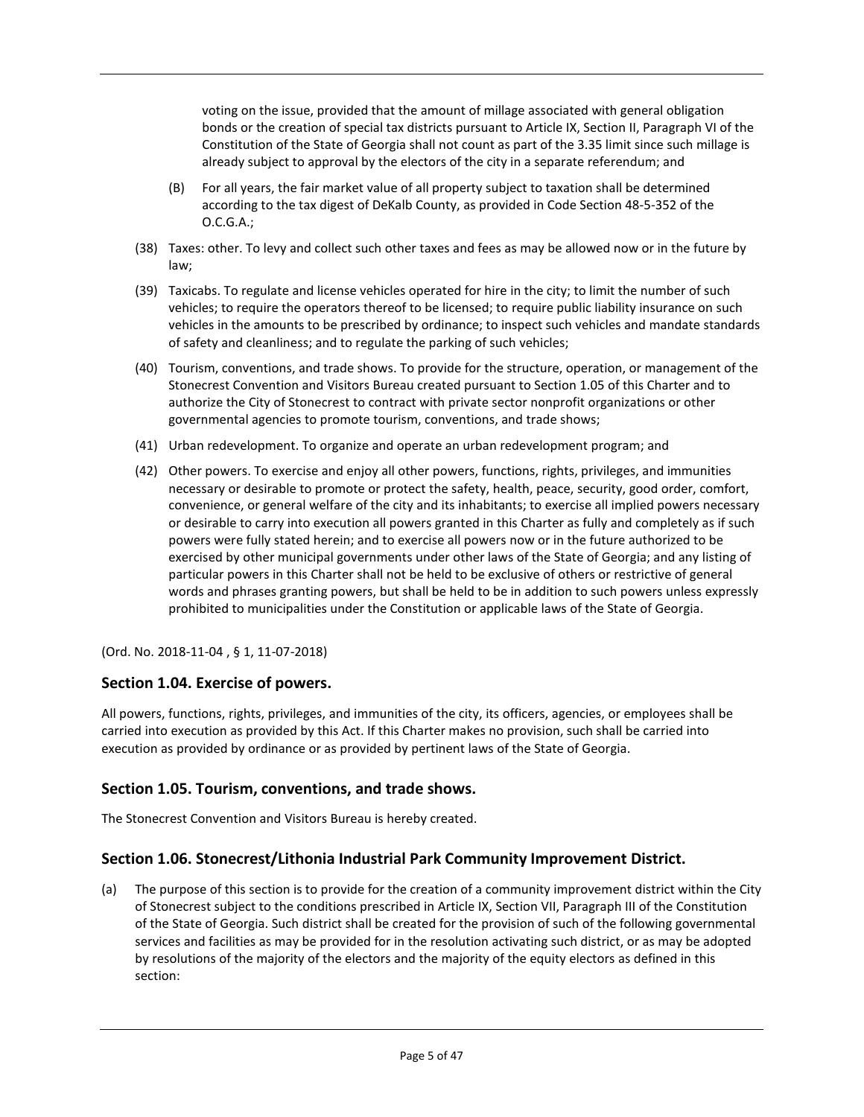voting on the issue, provided that the amount of millage associated with general obligation bonds or the creation of special tax districts pursuant to Article IX, Section II, Paragraph VI of the Constitution of the State of Georgia shall not count as part of the 3.35 limit since such millage is already subject to approval by the electors of the city in a separate referendum; and

- (B) For all years, the fair market value of all property subject to taxation shall be determined according to the tax digest of DeKalb County, as provided in Code Section 48-5-352 of the O.C.G.A.;
- (38) Taxes: other. To levy and collect such other taxes and fees as may be allowed now or in the future by law;
- (39) Taxicabs. To regulate and license vehicles operated for hire in the city; to limit the number of such vehicles; to require the operators thereof to be licensed; to require public liability insurance on such vehicles in the amounts to be prescribed by ordinance; to inspect such vehicles and mandate standards of safety and cleanliness; and to regulate the parking of such vehicles;
- (40) Tourism, conventions, and trade shows. To provide for the structure, operation, or management of the Stonecrest Convention and Visitors Bureau created pursuant to Section 1.05 of this Charter and to authorize the City of Stonecrest to contract with private sector nonprofit organizations or other governmental agencies to promote tourism, conventions, and trade shows;
- (41) Urban redevelopment. To organize and operate an urban redevelopment program; and
- (42) Other powers. To exercise and enjoy all other powers, functions, rights, privileges, and immunities necessary or desirable to promote or protect the safety, health, peace, security, good order, comfort, convenience, or general welfare of the city and its inhabitants; to exercise all implied powers necessary or desirable to carry into execution all powers granted in this Charter as fully and completely as if such powers were fully stated herein; and to exercise all powers now or in the future authorized to be exercised by other municipal governments under other laws of the State of Georgia; and any listing of particular powers in this Charter shall not be held to be exclusive of others or restrictive of general words and phrases granting powers, but shall be held to be in addition to such powers unless expressly prohibited to municipalities under the Constitution or applicable laws of the State of Georgia.

(Ord. No. 2018-11-04 [,](https://library.municode.com/ga/jonesboro/ordinances/code_of_ordinances?nodeId=808469) § 1, 11-07-2018)

## **Section 1.04. Exercise of powers.**

All powers, functions, rights, privileges, and immunities of the city, its officers, agencies, or employees shall be carried into execution as provided by this Act. If this Charter makes no provision, such shall be carried into execution as provided by ordinance or as provided by pertinent laws of the State of Georgia.

## **Section 1.05. Tourism, conventions, and trade shows.**

The Stonecrest Convention and Visitors Bureau is hereby created.

## **Section 1.06. Stonecrest/Lithonia Industrial Park Community Improvement District.**

(a) The purpose of this section is to provide for the creation of a community improvement district within the City of Stonecrest subject to the conditions prescribed in Article IX, Section VII, Paragraph III of the Constitution of the State of Georgia. Such district shall be created for the provision of such of the following governmental services and facilities as may be provided for in the resolution activating such district, or as may be adopted by resolutions of the majority of the electors and the majority of the equity electors as defined in this section: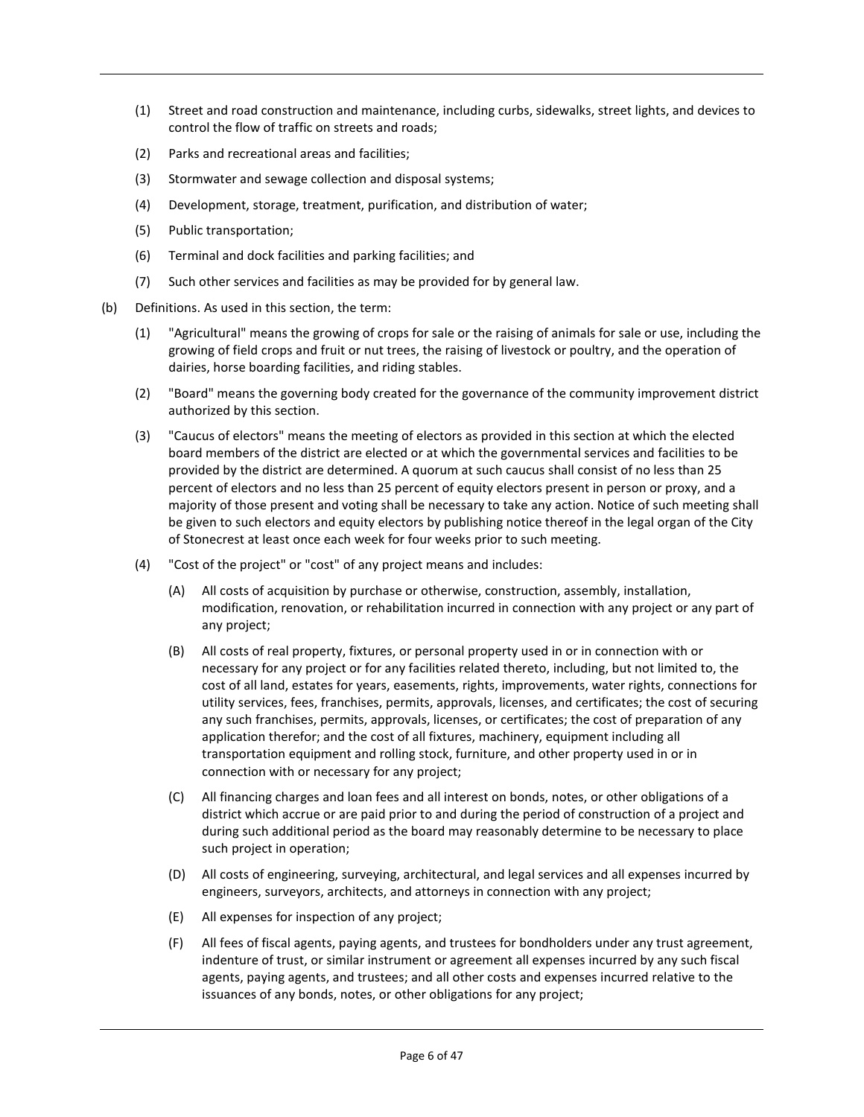- (1) Street and road construction and maintenance, including curbs, sidewalks, street lights, and devices to control the flow of traffic on streets and roads;
- (2) Parks and recreational areas and facilities;
- (3) Stormwater and sewage collection and disposal systems;
- (4) Development, storage, treatment, purification, and distribution of water;
- (5) Public transportation;
- (6) Terminal and dock facilities and parking facilities; and
- (7) Such other services and facilities as may be provided for by general law.
- (b) Definitions. As used in this section, the term:
	- (1) "Agricultural" means the growing of crops for sale or the raising of animals for sale or use, including the growing of field crops and fruit or nut trees, the raising of livestock or poultry, and the operation of dairies, horse boarding facilities, and riding stables.
	- (2) "Board" means the governing body created for the governance of the community improvement district authorized by this section.
	- (3) "Caucus of electors" means the meeting of electors as provided in this section at which the elected board members of the district are elected or at which the governmental services and facilities to be provided by the district are determined. A quorum at such caucus shall consist of no less than 25 percent of electors and no less than 25 percent of equity electors present in person or proxy, and a majority of those present and voting shall be necessary to take any action. Notice of such meeting shall be given to such electors and equity electors by publishing notice thereof in the legal organ of the City of Stonecrest at least once each week for four weeks prior to such meeting.
	- (4) "Cost of the project" or "cost" of any project means and includes:
		- (A) All costs of acquisition by purchase or otherwise, construction, assembly, installation, modification, renovation, or rehabilitation incurred in connection with any project or any part of any project;
		- (B) All costs of real property, fixtures, or personal property used in or in connection with or necessary for any project or for any facilities related thereto, including, but not limited to, the cost of all land, estates for years, easements, rights, improvements, water rights, connections for utility services, fees, franchises, permits, approvals, licenses, and certificates; the cost of securing any such franchises, permits, approvals, licenses, or certificates; the cost of preparation of any application therefor; and the cost of all fixtures, machinery, equipment including all transportation equipment and rolling stock, furniture, and other property used in or in connection with or necessary for any project;
		- (C) All financing charges and loan fees and all interest on bonds, notes, or other obligations of a district which accrue or are paid prior to and during the period of construction of a project and during such additional period as the board may reasonably determine to be necessary to place such project in operation;
		- (D) All costs of engineering, surveying, architectural, and legal services and all expenses incurred by engineers, surveyors, architects, and attorneys in connection with any project;
		- (E) All expenses for inspection of any project;
		- (F) All fees of fiscal agents, paying agents, and trustees for bondholders under any trust agreement, indenture of trust, or similar instrument or agreement all expenses incurred by any such fiscal agents, paying agents, and trustees; and all other costs and expenses incurred relative to the issuances of any bonds, notes, or other obligations for any project;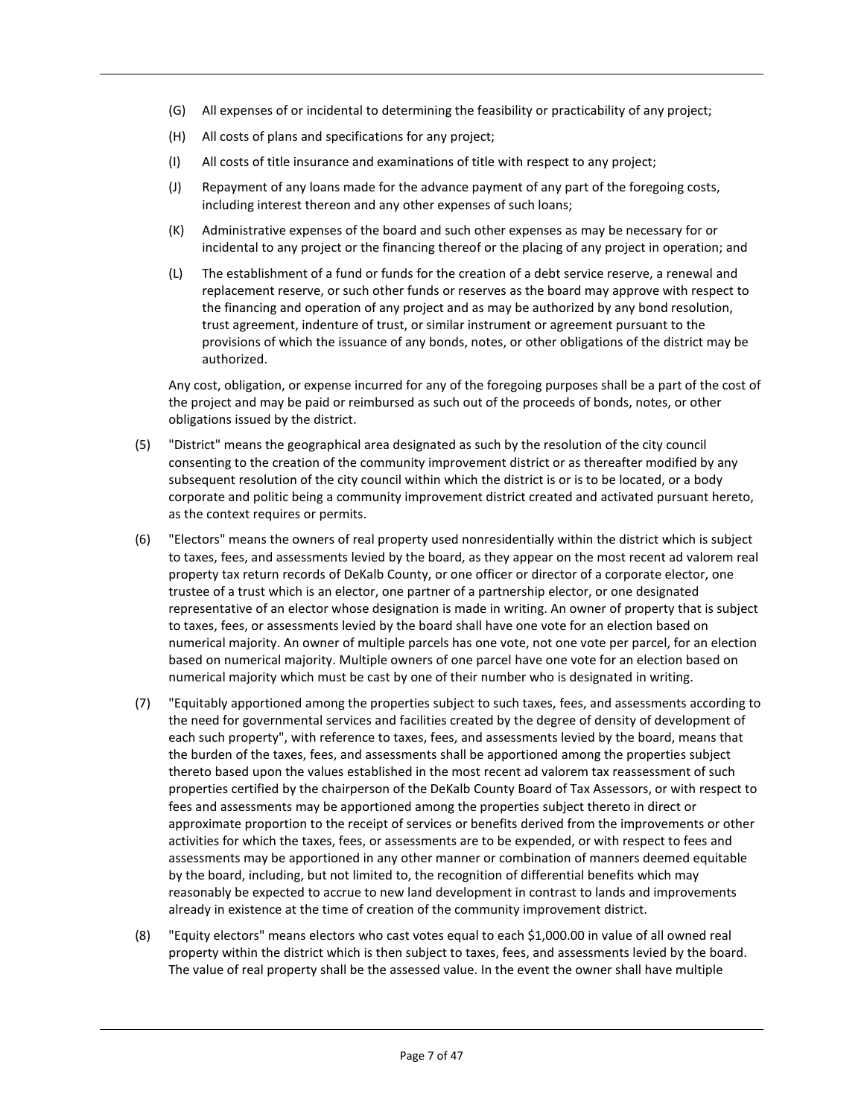- (G) All expenses of or incidental to determining the feasibility or practicability of any project;
- (H) All costs of plans and specifications for any project;
- (I) All costs of title insurance and examinations of title with respect to any project;
- (J) Repayment of any loans made for the advance payment of any part of the foregoing costs, including interest thereon and any other expenses of such loans;
- (K) Administrative expenses of the board and such other expenses as may be necessary for or incidental to any project or the financing thereof or the placing of any project in operation; and
- (L) The establishment of a fund or funds for the creation of a debt service reserve, a renewal and replacement reserve, or such other funds or reserves as the board may approve with respect to the financing and operation of any project and as may be authorized by any bond resolution, trust agreement, indenture of trust, or similar instrument or agreement pursuant to the provisions of which the issuance of any bonds, notes, or other obligations of the district may be authorized.

Any cost, obligation, or expense incurred for any of the foregoing purposes shall be a part of the cost of the project and may be paid or reimbursed as such out of the proceeds of bonds, notes, or other obligations issued by the district.

- (5) "District" means the geographical area designated as such by the resolution of the city council consenting to the creation of the community improvement district or as thereafter modified by any subsequent resolution of the city council within which the district is or is to be located, or a body corporate and politic being a community improvement district created and activated pursuant hereto, as the context requires or permits.
- (6) "Electors" means the owners of real property used nonresidentially within the district which is subject to taxes, fees, and assessments levied by the board, as they appear on the most recent ad valorem real property tax return records of DeKalb County, or one officer or director of a corporate elector, one trustee of a trust which is an elector, one partner of a partnership elector, or one designated representative of an elector whose designation is made in writing. An owner of property that is subject to taxes, fees, or assessments levied by the board shall have one vote for an election based on numerical majority. An owner of multiple parcels has one vote, not one vote per parcel, for an election based on numerical majority. Multiple owners of one parcel have one vote for an election based on numerical majority which must be cast by one of their number who is designated in writing.
- (7) "Equitably apportioned among the properties subject to such taxes, fees, and assessments according to the need for governmental services and facilities created by the degree of density of development of each such property", with reference to taxes, fees, and assessments levied by the board, means that the burden of the taxes, fees, and assessments shall be apportioned among the properties subject thereto based upon the values established in the most recent ad valorem tax reassessment of such properties certified by the chairperson of the DeKalb County Board of Tax Assessors, or with respect to fees and assessments may be apportioned among the properties subject thereto in direct or approximate proportion to the receipt of services or benefits derived from the improvements or other activities for which the taxes, fees, or assessments are to be expended, or with respect to fees and assessments may be apportioned in any other manner or combination of manners deemed equitable by the board, including, but not limited to, the recognition of differential benefits which may reasonably be expected to accrue to new land development in contrast to lands and improvements already in existence at the time of creation of the community improvement district.
- (8) "Equity electors" means electors who cast votes equal to each \$1,000.00 in value of all owned real property within the district which is then subject to taxes, fees, and assessments levied by the board. The value of real property shall be the assessed value. In the event the owner shall have multiple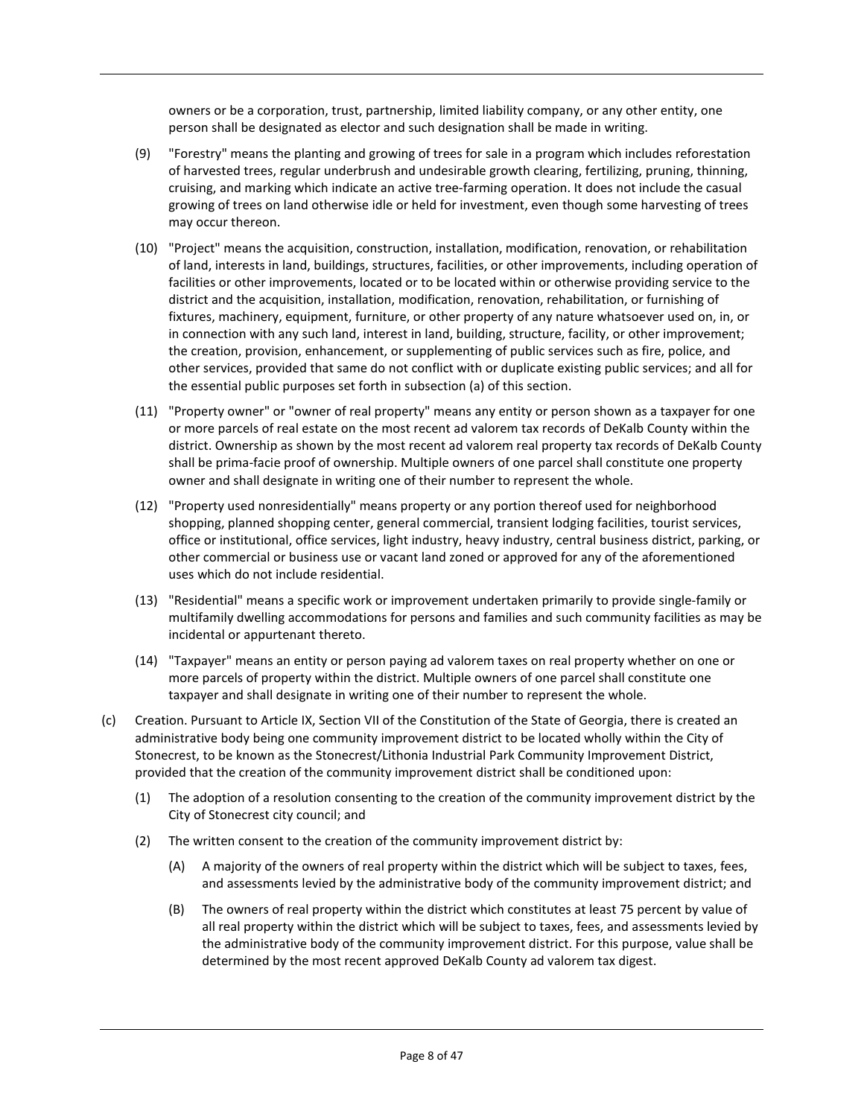owners or be a corporation, trust, partnership, limited liability company, or any other entity, one person shall be designated as elector and such designation shall be made in writing.

- (9) "Forestry" means the planting and growing of trees for sale in a program which includes reforestation of harvested trees, regular underbrush and undesirable growth clearing, fertilizing, pruning, thinning, cruising, and marking which indicate an active tree-farming operation. It does not include the casual growing of trees on land otherwise idle or held for investment, even though some harvesting of trees may occur thereon.
- (10) "Project" means the acquisition, construction, installation, modification, renovation, or rehabilitation of land, interests in land, buildings, structures, facilities, or other improvements, including operation of facilities or other improvements, located or to be located within or otherwise providing service to the district and the acquisition, installation, modification, renovation, rehabilitation, or furnishing of fixtures, machinery, equipment, furniture, or other property of any nature whatsoever used on, in, or in connection with any such land, interest in land, building, structure, facility, or other improvement; the creation, provision, enhancement, or supplementing of public services such as fire, police, and other services, provided that same do not conflict with or duplicate existing public services; and all for the essential public purposes set forth in subsection (a) of this section.
- (11) "Property owner" or "owner of real property" means any entity or person shown as a taxpayer for one or more parcels of real estate on the most recent ad valorem tax records of DeKalb County within the district. Ownership as shown by the most recent ad valorem real property tax records of DeKalb County shall be prima-facie proof of ownership. Multiple owners of one parcel shall constitute one property owner and shall designate in writing one of their number to represent the whole.
- (12) "Property used nonresidentially" means property or any portion thereof used for neighborhood shopping, planned shopping center, general commercial, transient lodging facilities, tourist services, office or institutional, office services, light industry, heavy industry, central business district, parking, or other commercial or business use or vacant land zoned or approved for any of the aforementioned uses which do not include residential.
- (13) "Residential" means a specific work or improvement undertaken primarily to provide single-family or multifamily dwelling accommodations for persons and families and such community facilities as may be incidental or appurtenant thereto.
- (14) "Taxpayer" means an entity or person paying ad valorem taxes on real property whether on one or more parcels of property within the district. Multiple owners of one parcel shall constitute one taxpayer and shall designate in writing one of their number to represent the whole.
- (c) Creation. Pursuant to Article IX, Section VII of the Constitution of the State of Georgia, there is created an administrative body being one community improvement district to be located wholly within the City of Stonecrest, to be known as the Stonecrest/Lithonia Industrial Park Community Improvement District, provided that the creation of the community improvement district shall be conditioned upon:
	- (1) The adoption of a resolution consenting to the creation of the community improvement district by the City of Stonecrest city council; and
	- (2) The written consent to the creation of the community improvement district by:
		- (A) A majority of the owners of real property within the district which will be subject to taxes, fees, and assessments levied by the administrative body of the community improvement district; and
		- (B) The owners of real property within the district which constitutes at least 75 percent by value of all real property within the district which will be subject to taxes, fees, and assessments levied by the administrative body of the community improvement district. For this purpose, value shall be determined by the most recent approved DeKalb County ad valorem tax digest.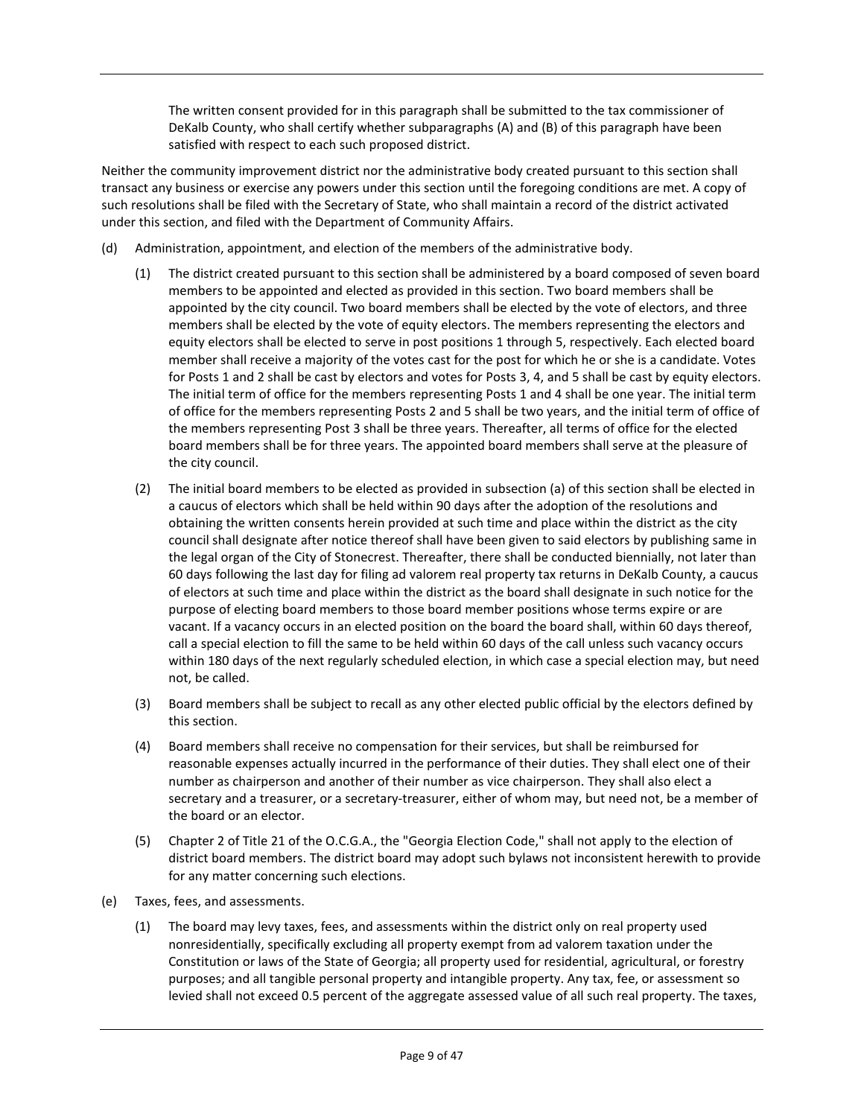The written consent provided for in this paragraph shall be submitted to the tax commissioner of DeKalb County, who shall certify whether subparagraphs (A) and (B) of this paragraph have been satisfied with respect to each such proposed district.

Neither the community improvement district nor the administrative body created pursuant to this section shall transact any business or exercise any powers under this section until the foregoing conditions are met. A copy of such resolutions shall be filed with the Secretary of State, who shall maintain a record of the district activated under this section, and filed with the Department of Community Affairs.

- (d) Administration, appointment, and election of the members of the administrative body.
	- (1) The district created pursuant to this section shall be administered by a board composed of seven board members to be appointed and elected as provided in this section. Two board members shall be appointed by the city council. Two board members shall be elected by the vote of electors, and three members shall be elected by the vote of equity electors. The members representing the electors and equity electors shall be elected to serve in post positions 1 through 5, respectively. Each elected board member shall receive a majority of the votes cast for the post for which he or she is a candidate. Votes for Posts 1 and 2 shall be cast by electors and votes for Posts 3, 4, and 5 shall be cast by equity electors. The initial term of office for the members representing Posts 1 and 4 shall be one year. The initial term of office for the members representing Posts 2 and 5 shall be two years, and the initial term of office of the members representing Post 3 shall be three years. Thereafter, all terms of office for the elected board members shall be for three years. The appointed board members shall serve at the pleasure of the city council.
	- (2) The initial board members to be elected as provided in subsection (a) of this section shall be elected in a caucus of electors which shall be held within 90 days after the adoption of the resolutions and obtaining the written consents herein provided at such time and place within the district as the city council shall designate after notice thereof shall have been given to said electors by publishing same in the legal organ of the City of Stonecrest. Thereafter, there shall be conducted biennially, not later than 60 days following the last day for filing ad valorem real property tax returns in DeKalb County, a caucus of electors at such time and place within the district as the board shall designate in such notice for the purpose of electing board members to those board member positions whose terms expire or are vacant. If a vacancy occurs in an elected position on the board the board shall, within 60 days thereof, call a special election to fill the same to be held within 60 days of the call unless such vacancy occurs within 180 days of the next regularly scheduled election, in which case a special election may, but need not, be called.
	- (3) Board members shall be subject to recall as any other elected public official by the electors defined by this section.
	- (4) Board members shall receive no compensation for their services, but shall be reimbursed for reasonable expenses actually incurred in the performance of their duties. They shall elect one of their number as chairperson and another of their number as vice chairperson. They shall also elect a secretary and a treasurer, or a secretary-treasurer, either of whom may, but need not, be a member of the board or an elector.
	- (5) Chapter 2 of Title 21 of the O.C.G.A., the "Georgia Election Code," shall not apply to the election of district board members. The district board may adopt such bylaws not inconsistent herewith to provide for any matter concerning such elections.
- (e) Taxes, fees, and assessments.
	- (1) The board may levy taxes, fees, and assessments within the district only on real property used nonresidentially, specifically excluding all property exempt from ad valorem taxation under the Constitution or laws of the State of Georgia; all property used for residential, agricultural, or forestry purposes; and all tangible personal property and intangible property. Any tax, fee, or assessment so levied shall not exceed 0.5 percent of the aggregate assessed value of all such real property. The taxes,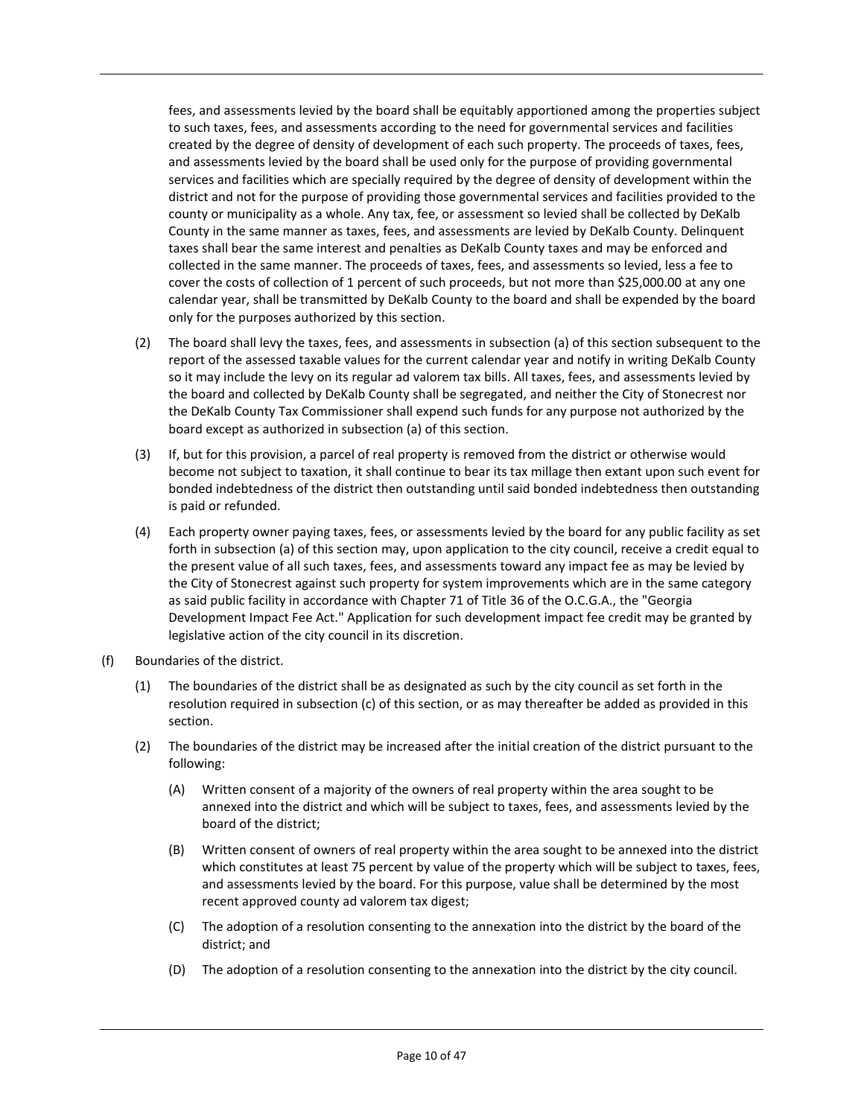fees, and assessments levied by the board shall be equitably apportioned among the properties subject to such taxes, fees, and assessments according to the need for governmental services and facilities created by the degree of density of development of each such property. The proceeds of taxes, fees, and assessments levied by the board shall be used only for the purpose of providing governmental services and facilities which are specially required by the degree of density of development within the district and not for the purpose of providing those governmental services and facilities provided to the county or municipality as a whole. Any tax, fee, or assessment so levied shall be collected by DeKalb County in the same manner as taxes, fees, and assessments are levied by DeKalb County. Delinquent taxes shall bear the same interest and penalties as DeKalb County taxes and may be enforced and collected in the same manner. The proceeds of taxes, fees, and assessments so levied, less a fee to cover the costs of collection of 1 percent of such proceeds, but not more than \$25,000.00 at any one calendar year, shall be transmitted by DeKalb County to the board and shall be expended by the board only for the purposes authorized by this section.

- (2) The board shall levy the taxes, fees, and assessments in subsection (a) of this section subsequent to the report of the assessed taxable values for the current calendar year and notify in writing DeKalb County so it may include the levy on its regular ad valorem tax bills. All taxes, fees, and assessments levied by the board and collected by DeKalb County shall be segregated, and neither the City of Stonecrest nor the DeKalb County Tax Commissioner shall expend such funds for any purpose not authorized by the board except as authorized in subsection (a) of this section.
- (3) If, but for this provision, a parcel of real property is removed from the district or otherwise would become not subject to taxation, it shall continue to bear its tax millage then extant upon such event for bonded indebtedness of the district then outstanding until said bonded indebtedness then outstanding is paid or refunded.
- (4) Each property owner paying taxes, fees, or assessments levied by the board for any public facility as set forth in subsection (a) of this section may, upon application to the city council, receive a credit equal to the present value of all such taxes, fees, and assessments toward any impact fee as may be levied by the City of Stonecrest against such property for system improvements which are in the same category as said public facility in accordance with Chapter 71 of Title 36 of the O.C.G.A., the "Georgia Development Impact Fee Act." Application for such development impact fee credit may be granted by legislative action of the city council in its discretion.
- (f) Boundaries of the district.
	- (1) The boundaries of the district shall be as designated as such by the city council as set forth in the resolution required in subsection (c) of this section, or as may thereafter be added as provided in this section.
	- (2) The boundaries of the district may be increased after the initial creation of the district pursuant to the following:
		- (A) Written consent of a majority of the owners of real property within the area sought to be annexed into the district and which will be subject to taxes, fees, and assessments levied by the board of the district;
		- (B) Written consent of owners of real property within the area sought to be annexed into the district which constitutes at least 75 percent by value of the property which will be subject to taxes, fees, and assessments levied by the board. For this purpose, value shall be determined by the most recent approved county ad valorem tax digest;
		- (C) The adoption of a resolution consenting to the annexation into the district by the board of the district; and
		- (D) The adoption of a resolution consenting to the annexation into the district by the city council.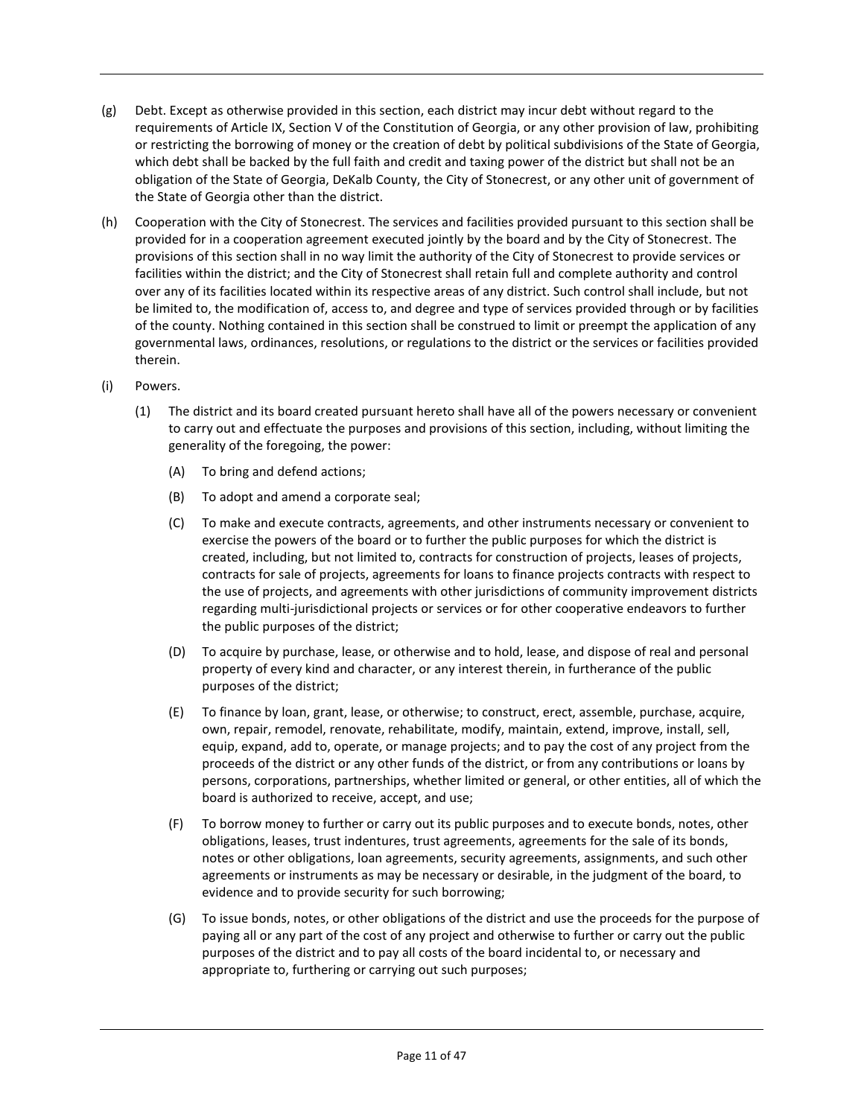- (g) Debt. Except as otherwise provided in this section, each district may incur debt without regard to the requirements of Article IX, Section V of the Constitution of Georgia, or any other provision of law, prohibiting or restricting the borrowing of money or the creation of debt by political subdivisions of the State of Georgia, which debt shall be backed by the full faith and credit and taxing power of the district but shall not be an obligation of the State of Georgia, DeKalb County, the City of Stonecrest, or any other unit of government of the State of Georgia other than the district.
- (h) Cooperation with the City of Stonecrest. The services and facilities provided pursuant to this section shall be provided for in a cooperation agreement executed jointly by the board and by the City of Stonecrest. The provisions of this section shall in no way limit the authority of the City of Stonecrest to provide services or facilities within the district; and the City of Stonecrest shall retain full and complete authority and control over any of its facilities located within its respective areas of any district. Such control shall include, but not be limited to, the modification of, access to, and degree and type of services provided through or by facilities of the county. Nothing contained in this section shall be construed to limit or preempt the application of any governmental laws, ordinances, resolutions, or regulations to the district or the services or facilities provided therein.

#### (i) Powers.

- (1) The district and its board created pursuant hereto shall have all of the powers necessary or convenient to carry out and effectuate the purposes and provisions of this section, including, without limiting the generality of the foregoing, the power:
	- (A) To bring and defend actions;
	- (B) To adopt and amend a corporate seal;
	- (C) To make and execute contracts, agreements, and other instruments necessary or convenient to exercise the powers of the board or to further the public purposes for which the district is created, including, but not limited to, contracts for construction of projects, leases of projects, contracts for sale of projects, agreements for loans to finance projects contracts with respect to the use of projects, and agreements with other jurisdictions of community improvement districts regarding multi-jurisdictional projects or services or for other cooperative endeavors to further the public purposes of the district;
	- (D) To acquire by purchase, lease, or otherwise and to hold, lease, and dispose of real and personal property of every kind and character, or any interest therein, in furtherance of the public purposes of the district;
	- (E) To finance by loan, grant, lease, or otherwise; to construct, erect, assemble, purchase, acquire, own, repair, remodel, renovate, rehabilitate, modify, maintain, extend, improve, install, sell, equip, expand, add to, operate, or manage projects; and to pay the cost of any project from the proceeds of the district or any other funds of the district, or from any contributions or loans by persons, corporations, partnerships, whether limited or general, or other entities, all of which the board is authorized to receive, accept, and use;
	- (F) To borrow money to further or carry out its public purposes and to execute bonds, notes, other obligations, leases, trust indentures, trust agreements, agreements for the sale of its bonds, notes or other obligations, loan agreements, security agreements, assignments, and such other agreements or instruments as may be necessary or desirable, in the judgment of the board, to evidence and to provide security for such borrowing;
	- (G) To issue bonds, notes, or other obligations of the district and use the proceeds for the purpose of paying all or any part of the cost of any project and otherwise to further or carry out the public purposes of the district and to pay all costs of the board incidental to, or necessary and appropriate to, furthering or carrying out such purposes;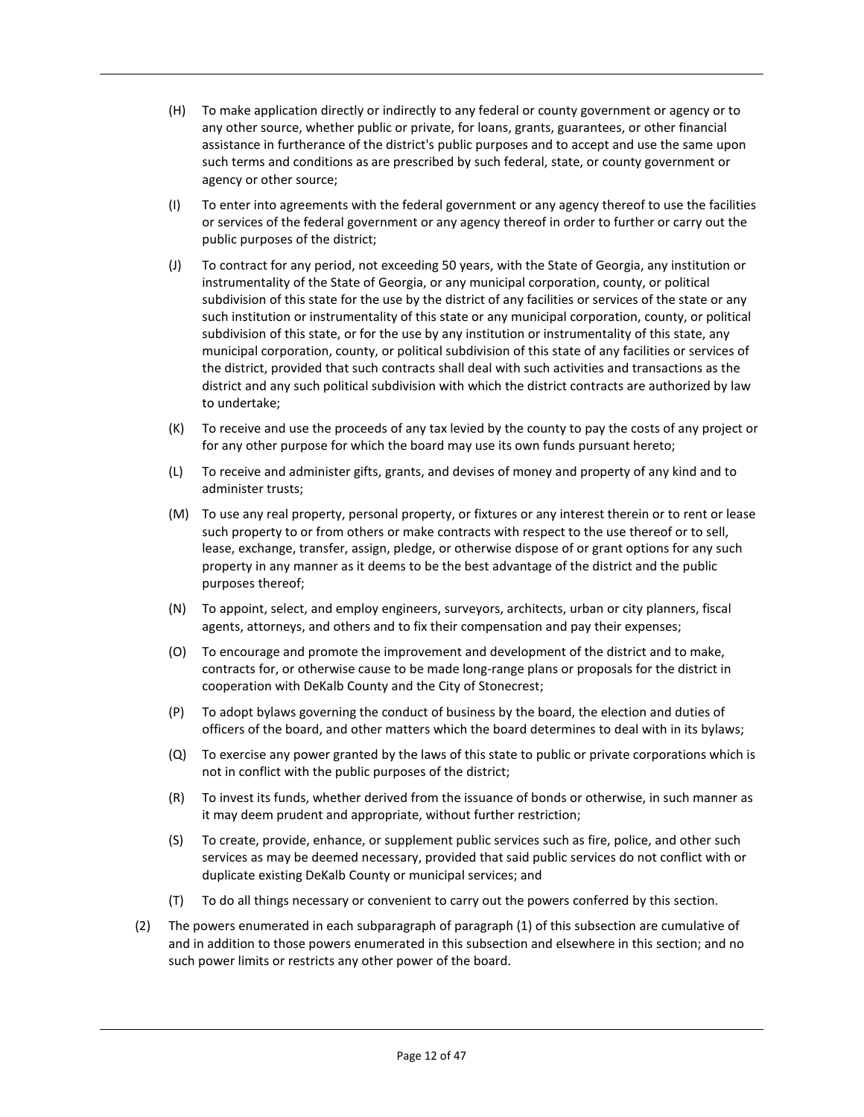- (H) To make application directly or indirectly to any federal or county government or agency or to any other source, whether public or private, for loans, grants, guarantees, or other financial assistance in furtherance of the district's public purposes and to accept and use the same upon such terms and conditions as are prescribed by such federal, state, or county government or agency or other source;
- (I) To enter into agreements with the federal government or any agency thereof to use the facilities or services of the federal government or any agency thereof in order to further or carry out the public purposes of the district;
- (J) To contract for any period, not exceeding 50 years, with the State of Georgia, any institution or instrumentality of the State of Georgia, or any municipal corporation, county, or political subdivision of this state for the use by the district of any facilities or services of the state or any such institution or instrumentality of this state or any municipal corporation, county, or political subdivision of this state, or for the use by any institution or instrumentality of this state, any municipal corporation, county, or political subdivision of this state of any facilities or services of the district, provided that such contracts shall deal with such activities and transactions as the district and any such political subdivision with which the district contracts are authorized by law to undertake;
- (K) To receive and use the proceeds of any tax levied by the county to pay the costs of any project or for any other purpose for which the board may use its own funds pursuant hereto;
- (L) To receive and administer gifts, grants, and devises of money and property of any kind and to administer trusts;
- (M) To use any real property, personal property, or fixtures or any interest therein or to rent or lease such property to or from others or make contracts with respect to the use thereof or to sell, lease, exchange, transfer, assign, pledge, or otherwise dispose of or grant options for any such property in any manner as it deems to be the best advantage of the district and the public purposes thereof;
- (N) To appoint, select, and employ engineers, surveyors, architects, urban or city planners, fiscal agents, attorneys, and others and to fix their compensation and pay their expenses;
- (O) To encourage and promote the improvement and development of the district and to make, contracts for, or otherwise cause to be made long-range plans or proposals for the district in cooperation with DeKalb County and the City of Stonecrest;
- (P) To adopt bylaws governing the conduct of business by the board, the election and duties of officers of the board, and other matters which the board determines to deal with in its bylaws;
- (Q) To exercise any power granted by the laws of this state to public or private corporations which is not in conflict with the public purposes of the district;
- (R) To invest its funds, whether derived from the issuance of bonds or otherwise, in such manner as it may deem prudent and appropriate, without further restriction;
- (S) To create, provide, enhance, or supplement public services such as fire, police, and other such services as may be deemed necessary, provided that said public services do not conflict with or duplicate existing DeKalb County or municipal services; and
- (T) To do all things necessary or convenient to carry out the powers conferred by this section.
- (2) The powers enumerated in each subparagraph of paragraph (1) of this subsection are cumulative of and in addition to those powers enumerated in this subsection and elsewhere in this section; and no such power limits or restricts any other power of the board.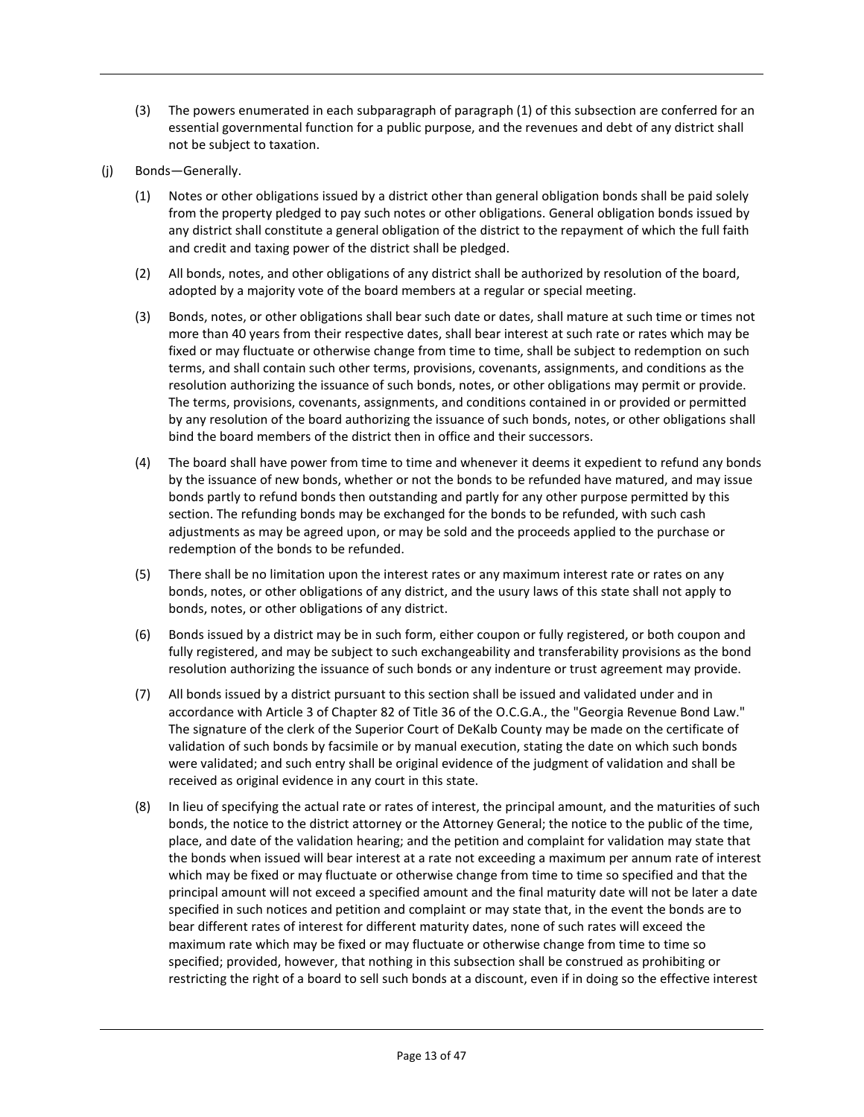- (3) The powers enumerated in each subparagraph of paragraph (1) of this subsection are conferred for an essential governmental function for a public purpose, and the revenues and debt of any district shall not be subject to taxation.
- (j) Bonds—Generally.
	- (1) Notes or other obligations issued by a district other than general obligation bonds shall be paid solely from the property pledged to pay such notes or other obligations. General obligation bonds issued by any district shall constitute a general obligation of the district to the repayment of which the full faith and credit and taxing power of the district shall be pledged.
	- (2) All bonds, notes, and other obligations of any district shall be authorized by resolution of the board, adopted by a majority vote of the board members at a regular or special meeting.
	- (3) Bonds, notes, or other obligations shall bear such date or dates, shall mature at such time or times not more than 40 years from their respective dates, shall bear interest at such rate or rates which may be fixed or may fluctuate or otherwise change from time to time, shall be subject to redemption on such terms, and shall contain such other terms, provisions, covenants, assignments, and conditions as the resolution authorizing the issuance of such bonds, notes, or other obligations may permit or provide. The terms, provisions, covenants, assignments, and conditions contained in or provided or permitted by any resolution of the board authorizing the issuance of such bonds, notes, or other obligations shall bind the board members of the district then in office and their successors.
	- (4) The board shall have power from time to time and whenever it deems it expedient to refund any bonds by the issuance of new bonds, whether or not the bonds to be refunded have matured, and may issue bonds partly to refund bonds then outstanding and partly for any other purpose permitted by this section. The refunding bonds may be exchanged for the bonds to be refunded, with such cash adjustments as may be agreed upon, or may be sold and the proceeds applied to the purchase or redemption of the bonds to be refunded.
	- (5) There shall be no limitation upon the interest rates or any maximum interest rate or rates on any bonds, notes, or other obligations of any district, and the usury laws of this state shall not apply to bonds, notes, or other obligations of any district.
	- (6) Bonds issued by a district may be in such form, either coupon or fully registered, or both coupon and fully registered, and may be subject to such exchangeability and transferability provisions as the bond resolution authorizing the issuance of such bonds or any indenture or trust agreement may provide.
	- (7) All bonds issued by a district pursuant to this section shall be issued and validated under and in accordance with Article 3 of Chapter 82 of Title 36 of the O.C.G.A., the "Georgia Revenue Bond Law." The signature of the clerk of the Superior Court of DeKalb County may be made on the certificate of validation of such bonds by facsimile or by manual execution, stating the date on which such bonds were validated; and such entry shall be original evidence of the judgment of validation and shall be received as original evidence in any court in this state.
	- (8) In lieu of specifying the actual rate or rates of interest, the principal amount, and the maturities of such bonds, the notice to the district attorney or the Attorney General; the notice to the public of the time, place, and date of the validation hearing; and the petition and complaint for validation may state that the bonds when issued will bear interest at a rate not exceeding a maximum per annum rate of interest which may be fixed or may fluctuate or otherwise change from time to time so specified and that the principal amount will not exceed a specified amount and the final maturity date will not be later a date specified in such notices and petition and complaint or may state that, in the event the bonds are to bear different rates of interest for different maturity dates, none of such rates will exceed the maximum rate which may be fixed or may fluctuate or otherwise change from time to time so specified; provided, however, that nothing in this subsection shall be construed as prohibiting or restricting the right of a board to sell such bonds at a discount, even if in doing so the effective interest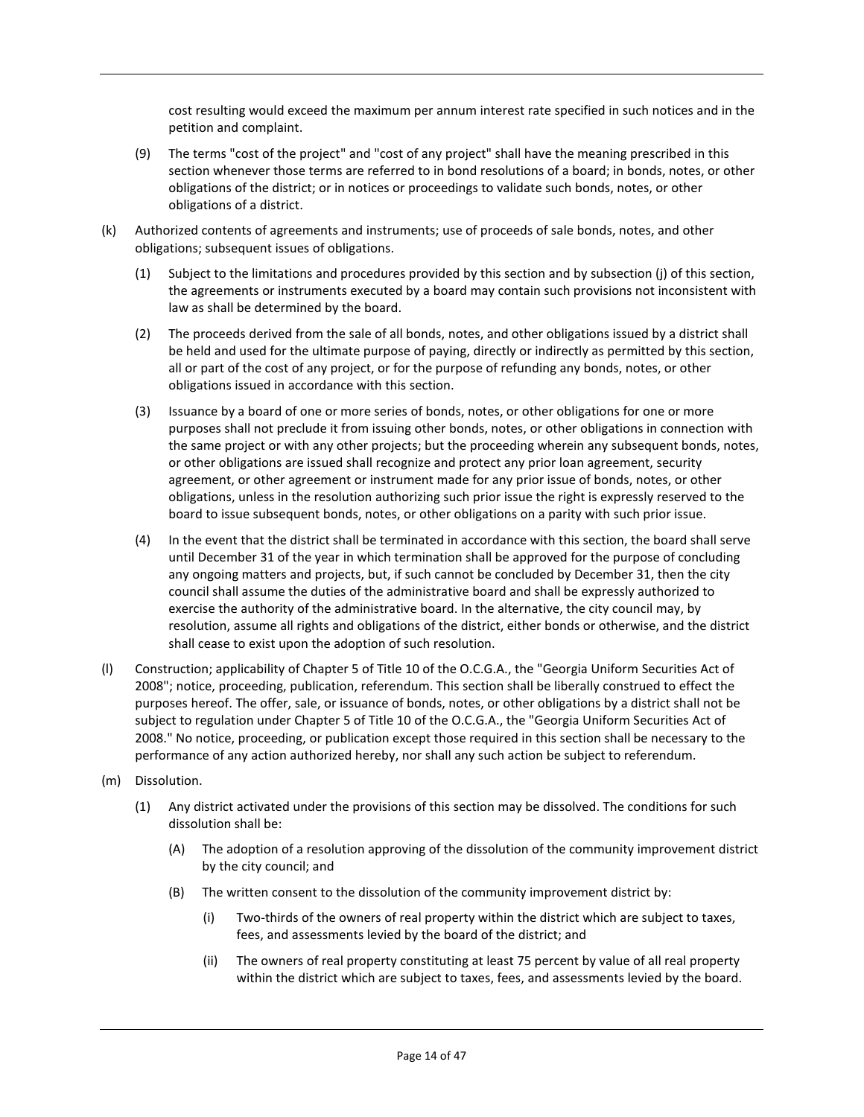cost resulting would exceed the maximum per annum interest rate specified in such notices and in the petition and complaint.

- (9) The terms "cost of the project" and "cost of any project" shall have the meaning prescribed in this section whenever those terms are referred to in bond resolutions of a board; in bonds, notes, or other obligations of the district; or in notices or proceedings to validate such bonds, notes, or other obligations of a district.
- (k) Authorized contents of agreements and instruments; use of proceeds of sale bonds, notes, and other obligations; subsequent issues of obligations.
	- (1) Subject to the limitations and procedures provided by this section and by subsection (j) of this section, the agreements or instruments executed by a board may contain such provisions not inconsistent with law as shall be determined by the board.
	- (2) The proceeds derived from the sale of all bonds, notes, and other obligations issued by a district shall be held and used for the ultimate purpose of paying, directly or indirectly as permitted by this section, all or part of the cost of any project, or for the purpose of refunding any bonds, notes, or other obligations issued in accordance with this section.
	- (3) Issuance by a board of one or more series of bonds, notes, or other obligations for one or more purposes shall not preclude it from issuing other bonds, notes, or other obligations in connection with the same project or with any other projects; but the proceeding wherein any subsequent bonds, notes, or other obligations are issued shall recognize and protect any prior loan agreement, security agreement, or other agreement or instrument made for any prior issue of bonds, notes, or other obligations, unless in the resolution authorizing such prior issue the right is expressly reserved to the board to issue subsequent bonds, notes, or other obligations on a parity with such prior issue.
	- (4) In the event that the district shall be terminated in accordance with this section, the board shall serve until December 31 of the year in which termination shall be approved for the purpose of concluding any ongoing matters and projects, but, if such cannot be concluded by December 31, then the city council shall assume the duties of the administrative board and shall be expressly authorized to exercise the authority of the administrative board. In the alternative, the city council may, by resolution, assume all rights and obligations of the district, either bonds or otherwise, and the district shall cease to exist upon the adoption of such resolution.
- (l) Construction; applicability of Chapter 5 of Title 10 of the O.C.G.A., the "Georgia Uniform Securities Act of 2008"; notice, proceeding, publication, referendum. This section shall be liberally construed to effect the purposes hereof. The offer, sale, or issuance of bonds, notes, or other obligations by a district shall not be subject to regulation under Chapter 5 of Title 10 of the O.C.G.A., the "Georgia Uniform Securities Act of 2008." No notice, proceeding, or publication except those required in this section shall be necessary to the performance of any action authorized hereby, nor shall any such action be subject to referendum.
- (m) Dissolution.
	- (1) Any district activated under the provisions of this section may be dissolved. The conditions for such dissolution shall be:
		- (A) The adoption of a resolution approving of the dissolution of the community improvement district by the city council; and
		- (B) The written consent to the dissolution of the community improvement district by:
			- (i) Two-thirds of the owners of real property within the district which are subject to taxes, fees, and assessments levied by the board of the district; and
			- (ii) The owners of real property constituting at least 75 percent by value of all real property within the district which are subject to taxes, fees, and assessments levied by the board.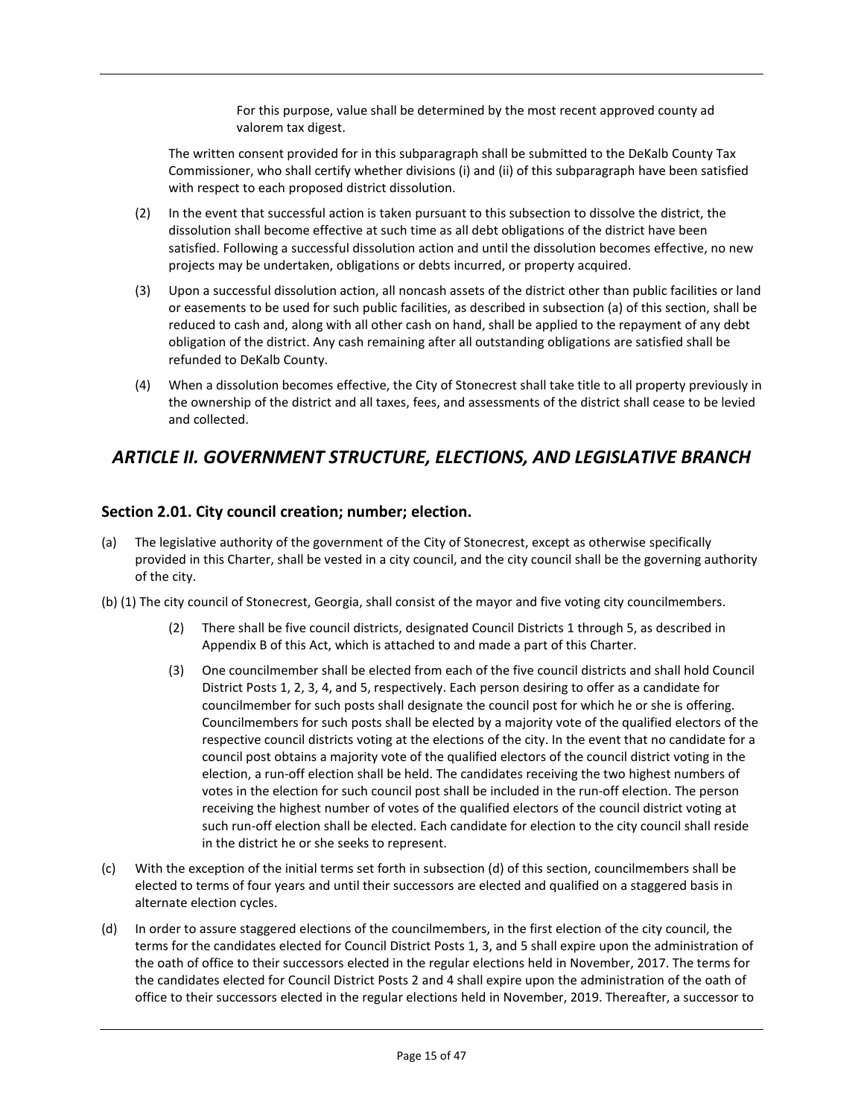For this purpose, value shall be determined by the most recent approved county ad valorem tax digest.

The written consent provided for in this subparagraph shall be submitted to the DeKalb County Tax Commissioner, who shall certify whether divisions (i) and (ii) of this subparagraph have been satisfied with respect to each proposed district dissolution.

- (2) In the event that successful action is taken pursuant to this subsection to dissolve the district, the dissolution shall become effective at such time as all debt obligations of the district have been satisfied. Following a successful dissolution action and until the dissolution becomes effective, no new projects may be undertaken, obligations or debts incurred, or property acquired.
- (3) Upon a successful dissolution action, all noncash assets of the district other than public facilities or land or easements to be used for such public facilities, as described in subsection (a) of this section, shall be reduced to cash and, along with all other cash on hand, shall be applied to the repayment of any debt obligation of the district. Any cash remaining after all outstanding obligations are satisfied shall be refunded to DeKalb County.
- (4) When a dissolution becomes effective, the City of Stonecrest shall take title to all property previously in the ownership of the district and all taxes, fees, and assessments of the district shall cease to be levied and collected.

# *ARTICLE II. GOVERNMENT STRUCTURE, ELECTIONS, AND LEGISLATIVE BRANCH*

## **Section 2.01. City council creation; number; election.**

- (a) The legislative authority of the government of the City of Stonecrest, except as otherwise specifically provided in this Charter, shall be vested in a city council, and the city council shall be the governing authority of the city.
- (b) (1) The city council of Stonecrest, Georgia, shall consist of the mayor and five voting city councilmembers.
	- (2) There shall be five council districts, designated Council Districts 1 through 5, as described in Appendix B of this Act, which is attached to and made a part of this Charter.
	- (3) One councilmember shall be elected from each of the five council districts and shall hold Council District Posts 1, 2, 3, 4, and 5, respectively. Each person desiring to offer as a candidate for councilmember for such posts shall designate the council post for which he or she is offering. Councilmembers for such posts shall be elected by a majority vote of the qualified electors of the respective council districts voting at the elections of the city. In the event that no candidate for a council post obtains a majority vote of the qualified electors of the council district voting in the election, a run-off election shall be held. The candidates receiving the two highest numbers of votes in the election for such council post shall be included in the run-off election. The person receiving the highest number of votes of the qualified electors of the council district voting at such run-off election shall be elected. Each candidate for election to the city council shall reside in the district he or she seeks to represent.
- (c) With the exception of the initial terms set forth in subsection (d) of this section, councilmembers shall be elected to terms of four years and until their successors are elected and qualified on a staggered basis in alternate election cycles.
- (d) In order to assure staggered elections of the councilmembers, in the first election of the city council, the terms for the candidates elected for Council District Posts 1, 3, and 5 shall expire upon the administration of the oath of office to their successors elected in the regular elections held in November, 2017. The terms for the candidates elected for Council District Posts 2 and 4 shall expire upon the administration of the oath of office to their successors elected in the regular elections held in November, 2019. Thereafter, a successor to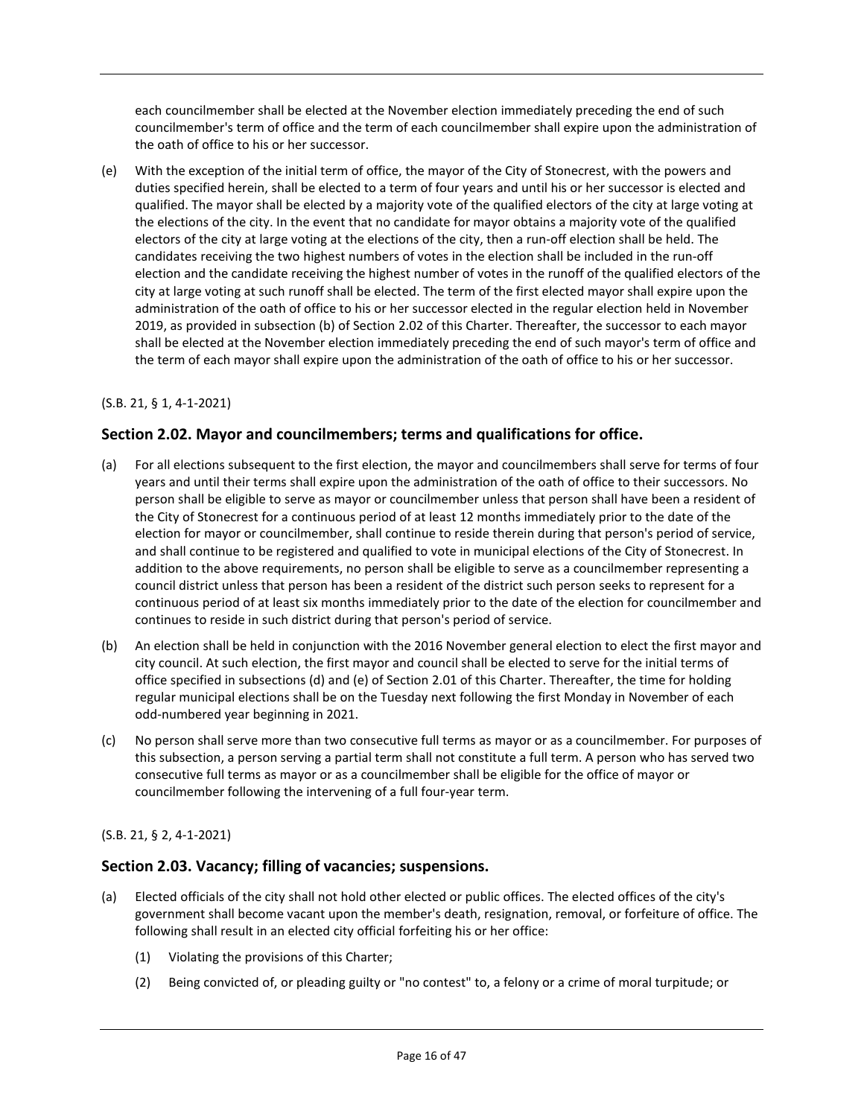each councilmember shall be elected at the November election immediately preceding the end of such councilmember's term of office and the term of each councilmember shall expire upon the administration of the oath of office to his or her successor.

(e) With the exception of the initial term of office, the mayor of the City of Stonecrest, with the powers and duties specified herein, shall be elected to a term of four years and until his or her successor is elected and qualified. The mayor shall be elected by a majority vote of the qualified electors of the city at large voting at the elections of the city. In the event that no candidate for mayor obtains a majority vote of the qualified electors of the city at large voting at the elections of the city, then a run-off election shall be held. The candidates receiving the two highest numbers of votes in the election shall be included in the run-off election and the candidate receiving the highest number of votes in the runoff of the qualified electors of the city at large voting at such runoff shall be elected. The term of the first elected mayor shall expire upon the administration of the oath of office to his or her successor elected in the regular election held in November 2019, as provided in subsection (b) of Section 2.02 of this Charter. Thereafter, the successor to each mayor shall be elected at the November election immediately preceding the end of such mayor's term of office and the term of each mayor shall expire upon the administration of the oath of office to his or her successor.

## (S.B. 21, § 1, 4-1-2021)

## **Section 2.02. Mayor and councilmembers; terms and qualifications for office.**

- (a) For all elections subsequent to the first election, the mayor and councilmembers shall serve for terms of four years and until their terms shall expire upon the administration of the oath of office to their successors. No person shall be eligible to serve as mayor or councilmember unless that person shall have been a resident of the City of Stonecrest for a continuous period of at least 12 months immediately prior to the date of the election for mayor or councilmember, shall continue to reside therein during that person's period of service, and shall continue to be registered and qualified to vote in municipal elections of the City of Stonecrest. In addition to the above requirements, no person shall be eligible to serve as a councilmember representing a council district unless that person has been a resident of the district such person seeks to represent for a continuous period of at least six months immediately prior to the date of the election for councilmember and continues to reside in such district during that person's period of service.
- (b) An election shall be held in conjunction with the 2016 November general election to elect the first mayor and city council. At such election, the first mayor and council shall be elected to serve for the initial terms of office specified in subsections (d) and (e) of Section 2.01 of this Charter. Thereafter, the time for holding regular municipal elections shall be on the Tuesday next following the first Monday in November of each odd-numbered year beginning in 2021.
- (c) No person shall serve more than two consecutive full terms as mayor or as a councilmember. For purposes of this subsection, a person serving a partial term shall not constitute a full term. A person who has served two consecutive full terms as mayor or as a councilmember shall be eligible for the office of mayor or councilmember following the intervening of a full four-year term.

#### (S.B. 21, § 2, 4-1-2021)

## **Section 2.03. Vacancy; filling of vacancies; suspensions.**

- (a) Elected officials of the city shall not hold other elected or public offices. The elected offices of the city's government shall become vacant upon the member's death, resignation, removal, or forfeiture of office. The following shall result in an elected city official forfeiting his or her office:
	- (1) Violating the provisions of this Charter;
	- (2) Being convicted of, or pleading guilty or "no contest" to, a felony or a crime of moral turpitude; or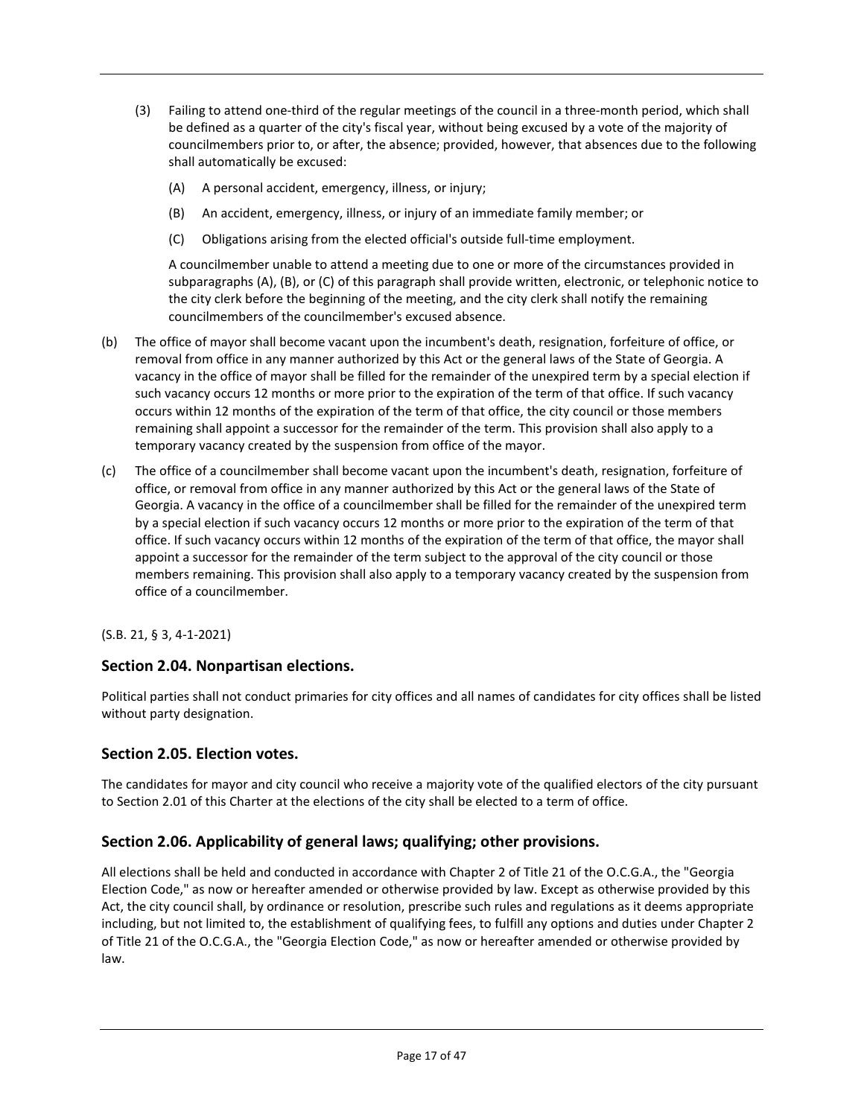- (3) Failing to attend one-third of the regular meetings of the council in a three-month period, which shall be defined as a quarter of the city's fiscal year, without being excused by a vote of the majority of councilmembers prior to, or after, the absence; provided, however, that absences due to the following shall automatically be excused:
	- (A) A personal accident, emergency, illness, or injury;
	- (B) An accident, emergency, illness, or injury of an immediate family member; or
	- (C) Obligations arising from the elected official's outside full-time employment.

A councilmember unable to attend a meeting due to one or more of the circumstances provided in subparagraphs (A), (B), or (C) of this paragraph shall provide written, electronic, or telephonic notice to the city clerk before the beginning of the meeting, and the city clerk shall notify the remaining councilmembers of the councilmember's excused absence.

- (b) The office of mayor shall become vacant upon the incumbent's death, resignation, forfeiture of office, or removal from office in any manner authorized by this Act or the general laws of the State of Georgia. A vacancy in the office of mayor shall be filled for the remainder of the unexpired term by a special election if such vacancy occurs 12 months or more prior to the expiration of the term of that office. If such vacancy occurs within 12 months of the expiration of the term of that office, the city council or those members remaining shall appoint a successor for the remainder of the term. This provision shall also apply to a temporary vacancy created by the suspension from office of the mayor.
- (c) The office of a councilmember shall become vacant upon the incumbent's death, resignation, forfeiture of office, or removal from office in any manner authorized by this Act or the general laws of the State of Georgia. A vacancy in the office of a councilmember shall be filled for the remainder of the unexpired term by a special election if such vacancy occurs 12 months or more prior to the expiration of the term of that office. If such vacancy occurs within 12 months of the expiration of the term of that office, the mayor shall appoint a successor for the remainder of the term subject to the approval of the city council or those members remaining. This provision shall also apply to a temporary vacancy created by the suspension from office of a councilmember.

(S.B. 21, § 3, 4-1-2021)

#### **Section 2.04. Nonpartisan elections.**

Political parties shall not conduct primaries for city offices and all names of candidates for city offices shall be listed without party designation.

#### **Section 2.05. Election votes.**

The candidates for mayor and city council who receive a majority vote of the qualified electors of the city pursuant to Section 2.01 of this Charter at the elections of the city shall be elected to a term of office.

#### **Section 2.06. Applicability of general laws; qualifying; other provisions.**

All elections shall be held and conducted in accordance with Chapter 2 of Title 21 of the O.C.G.A., the "Georgia Election Code," as now or hereafter amended or otherwise provided by law. Except as otherwise provided by this Act, the city council shall, by ordinance or resolution, prescribe such rules and regulations as it deems appropriate including, but not limited to, the establishment of qualifying fees, to fulfill any options and duties under Chapter 2 of Title 21 of the O.C.G.A., the "Georgia Election Code," as now or hereafter amended or otherwise provided by law.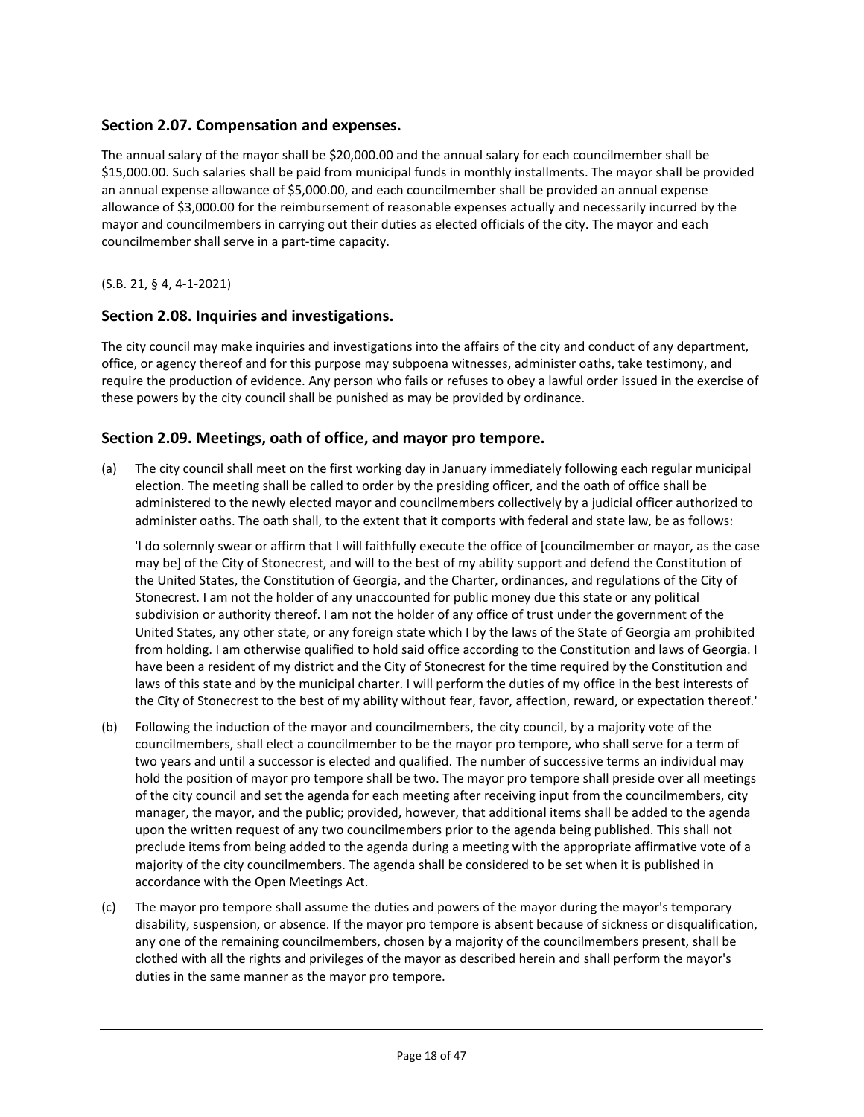## **Section 2.07. Compensation and expenses.**

The annual salary of the mayor shall be \$20,000.00 and the annual salary for each councilmember shall be \$15,000.00. Such salaries shall be paid from municipal funds in monthly installments. The mayor shall be provided an annual expense allowance of \$5,000.00, and each councilmember shall be provided an annual expense allowance of \$3,000.00 for the reimbursement of reasonable expenses actually and necessarily incurred by the mayor and councilmembers in carrying out their duties as elected officials of the city. The mayor and each councilmember shall serve in a part-time capacity.

(S.B. 21, § 4, 4-1-2021)

## **Section 2.08. Inquiries and investigations.**

The city council may make inquiries and investigations into the affairs of the city and conduct of any department, office, or agency thereof and for this purpose may subpoena witnesses, administer oaths, take testimony, and require the production of evidence. Any person who fails or refuses to obey a lawful order issued in the exercise of these powers by the city council shall be punished as may be provided by ordinance.

## **Section 2.09. Meetings, oath of office, and mayor pro tempore.**

(a) The city council shall meet on the first working day in January immediately following each regular municipal election. The meeting shall be called to order by the presiding officer, and the oath of office shall be administered to the newly elected mayor and councilmembers collectively by a judicial officer authorized to administer oaths. The oath shall, to the extent that it comports with federal and state law, be as follows:

'I do solemnly swear or affirm that I will faithfully execute the office of [councilmember or mayor, as the case may be] of the City of Stonecrest, and will to the best of my ability support and defend the Constitution of the United States, the Constitution of Georgia, and the Charter, ordinances, and regulations of the City of Stonecrest. I am not the holder of any unaccounted for public money due this state or any political subdivision or authority thereof. I am not the holder of any office of trust under the government of the United States, any other state, or any foreign state which I by the laws of the State of Georgia am prohibited from holding. I am otherwise qualified to hold said office according to the Constitution and laws of Georgia. I have been a resident of my district and the City of Stonecrest for the time required by the Constitution and laws of this state and by the municipal charter. I will perform the duties of my office in the best interests of the City of Stonecrest to the best of my ability without fear, favor, affection, reward, or expectation thereof.'

- (b) Following the induction of the mayor and councilmembers, the city council, by a majority vote of the councilmembers, shall elect a councilmember to be the mayor pro tempore, who shall serve for a term of two years and until a successor is elected and qualified. The number of successive terms an individual may hold the position of mayor pro tempore shall be two. The mayor pro tempore shall preside over all meetings of the city council and set the agenda for each meeting after receiving input from the councilmembers, city manager, the mayor, and the public; provided, however, that additional items shall be added to the agenda upon the written request of any two councilmembers prior to the agenda being published. This shall not preclude items from being added to the agenda during a meeting with the appropriate affirmative vote of a majority of the city councilmembers. The agenda shall be considered to be set when it is published in accordance with the Open Meetings Act.
- (c) The mayor pro tempore shall assume the duties and powers of the mayor during the mayor's temporary disability, suspension, or absence. If the mayor pro tempore is absent because of sickness or disqualification, any one of the remaining councilmembers, chosen by a majority of the councilmembers present, shall be clothed with all the rights and privileges of the mayor as described herein and shall perform the mayor's duties in the same manner as the mayor pro tempore.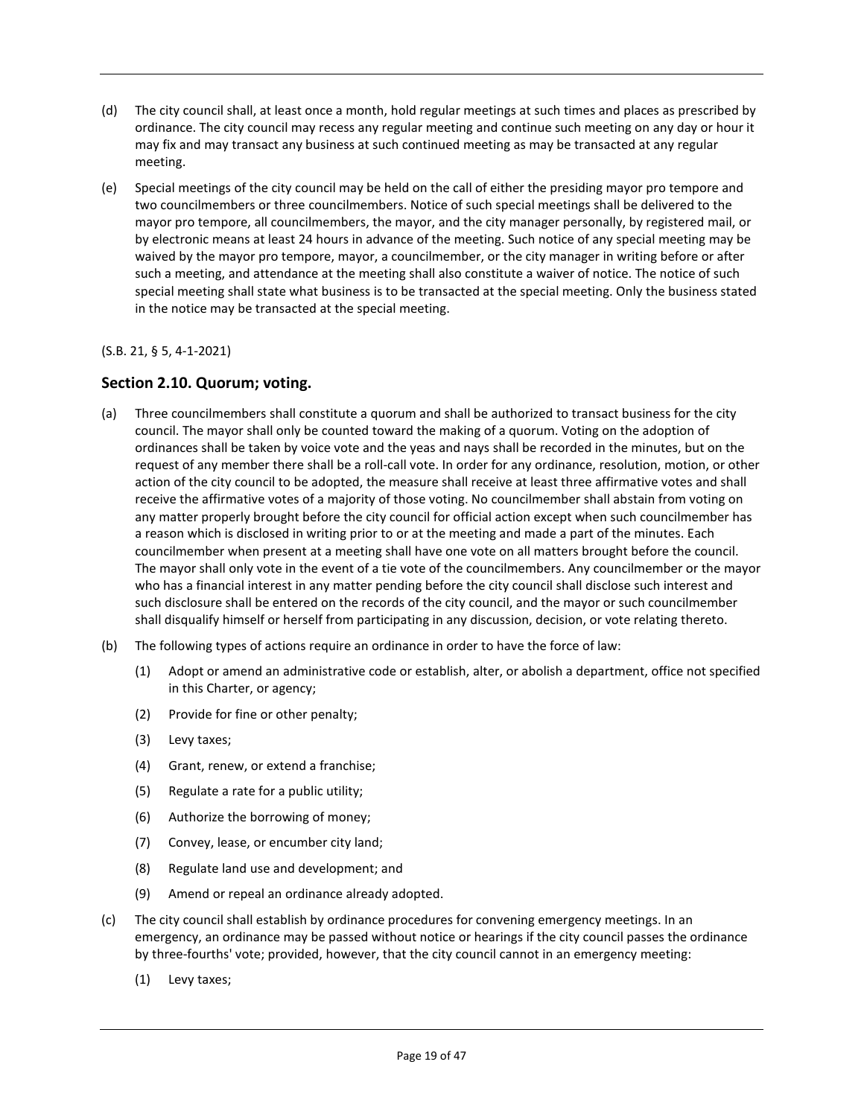- (d) The city council shall, at least once a month, hold regular meetings at such times and places as prescribed by ordinance. The city council may recess any regular meeting and continue such meeting on any day or hour it may fix and may transact any business at such continued meeting as may be transacted at any regular meeting.
- (e) Special meetings of the city council may be held on the call of either the presiding mayor pro tempore and two councilmembers or three councilmembers. Notice of such special meetings shall be delivered to the mayor pro tempore, all councilmembers, the mayor, and the city manager personally, by registered mail, or by electronic means at least 24 hours in advance of the meeting. Such notice of any special meeting may be waived by the mayor pro tempore, mayor, a councilmember, or the city manager in writing before or after such a meeting, and attendance at the meeting shall also constitute a waiver of notice. The notice of such special meeting shall state what business is to be transacted at the special meeting. Only the business stated in the notice may be transacted at the special meeting.

#### (S.B. 21, § 5, 4-1-2021)

## **Section 2.10. Quorum; voting.**

- (a) Three councilmembers shall constitute a quorum and shall be authorized to transact business for the city council. The mayor shall only be counted toward the making of a quorum. Voting on the adoption of ordinances shall be taken by voice vote and the yeas and nays shall be recorded in the minutes, but on the request of any member there shall be a roll-call vote. In order for any ordinance, resolution, motion, or other action of the city council to be adopted, the measure shall receive at least three affirmative votes and shall receive the affirmative votes of a majority of those voting. No councilmember shall abstain from voting on any matter properly brought before the city council for official action except when such councilmember has a reason which is disclosed in writing prior to or at the meeting and made a part of the minutes. Each councilmember when present at a meeting shall have one vote on all matters brought before the council. The mayor shall only vote in the event of a tie vote of the councilmembers. Any councilmember or the mayor who has a financial interest in any matter pending before the city council shall disclose such interest and such disclosure shall be entered on the records of the city council, and the mayor or such councilmember shall disqualify himself or herself from participating in any discussion, decision, or vote relating thereto.
- (b) The following types of actions require an ordinance in order to have the force of law:
	- (1) Adopt or amend an administrative code or establish, alter, or abolish a department, office not specified in this Charter, or agency;
	- (2) Provide for fine or other penalty;
	- (3) Levy taxes;
	- (4) Grant, renew, or extend a franchise;
	- (5) Regulate a rate for a public utility;
	- (6) Authorize the borrowing of money;
	- (7) Convey, lease, or encumber city land;
	- (8) Regulate land use and development; and
	- (9) Amend or repeal an ordinance already adopted.
- (c) The city council shall establish by ordinance procedures for convening emergency meetings. In an emergency, an ordinance may be passed without notice or hearings if the city council passes the ordinance by three-fourths' vote; provided, however, that the city council cannot in an emergency meeting:
	- (1) Levy taxes;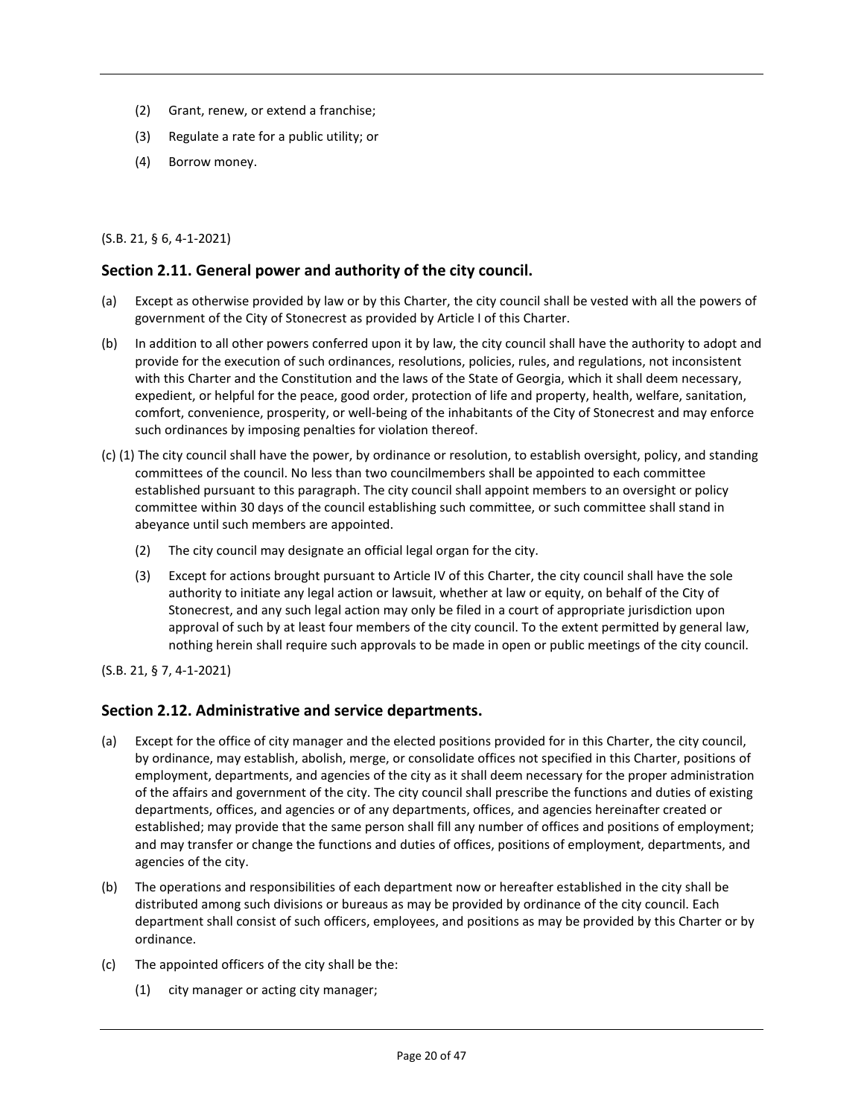- (2) Grant, renew, or extend a franchise;
- (3) Regulate a rate for a public utility; or
- (4) Borrow money.

(S.B. 21, § 6, 4-1-2021)

#### **Section 2.11. General power and authority of the city council.**

- (a) Except as otherwise provided by law or by this Charter, the city council shall be vested with all the powers of government of the City of Stonecrest as provided by Article I of this Charter.
- (b) In addition to all other powers conferred upon it by law, the city council shall have the authority to adopt and provide for the execution of such ordinances, resolutions, policies, rules, and regulations, not inconsistent with this Charter and the Constitution and the laws of the State of Georgia, which it shall deem necessary, expedient, or helpful for the peace, good order, protection of life and property, health, welfare, sanitation, comfort, convenience, prosperity, or well-being of the inhabitants of the City of Stonecrest and may enforce such ordinances by imposing penalties for violation thereof.
- (c) (1) The city council shall have the power, by ordinance or resolution, to establish oversight, policy, and standing committees of the council. No less than two councilmembers shall be appointed to each committee established pursuant to this paragraph. The city council shall appoint members to an oversight or policy committee within 30 days of the council establishing such committee, or such committee shall stand in abeyance until such members are appointed.
	- (2) The city council may designate an official legal organ for the city.
	- (3) Except for actions brought pursuant to Article IV of this Charter, the city council shall have the sole authority to initiate any legal action or lawsuit, whether at law or equity, on behalf of the City of Stonecrest, and any such legal action may only be filed in a court of appropriate jurisdiction upon approval of such by at least four members of the city council. To the extent permitted by general law, nothing herein shall require such approvals to be made in open or public meetings of the city council.

(S.B. 21, § 7, 4-1-2021)

#### **Section 2.12. Administrative and service departments.**

- (a) Except for the office of city manager and the elected positions provided for in this Charter, the city council, by ordinance, may establish, abolish, merge, or consolidate offices not specified in this Charter, positions of employment, departments, and agencies of the city as it shall deem necessary for the proper administration of the affairs and government of the city. The city council shall prescribe the functions and duties of existing departments, offices, and agencies or of any departments, offices, and agencies hereinafter created or established; may provide that the same person shall fill any number of offices and positions of employment; and may transfer or change the functions and duties of offices, positions of employment, departments, and agencies of the city.
- (b) The operations and responsibilities of each department now or hereafter established in the city shall be distributed among such divisions or bureaus as may be provided by ordinance of the city council. Each department shall consist of such officers, employees, and positions as may be provided by this Charter or by ordinance.
- (c) The appointed officers of the city shall be the:
	- (1) city manager or acting city manager;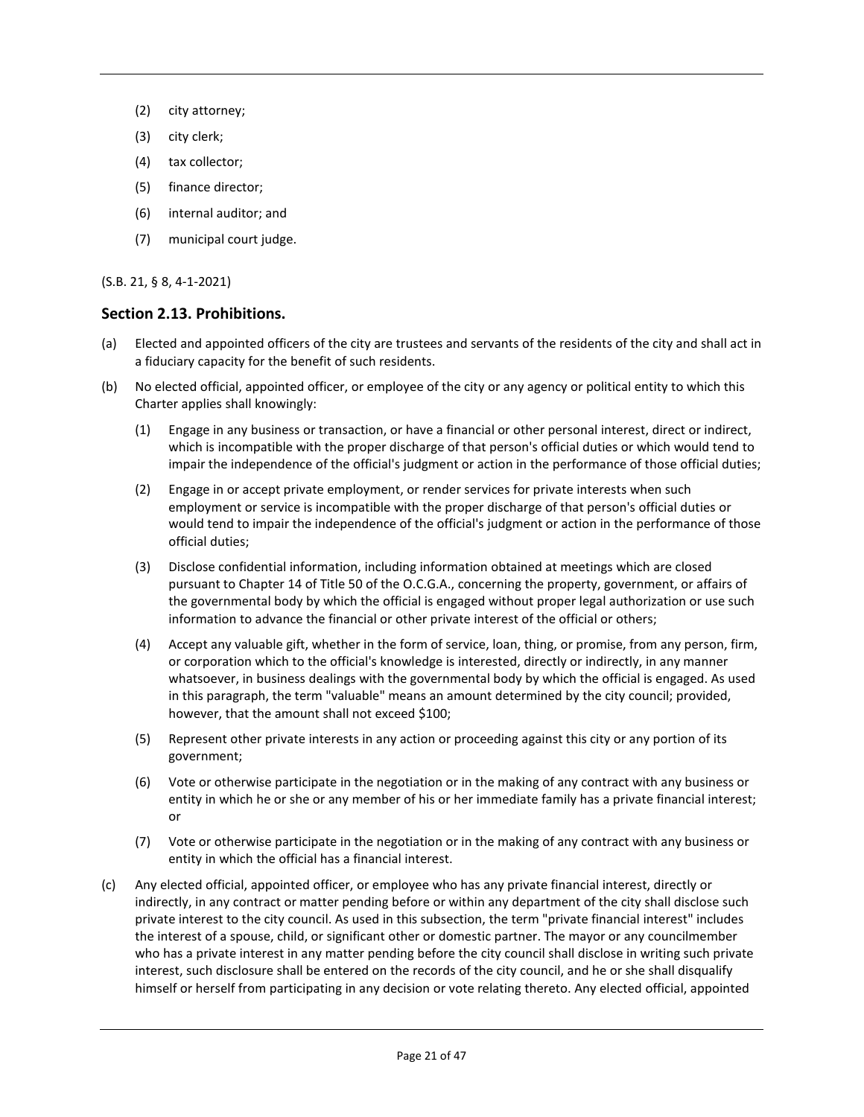- (2) city attorney;
- (3) city clerk;
- (4) tax collector;
- (5) finance director;
- (6) internal auditor; and
- (7) municipal court judge.

#### (S.B. 21, § 8, 4-1-2021)

#### **Section 2.13. Prohibitions.**

- (a) Elected and appointed officers of the city are trustees and servants of the residents of the city and shall act in a fiduciary capacity for the benefit of such residents.
- (b) No elected official, appointed officer, or employee of the city or any agency or political entity to which this Charter applies shall knowingly:
	- (1) Engage in any business or transaction, or have a financial or other personal interest, direct or indirect, which is incompatible with the proper discharge of that person's official duties or which would tend to impair the independence of the official's judgment or action in the performance of those official duties;
	- (2) Engage in or accept private employment, or render services for private interests when such employment or service is incompatible with the proper discharge of that person's official duties or would tend to impair the independence of the official's judgment or action in the performance of those official duties;
	- (3) Disclose confidential information, including information obtained at meetings which are closed pursuant to Chapter 14 of Title 50 of the O.C.G.A., concerning the property, government, or affairs of the governmental body by which the official is engaged without proper legal authorization or use such information to advance the financial or other private interest of the official or others;
	- (4) Accept any valuable gift, whether in the form of service, loan, thing, or promise, from any person, firm, or corporation which to the official's knowledge is interested, directly or indirectly, in any manner whatsoever, in business dealings with the governmental body by which the official is engaged. As used in this paragraph, the term "valuable" means an amount determined by the city council; provided, however, that the amount shall not exceed \$100;
	- (5) Represent other private interests in any action or proceeding against this city or any portion of its government;
	- (6) Vote or otherwise participate in the negotiation or in the making of any contract with any business or entity in which he or she or any member of his or her immediate family has a private financial interest; or
	- (7) Vote or otherwise participate in the negotiation or in the making of any contract with any business or entity in which the official has a financial interest.
- (c) Any elected official, appointed officer, or employee who has any private financial interest, directly or indirectly, in any contract or matter pending before or within any department of the city shall disclose such private interest to the city council. As used in this subsection, the term "private financial interest" includes the interest of a spouse, child, or significant other or domestic partner. The mayor or any councilmember who has a private interest in any matter pending before the city council shall disclose in writing such private interest, such disclosure shall be entered on the records of the city council, and he or she shall disqualify himself or herself from participating in any decision or vote relating thereto. Any elected official, appointed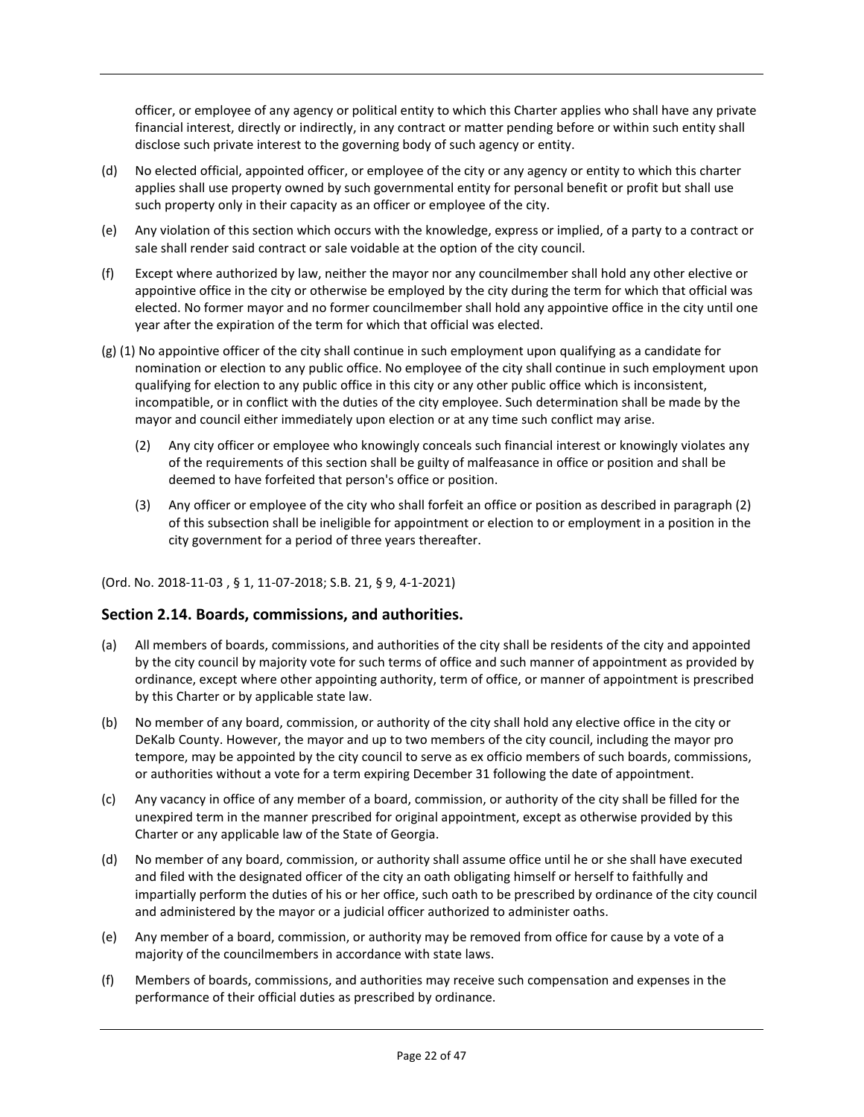officer, or employee of any agency or political entity to which this Charter applies who shall have any private financial interest, directly or indirectly, in any contract or matter pending before or within such entity shall disclose such private interest to the governing body of such agency or entity.

- (d) No elected official, appointed officer, or employee of the city or any agency or entity to which this charter applies shall use property owned by such governmental entity for personal benefit or profit but shall use such property only in their capacity as an officer or employee of the city.
- (e) Any violation of this section which occurs with the knowledge, express or implied, of a party to a contract or sale shall render said contract or sale voidable at the option of the city council.
- (f) Except where authorized by law, neither the mayor nor any councilmember shall hold any other elective or appointive office in the city or otherwise be employed by the city during the term for which that official was elected. No former mayor and no former councilmember shall hold any appointive office in the city until one year after the expiration of the term for which that official was elected.
- (g) (1) No appointive officer of the city shall continue in such employment upon qualifying as a candidate for nomination or election to any public office. No employee of the city shall continue in such employment upon qualifying for election to any public office in this city or any other public office which is inconsistent, incompatible, or in conflict with the duties of the city employee. Such determination shall be made by the mayor and council either immediately upon election or at any time such conflict may arise.
	- (2) Any city officer or employee who knowingly conceals such financial interest or knowingly violates any of the requirements of this section shall be guilty of malfeasance in office or position and shall be deemed to have forfeited that person's office or position.
	- (3) Any officer or employee of the city who shall forfeit an office or position as described in paragraph (2) of this subsection shall be ineligible for appointment or election to or employment in a position in the city government for a period of three years thereafter.

#### (Ord. No. 2018-11-03 [,](https://library.municode.com/ga/jonesboro/ordinances/code_of_ordinances?nodeId=808469) § 1, 11-07-2018; S.B. 21, § 9, 4-1-2021)

#### **Section 2.14. Boards, commissions, and authorities.**

- (a) All members of boards, commissions, and authorities of the city shall be residents of the city and appointed by the city council by majority vote for such terms of office and such manner of appointment as provided by ordinance, except where other appointing authority, term of office, or manner of appointment is prescribed by this Charter or by applicable state law.
- (b) No member of any board, commission, or authority of the city shall hold any elective office in the city or DeKalb County. However, the mayor and up to two members of the city council, including the mayor pro tempore, may be appointed by the city council to serve as ex officio members of such boards, commissions, or authorities without a vote for a term expiring December 31 following the date of appointment.
- (c) Any vacancy in office of any member of a board, commission, or authority of the city shall be filled for the unexpired term in the manner prescribed for original appointment, except as otherwise provided by this Charter or any applicable law of the State of Georgia.
- (d) No member of any board, commission, or authority shall assume office until he or she shall have executed and filed with the designated officer of the city an oath obligating himself or herself to faithfully and impartially perform the duties of his or her office, such oath to be prescribed by ordinance of the city council and administered by the mayor or a judicial officer authorized to administer oaths.
- (e) Any member of a board, commission, or authority may be removed from office for cause by a vote of a majority of the councilmembers in accordance with state laws.
- (f) Members of boards, commissions, and authorities may receive such compensation and expenses in the performance of their official duties as prescribed by ordinance.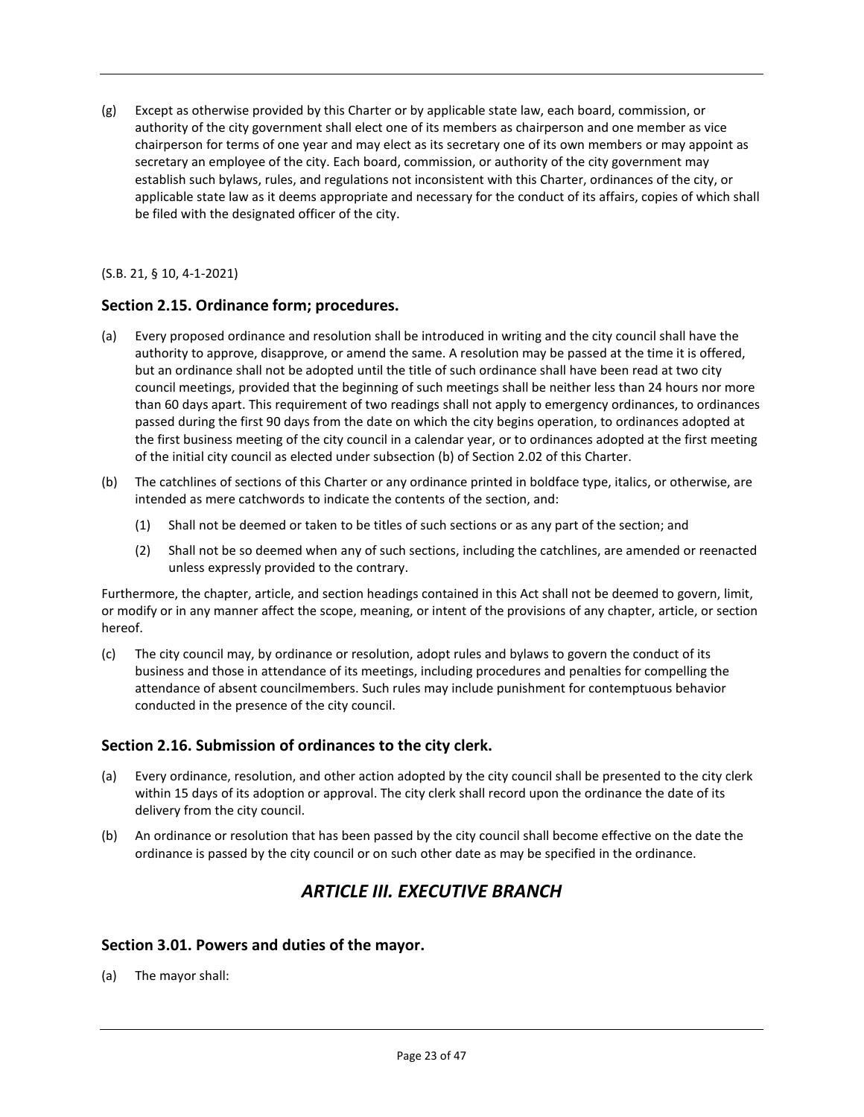(g) Except as otherwise provided by this Charter or by applicable state law, each board, commission, or authority of the city government shall elect one of its members as chairperson and one member as vice chairperson for terms of one year and may elect as its secretary one of its own members or may appoint as secretary an employee of the city. Each board, commission, or authority of the city government may establish such bylaws, rules, and regulations not inconsistent with this Charter, ordinances of the city, or applicable state law as it deems appropriate and necessary for the conduct of its affairs, copies of which shall be filed with the designated officer of the city.

(S.B. 21, § 10, 4-1-2021)

## **Section 2.15. Ordinance form; procedures.**

- (a) Every proposed ordinance and resolution shall be introduced in writing and the city council shall have the authority to approve, disapprove, or amend the same. A resolution may be passed at the time it is offered, but an ordinance shall not be adopted until the title of such ordinance shall have been read at two city council meetings, provided that the beginning of such meetings shall be neither less than 24 hours nor more than 60 days apart. This requirement of two readings shall not apply to emergency ordinances, to ordinances passed during the first 90 days from the date on which the city begins operation, to ordinances adopted at the first business meeting of the city council in a calendar year, or to ordinances adopted at the first meeting of the initial city council as elected under subsection (b) of Section 2.02 of this Charter.
- (b) The catchlines of sections of this Charter or any ordinance printed in boldface type, italics, or otherwise, are intended as mere catchwords to indicate the contents of the section, and:
	- (1) Shall not be deemed or taken to be titles of such sections or as any part of the section; and
	- (2) Shall not be so deemed when any of such sections, including the catchlines, are amended or reenacted unless expressly provided to the contrary.

Furthermore, the chapter, article, and section headings contained in this Act shall not be deemed to govern, limit, or modify or in any manner affect the scope, meaning, or intent of the provisions of any chapter, article, or section hereof.

(c) The city council may, by ordinance or resolution, adopt rules and bylaws to govern the conduct of its business and those in attendance of its meetings, including procedures and penalties for compelling the attendance of absent councilmembers. Such rules may include punishment for contemptuous behavior conducted in the presence of the city council.

#### **Section 2.16. Submission of ordinances to the city clerk.**

- (a) Every ordinance, resolution, and other action adopted by the city council shall be presented to the city clerk within 15 days of its adoption or approval. The city clerk shall record upon the ordinance the date of its delivery from the city council.
- (b) An ordinance or resolution that has been passed by the city council shall become effective on the date the ordinance is passed by the city council or on such other date as may be specified in the ordinance.

# *ARTICLE III. EXECUTIVE BRANCH*

#### **Section 3.01. Powers and duties of the mayor.**

(a) The mayor shall: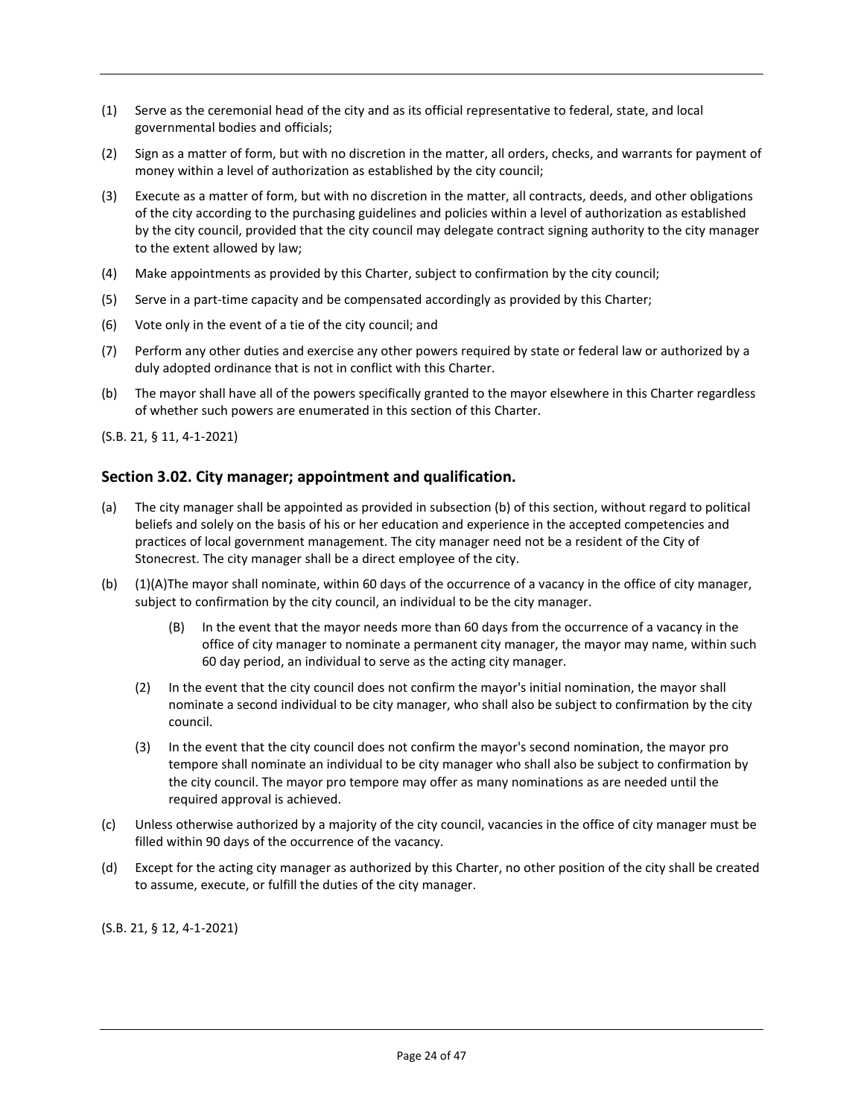- (1) Serve as the ceremonial head of the city and as its official representative to federal, state, and local governmental bodies and officials;
- (2) Sign as a matter of form, but with no discretion in the matter, all orders, checks, and warrants for payment of money within a level of authorization as established by the city council;
- (3) Execute as a matter of form, but with no discretion in the matter, all contracts, deeds, and other obligations of the city according to the purchasing guidelines and policies within a level of authorization as established by the city council, provided that the city council may delegate contract signing authority to the city manager to the extent allowed by law;
- (4) Make appointments as provided by this Charter, subject to confirmation by the city council;
- (5) Serve in a part-time capacity and be compensated accordingly as provided by this Charter;
- (6) Vote only in the event of a tie of the city council; and
- (7) Perform any other duties and exercise any other powers required by state or federal law or authorized by a duly adopted ordinance that is not in conflict with this Charter.
- (b) The mayor shall have all of the powers specifically granted to the mayor elsewhere in this Charter regardless of whether such powers are enumerated in this section of this Charter.

(S.B. 21, § 11, 4-1-2021)

## **Section 3.02. City manager; appointment and qualification.**

- (a) The city manager shall be appointed as provided in subsection (b) of this section, without regard to political beliefs and solely on the basis of his or her education and experience in the accepted competencies and practices of local government management. The city manager need not be a resident of the City of Stonecrest. The city manager shall be a direct employee of the city.
- (b) (1)(A)The mayor shall nominate, within 60 days of the occurrence of a vacancy in the office of city manager, subject to confirmation by the city council, an individual to be the city manager.
	- (B) In the event that the mayor needs more than 60 days from the occurrence of a vacancy in the office of city manager to nominate a permanent city manager, the mayor may name, within such 60 day period, an individual to serve as the acting city manager.
	- (2) In the event that the city council does not confirm the mayor's initial nomination, the mayor shall nominate a second individual to be city manager, who shall also be subject to confirmation by the city council.
	- (3) In the event that the city council does not confirm the mayor's second nomination, the mayor pro tempore shall nominate an individual to be city manager who shall also be subject to confirmation by the city council. The mayor pro tempore may offer as many nominations as are needed until the required approval is achieved.
- (c) Unless otherwise authorized by a majority of the city council, vacancies in the office of city manager must be filled within 90 days of the occurrence of the vacancy.
- (d) Except for the acting city manager as authorized by this Charter, no other position of the city shall be created to assume, execute, or fulfill the duties of the city manager.

(S.B. 21, § 12, 4-1-2021)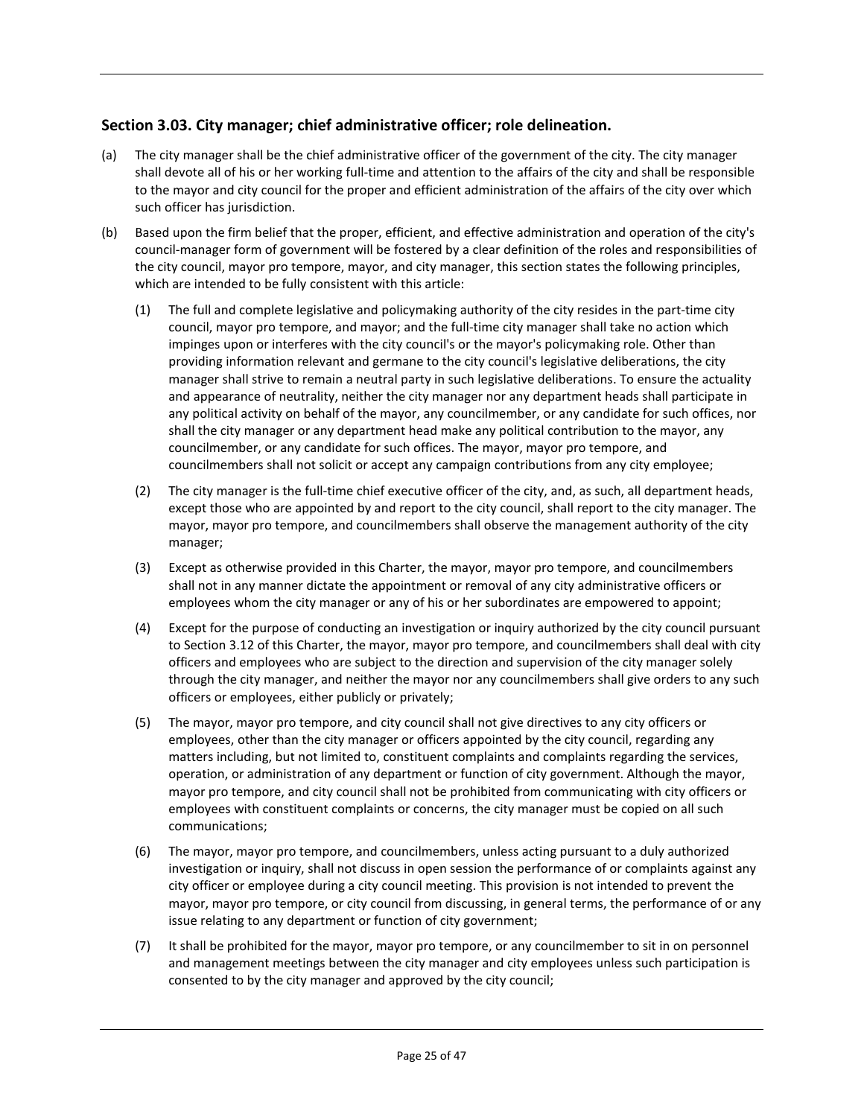## **Section 3.03. City manager; chief administrative officer; role delineation.**

- (a) The city manager shall be the chief administrative officer of the government of the city. The city manager shall devote all of his or her working full-time and attention to the affairs of the city and shall be responsible to the mayor and city council for the proper and efficient administration of the affairs of the city over which such officer has jurisdiction.
- (b) Based upon the firm belief that the proper, efficient, and effective administration and operation of the city's council-manager form of government will be fostered by a clear definition of the roles and responsibilities of the city council, mayor pro tempore, mayor, and city manager, this section states the following principles, which are intended to be fully consistent with this article:
	- (1) The full and complete legislative and policymaking authority of the city resides in the part-time city council, mayor pro tempore, and mayor; and the full-time city manager shall take no action which impinges upon or interferes with the city council's or the mayor's policymaking role. Other than providing information relevant and germane to the city council's legislative deliberations, the city manager shall strive to remain a neutral party in such legislative deliberations. To ensure the actuality and appearance of neutrality, neither the city manager nor any department heads shall participate in any political activity on behalf of the mayor, any councilmember, or any candidate for such offices, nor shall the city manager or any department head make any political contribution to the mayor, any councilmember, or any candidate for such offices. The mayor, mayor pro tempore, and councilmembers shall not solicit or accept any campaign contributions from any city employee;
	- (2) The city manager is the full-time chief executive officer of the city, and, as such, all department heads, except those who are appointed by and report to the city council, shall report to the city manager. The mayor, mayor pro tempore, and councilmembers shall observe the management authority of the city manager;
	- (3) Except as otherwise provided in this Charter, the mayor, mayor pro tempore, and councilmembers shall not in any manner dictate the appointment or removal of any city administrative officers or employees whom the city manager or any of his or her subordinates are empowered to appoint;
	- (4) Except for the purpose of conducting an investigation or inquiry authorized by the city council pursuant to Section 3.12 of this Charter, the mayor, mayor pro tempore, and councilmembers shall deal with city officers and employees who are subject to the direction and supervision of the city manager solely through the city manager, and neither the mayor nor any councilmembers shall give orders to any such officers or employees, either publicly or privately;
	- (5) The mayor, mayor pro tempore, and city council shall not give directives to any city officers or employees, other than the city manager or officers appointed by the city council, regarding any matters including, but not limited to, constituent complaints and complaints regarding the services, operation, or administration of any department or function of city government. Although the mayor, mayor pro tempore, and city council shall not be prohibited from communicating with city officers or employees with constituent complaints or concerns, the city manager must be copied on all such communications;
	- (6) The mayor, mayor pro tempore, and councilmembers, unless acting pursuant to a duly authorized investigation or inquiry, shall not discuss in open session the performance of or complaints against any city officer or employee during a city council meeting. This provision is not intended to prevent the mayor, mayor pro tempore, or city council from discussing, in general terms, the performance of or any issue relating to any department or function of city government;
	- (7) It shall be prohibited for the mayor, mayor pro tempore, or any councilmember to sit in on personnel and management meetings between the city manager and city employees unless such participation is consented to by the city manager and approved by the city council;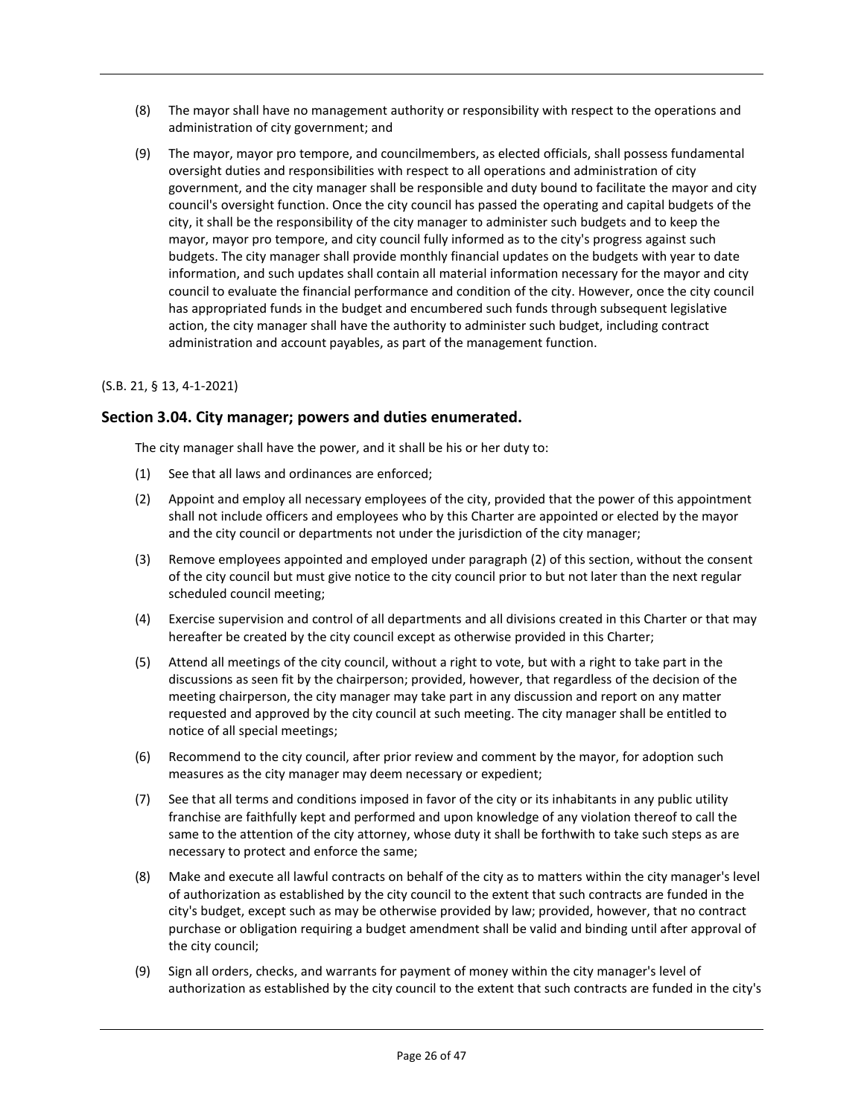- (8) The mayor shall have no management authority or responsibility with respect to the operations and administration of city government; and
- (9) The mayor, mayor pro tempore, and councilmembers, as elected officials, shall possess fundamental oversight duties and responsibilities with respect to all operations and administration of city government, and the city manager shall be responsible and duty bound to facilitate the mayor and city council's oversight function. Once the city council has passed the operating and capital budgets of the city, it shall be the responsibility of the city manager to administer such budgets and to keep the mayor, mayor pro tempore, and city council fully informed as to the city's progress against such budgets. The city manager shall provide monthly financial updates on the budgets with year to date information, and such updates shall contain all material information necessary for the mayor and city council to evaluate the financial performance and condition of the city. However, once the city council has appropriated funds in the budget and encumbered such funds through subsequent legislative action, the city manager shall have the authority to administer such budget, including contract administration and account payables, as part of the management function.

#### (S.B. 21, § 13, 4-1-2021)

#### **Section 3.04. City manager; powers and duties enumerated.**

The city manager shall have the power, and it shall be his or her duty to:

- (1) See that all laws and ordinances are enforced;
- (2) Appoint and employ all necessary employees of the city, provided that the power of this appointment shall not include officers and employees who by this Charter are appointed or elected by the mayor and the city council or departments not under the jurisdiction of the city manager;
- (3) Remove employees appointed and employed under paragraph (2) of this section, without the consent of the city council but must give notice to the city council prior to but not later than the next regular scheduled council meeting;
- (4) Exercise supervision and control of all departments and all divisions created in this Charter or that may hereafter be created by the city council except as otherwise provided in this Charter;
- (5) Attend all meetings of the city council, without a right to vote, but with a right to take part in the discussions as seen fit by the chairperson; provided, however, that regardless of the decision of the meeting chairperson, the city manager may take part in any discussion and report on any matter requested and approved by the city council at such meeting. The city manager shall be entitled to notice of all special meetings;
- (6) Recommend to the city council, after prior review and comment by the mayor, for adoption such measures as the city manager may deem necessary or expedient;
- (7) See that all terms and conditions imposed in favor of the city or its inhabitants in any public utility franchise are faithfully kept and performed and upon knowledge of any violation thereof to call the same to the attention of the city attorney, whose duty it shall be forthwith to take such steps as are necessary to protect and enforce the same;
- (8) Make and execute all lawful contracts on behalf of the city as to matters within the city manager's level of authorization as established by the city council to the extent that such contracts are funded in the city's budget, except such as may be otherwise provided by law; provided, however, that no contract purchase or obligation requiring a budget amendment shall be valid and binding until after approval of the city council;
- (9) Sign all orders, checks, and warrants for payment of money within the city manager's level of authorization as established by the city council to the extent that such contracts are funded in the city's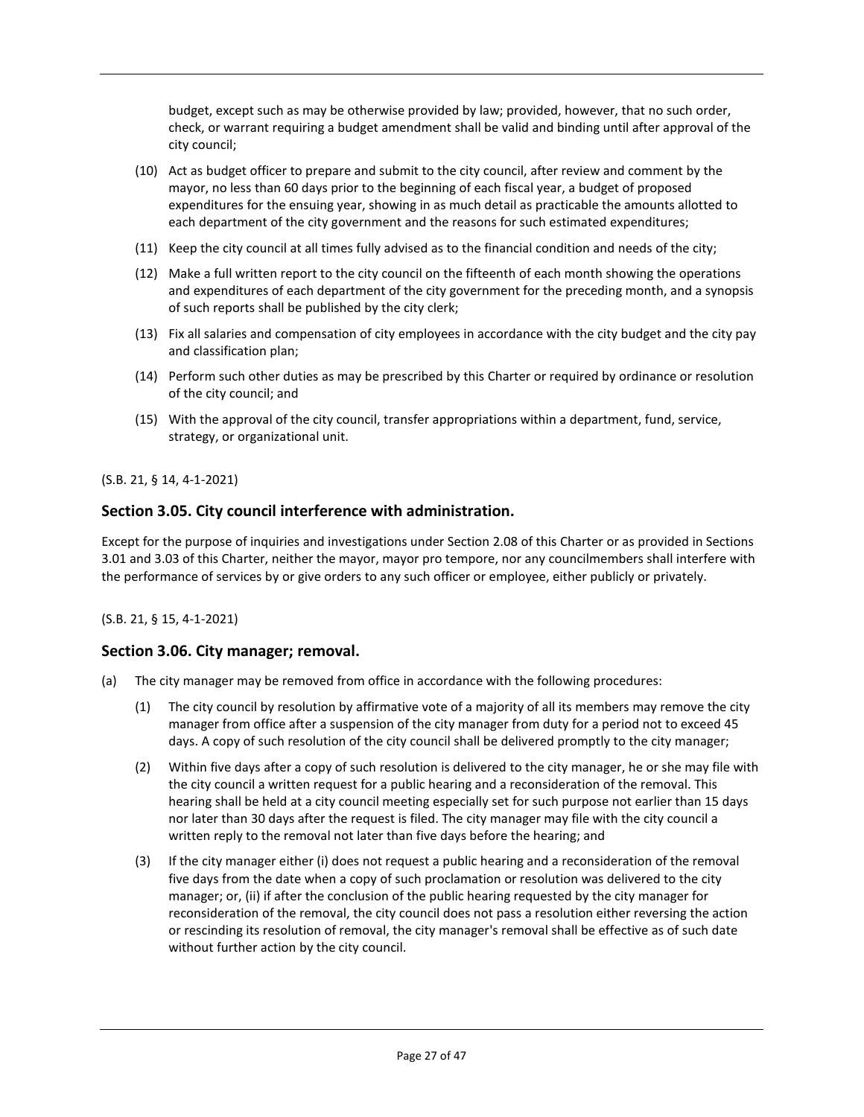budget, except such as may be otherwise provided by law; provided, however, that no such order, check, or warrant requiring a budget amendment shall be valid and binding until after approval of the city council;

- (10) Act as budget officer to prepare and submit to the city council, after review and comment by the mayor, no less than 60 days prior to the beginning of each fiscal year, a budget of proposed expenditures for the ensuing year, showing in as much detail as practicable the amounts allotted to each department of the city government and the reasons for such estimated expenditures;
- (11) Keep the city council at all times fully advised as to the financial condition and needs of the city;
- (12) Make a full written report to the city council on the fifteenth of each month showing the operations and expenditures of each department of the city government for the preceding month, and a synopsis of such reports shall be published by the city clerk;
- (13) Fix all salaries and compensation of city employees in accordance with the city budget and the city pay and classification plan;
- (14) Perform such other duties as may be prescribed by this Charter or required by ordinance or resolution of the city council; and
- (15) With the approval of the city council, transfer appropriations within a department, fund, service, strategy, or organizational unit.

#### (S.B. 21, § 14, 4-1-2021)

## **Section 3.05. City council interference with administration.**

Except for the purpose of inquiries and investigations under Section 2.08 of this Charter or as provided in Sections 3.01 and 3.03 of this Charter, neither the mayor, mayor pro tempore, nor any councilmembers shall interfere with the performance of services by or give orders to any such officer or employee, either publicly or privately.

#### (S.B. 21, § 15, 4-1-2021)

#### **Section 3.06. City manager; removal.**

- (a) The city manager may be removed from office in accordance with the following procedures:
	- (1) The city council by resolution by affirmative vote of a majority of all its members may remove the city manager from office after a suspension of the city manager from duty for a period not to exceed 45 days. A copy of such resolution of the city council shall be delivered promptly to the city manager;
	- (2) Within five days after a copy of such resolution is delivered to the city manager, he or she may file with the city council a written request for a public hearing and a reconsideration of the removal. This hearing shall be held at a city council meeting especially set for such purpose not earlier than 15 days nor later than 30 days after the request is filed. The city manager may file with the city council a written reply to the removal not later than five days before the hearing; and
	- (3) If the city manager either (i) does not request a public hearing and a reconsideration of the removal five days from the date when a copy of such proclamation or resolution was delivered to the city manager; or, (ii) if after the conclusion of the public hearing requested by the city manager for reconsideration of the removal, the city council does not pass a resolution either reversing the action or rescinding its resolution of removal, the city manager's removal shall be effective as of such date without further action by the city council.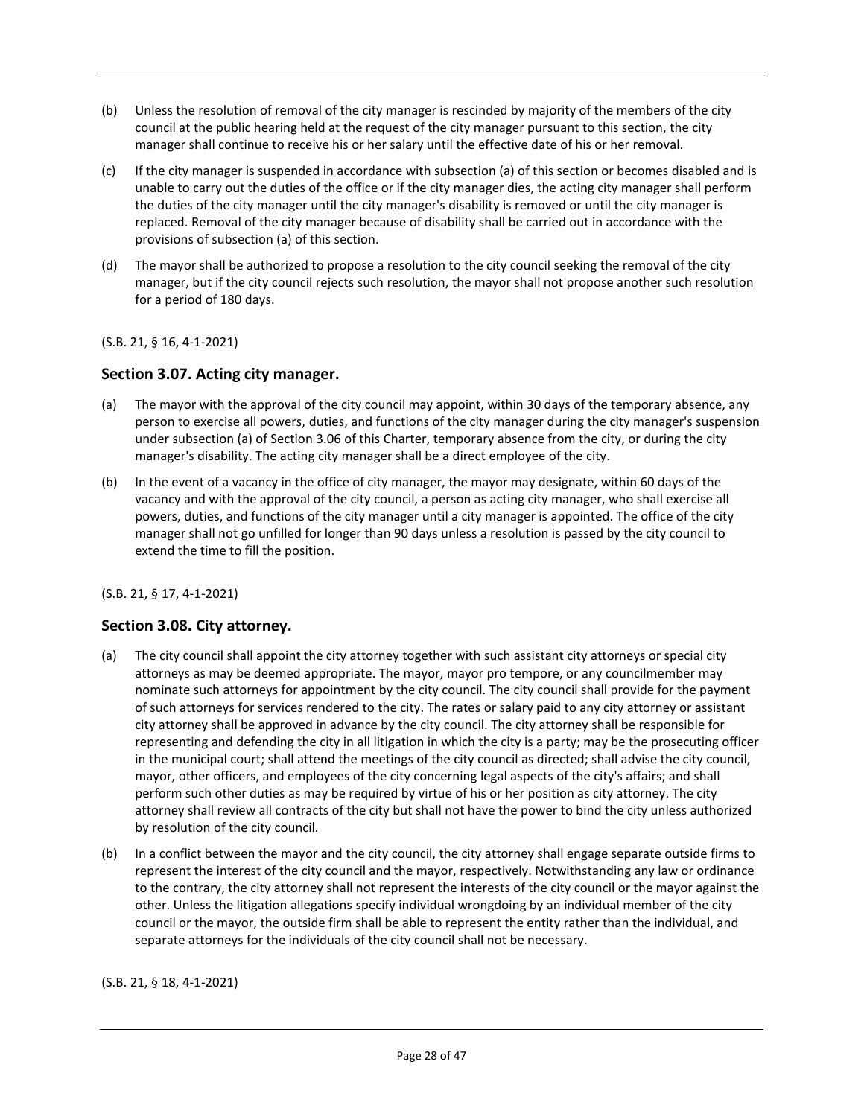- (b) Unless the resolution of removal of the city manager is rescinded by majority of the members of the city council at the public hearing held at the request of the city manager pursuant to this section, the city manager shall continue to receive his or her salary until the effective date of his or her removal.
- (c) If the city manager is suspended in accordance with subsection (a) of this section or becomes disabled and is unable to carry out the duties of the office or if the city manager dies, the acting city manager shall perform the duties of the city manager until the city manager's disability is removed or until the city manager is replaced. Removal of the city manager because of disability shall be carried out in accordance with the provisions of subsection (a) of this section.
- (d) The mayor shall be authorized to propose a resolution to the city council seeking the removal of the city manager, but if the city council rejects such resolution, the mayor shall not propose another such resolution for a period of 180 days.

#### (S.B. 21, § 16, 4-1-2021)

#### **Section 3.07. Acting city manager.**

- (a) The mayor with the approval of the city council may appoint, within 30 days of the temporary absence, any person to exercise all powers, duties, and functions of the city manager during the city manager's suspension under subsection (a) of Section 3.06 of this Charter, temporary absence from the city, or during the city manager's disability. The acting city manager shall be a direct employee of the city.
- (b) In the event of a vacancy in the office of city manager, the mayor may designate, within 60 days of the vacancy and with the approval of the city council, a person as acting city manager, who shall exercise all powers, duties, and functions of the city manager until a city manager is appointed. The office of the city manager shall not go unfilled for longer than 90 days unless a resolution is passed by the city council to extend the time to fill the position.

#### (S.B. 21, § 17, 4-1-2021)

#### **Section 3.08. City attorney.**

- (a) The city council shall appoint the city attorney together with such assistant city attorneys or special city attorneys as may be deemed appropriate. The mayor, mayor pro tempore, or any councilmember may nominate such attorneys for appointment by the city council. The city council shall provide for the payment of such attorneys for services rendered to the city. The rates or salary paid to any city attorney or assistant city attorney shall be approved in advance by the city council. The city attorney shall be responsible for representing and defending the city in all litigation in which the city is a party; may be the prosecuting officer in the municipal court; shall attend the meetings of the city council as directed; shall advise the city council, mayor, other officers, and employees of the city concerning legal aspects of the city's affairs; and shall perform such other duties as may be required by virtue of his or her position as city attorney. The city attorney shall review all contracts of the city but shall not have the power to bind the city unless authorized by resolution of the city council.
- (b) In a conflict between the mayor and the city council, the city attorney shall engage separate outside firms to represent the interest of the city council and the mayor, respectively. Notwithstanding any law or ordinance to the contrary, the city attorney shall not represent the interests of the city council or the mayor against the other. Unless the litigation allegations specify individual wrongdoing by an individual member of the city council or the mayor, the outside firm shall be able to represent the entity rather than the individual, and separate attorneys for the individuals of the city council shall not be necessary.

#### (S.B. 21, § 18, 4-1-2021)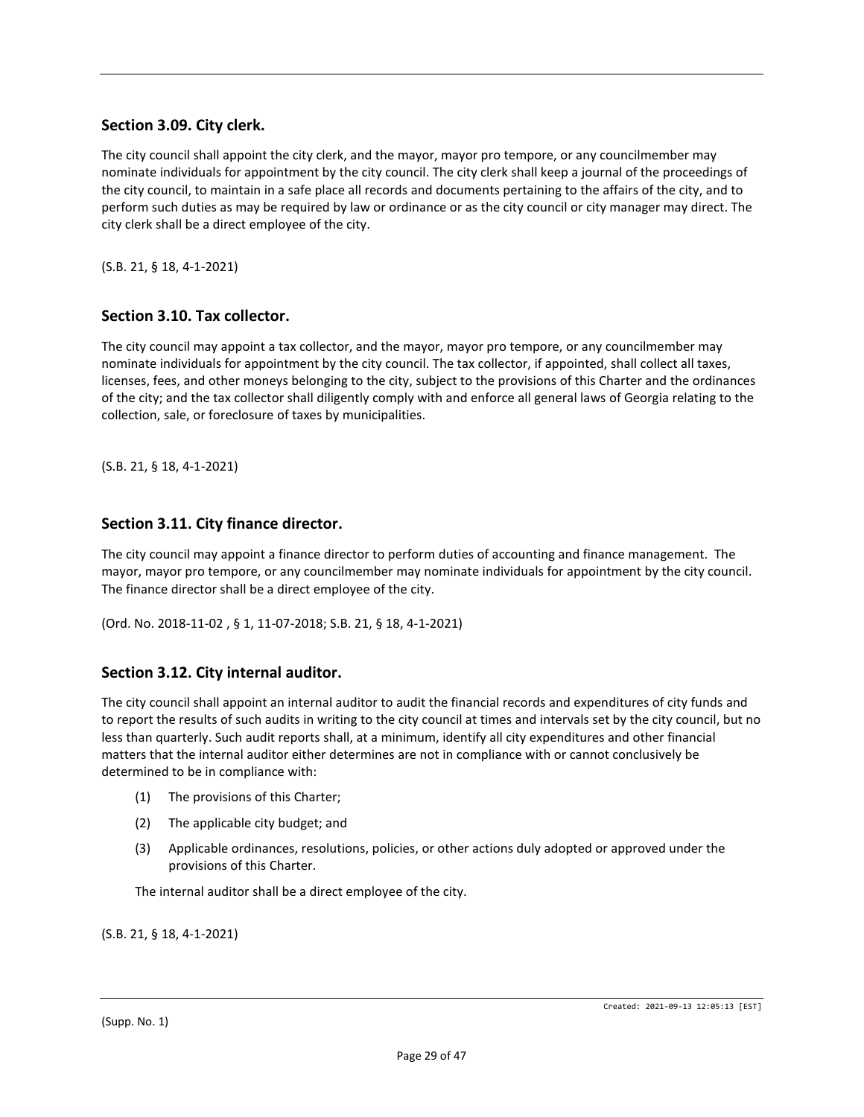## **Section 3.09. City clerk.**

The city council shall appoint the city clerk, and the mayor, mayor pro tempore, or any councilmember may nominate individuals for appointment by the city council. The city clerk shall keep a journal of the proceedings of the city council, to maintain in a safe place all records and documents pertaining to the affairs of the city, and to perform such duties as may be required by law or ordinance or as the city council or city manager may direct. The city clerk shall be a direct employee of the city.

(S.B. 21, § 18, 4-1-2021)

#### **Section 3.10. Tax collector.**

The city council may appoint a tax collector, and the mayor, mayor pro tempore, or any councilmember may nominate individuals for appointment by the city council. The tax collector, if appointed, shall collect all taxes, licenses, fees, and other moneys belonging to the city, subject to the provisions of this Charter and the ordinances of the city; and the tax collector shall diligently comply with and enforce all general laws of Georgia relating to the collection, sale, or foreclosure of taxes by municipalities.

(S.B. 21, § 18, 4-1-2021)

#### **Section 3.11. City finance director.**

The city council may appoint a finance director to perform duties of accounting and finance management. The mayor, mayor pro tempore, or any councilmember may nominate individuals for appointment by the city council. The finance director shall be a direct employee of the city.

(Ord. No. 2018-11-02 [,](https://library.municode.com/ga/jonesboro/ordinances/code_of_ordinances?nodeId=808469) § 1, 11-07-2018; S.B. 21, § 18, 4-1-2021)

#### **Section 3.12. City internal auditor.**

The city council shall appoint an internal auditor to audit the financial records and expenditures of city funds and to report the results of such audits in writing to the city council at times and intervals set by the city council, but no less than quarterly. Such audit reports shall, at a minimum, identify all city expenditures and other financial matters that the internal auditor either determines are not in compliance with or cannot conclusively be determined to be in compliance with:

- (1) The provisions of this Charter;
- (2) The applicable city budget; and
- (3) Applicable ordinances, resolutions, policies, or other actions duly adopted or approved under the provisions of this Charter.

The internal auditor shall be a direct employee of the city.

(S.B. 21, § 18, 4-1-2021)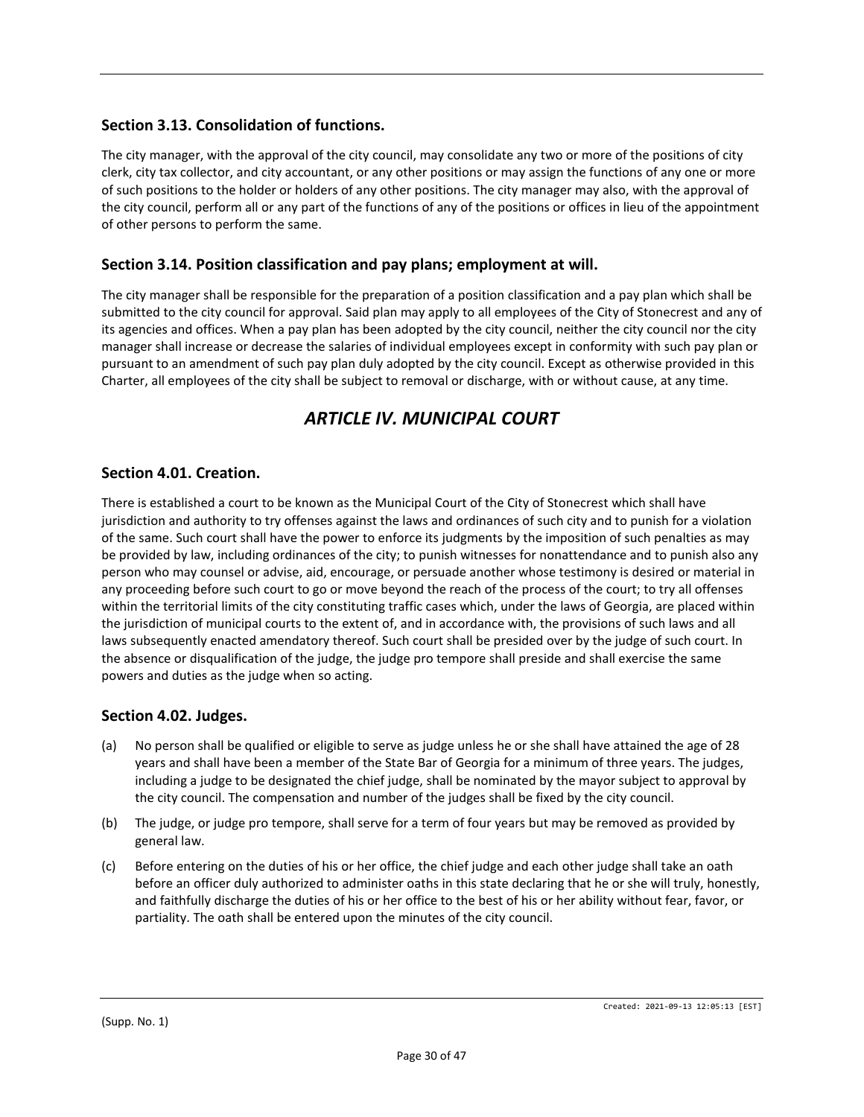## **Section 3.13. Consolidation of functions.**

The city manager, with the approval of the city council, may consolidate any two or more of the positions of city clerk, city tax collector, and city accountant, or any other positions or may assign the functions of any one or more of such positions to the holder or holders of any other positions. The city manager may also, with the approval of the city council, perform all or any part of the functions of any of the positions or offices in lieu of the appointment of other persons to perform the same.

## **Section 3.14. Position classification and pay plans; employment at will.**

The city manager shall be responsible for the preparation of a position classification and a pay plan which shall be submitted to the city council for approval. Said plan may apply to all employees of the City of Stonecrest and any of its agencies and offices. When a pay plan has been adopted by the city council, neither the city council nor the city manager shall increase or decrease the salaries of individual employees except in conformity with such pay plan or pursuant to an amendment of such pay plan duly adopted by the city council. Except as otherwise provided in this Charter, all employees of the city shall be subject to removal or discharge, with or without cause, at any time.

# *ARTICLE IV. MUNICIPAL COURT*

## **Section 4.01. Creation.**

There is established a court to be known as the Municipal Court of the City of Stonecrest which shall have jurisdiction and authority to try offenses against the laws and ordinances of such city and to punish for a violation of the same. Such court shall have the power to enforce its judgments by the imposition of such penalties as may be provided by law, including ordinances of the city; to punish witnesses for nonattendance and to punish also any person who may counsel or advise, aid, encourage, or persuade another whose testimony is desired or material in any proceeding before such court to go or move beyond the reach of the process of the court; to try all offenses within the territorial limits of the city constituting traffic cases which, under the laws of Georgia, are placed within the jurisdiction of municipal courts to the extent of, and in accordance with, the provisions of such laws and all laws subsequently enacted amendatory thereof. Such court shall be presided over by the judge of such court. In the absence or disqualification of the judge, the judge pro tempore shall preside and shall exercise the same powers and duties as the judge when so acting.

#### **Section 4.02. Judges.**

- (a) No person shall be qualified or eligible to serve as judge unless he or she shall have attained the age of 28 years and shall have been a member of the State Bar of Georgia for a minimum of three years. The judges, including a judge to be designated the chief judge, shall be nominated by the mayor subject to approval by the city council. The compensation and number of the judges shall be fixed by the city council.
- (b) The judge, or judge pro tempore, shall serve for a term of four years but may be removed as provided by general law.
- (c) Before entering on the duties of his or her office, the chief judge and each other judge shall take an oath before an officer duly authorized to administer oaths in this state declaring that he or she will truly, honestly, and faithfully discharge the duties of his or her office to the best of his or her ability without fear, favor, or partiality. The oath shall be entered upon the minutes of the city council.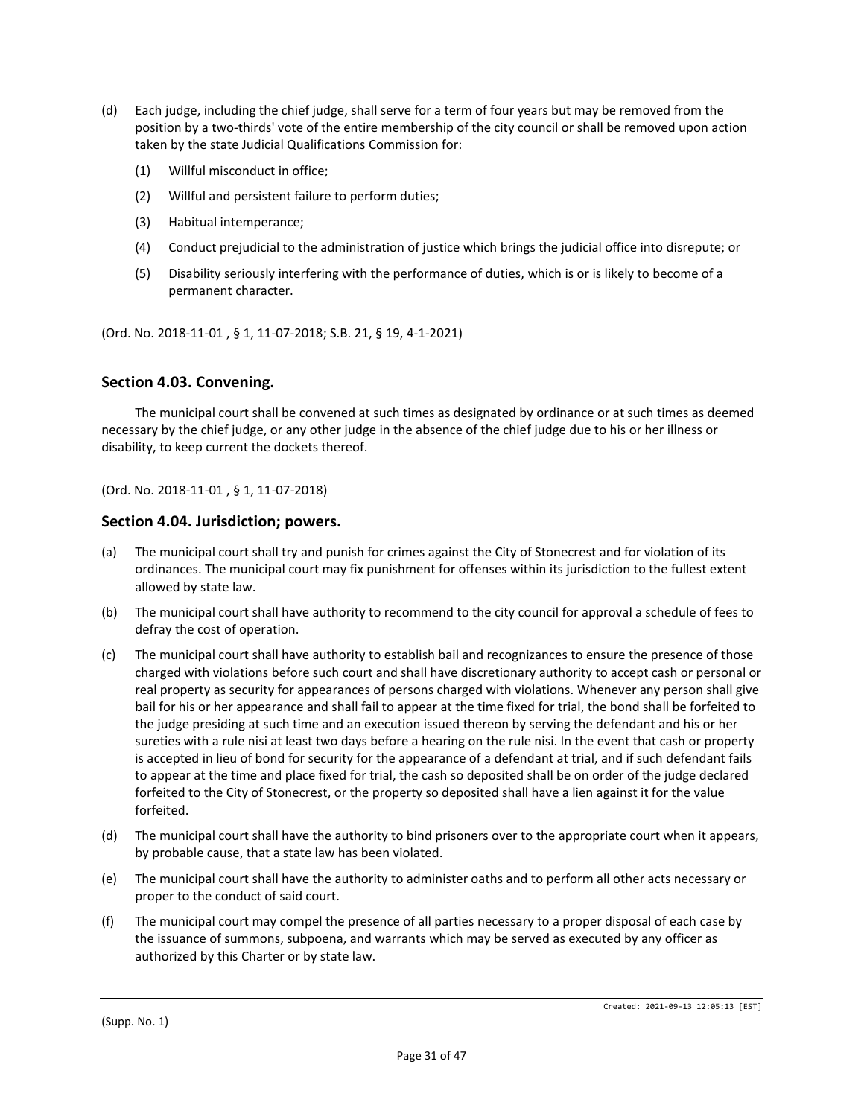- (d) Each judge, including the chief judge, shall serve for a term of four years but may be removed from the position by a two-thirds' vote of the entire membership of the city council or shall be removed upon action taken by the state Judicial Qualifications Commission for:
	- (1) Willful misconduct in office;
	- (2) Willful and persistent failure to perform duties;
	- (3) Habitual intemperance;
	- (4) Conduct prejudicial to the administration of justice which brings the judicial office into disrepute; or
	- (5) Disability seriously interfering with the performance of duties, which is or is likely to become of a permanent character.

(Ord. No. 2018-11-01 [,](https://library.municode.com/ga/jonesboro/ordinances/code_of_ordinances?nodeId=808469) § 1, 11-07-2018; S.B. 21, § 19, 4-1-2021)

#### **Section 4.03. Convening.**

The municipal court shall be convened at such times as designated by ordinance or at such times as deemed necessary by the chief judge, or any other judge in the absence of the chief judge due to his or her illness or disability, to keep current the dockets thereof.

(Ord. No. 2018-11-01 [,](https://library.municode.com/ga/jonesboro/ordinances/code_of_ordinances?nodeId=808469) § 1, 11-07-2018)

#### **Section 4.04. Jurisdiction; powers.**

- (a) The municipal court shall try and punish for crimes against the City of Stonecrest and for violation of its ordinances. The municipal court may fix punishment for offenses within its jurisdiction to the fullest extent allowed by state law.
- (b) The municipal court shall have authority to recommend to the city council for approval a schedule of fees to defray the cost of operation.
- (c) The municipal court shall have authority to establish bail and recognizances to ensure the presence of those charged with violations before such court and shall have discretionary authority to accept cash or personal or real property as security for appearances of persons charged with violations. Whenever any person shall give bail for his or her appearance and shall fail to appear at the time fixed for trial, the bond shall be forfeited to the judge presiding at such time and an execution issued thereon by serving the defendant and his or her sureties with a rule nisi at least two days before a hearing on the rule nisi. In the event that cash or property is accepted in lieu of bond for security for the appearance of a defendant at trial, and if such defendant fails to appear at the time and place fixed for trial, the cash so deposited shall be on order of the judge declared forfeited to the City of Stonecrest, or the property so deposited shall have a lien against it for the value forfeited.
- (d) The municipal court shall have the authority to bind prisoners over to the appropriate court when it appears, by probable cause, that a state law has been violated.
- (e) The municipal court shall have the authority to administer oaths and to perform all other acts necessary or proper to the conduct of said court.
- (f) The municipal court may compel the presence of all parties necessary to a proper disposal of each case by the issuance of summons, subpoena, and warrants which may be served as executed by any officer as authorized by this Charter or by state law.

(Supp. No. 1)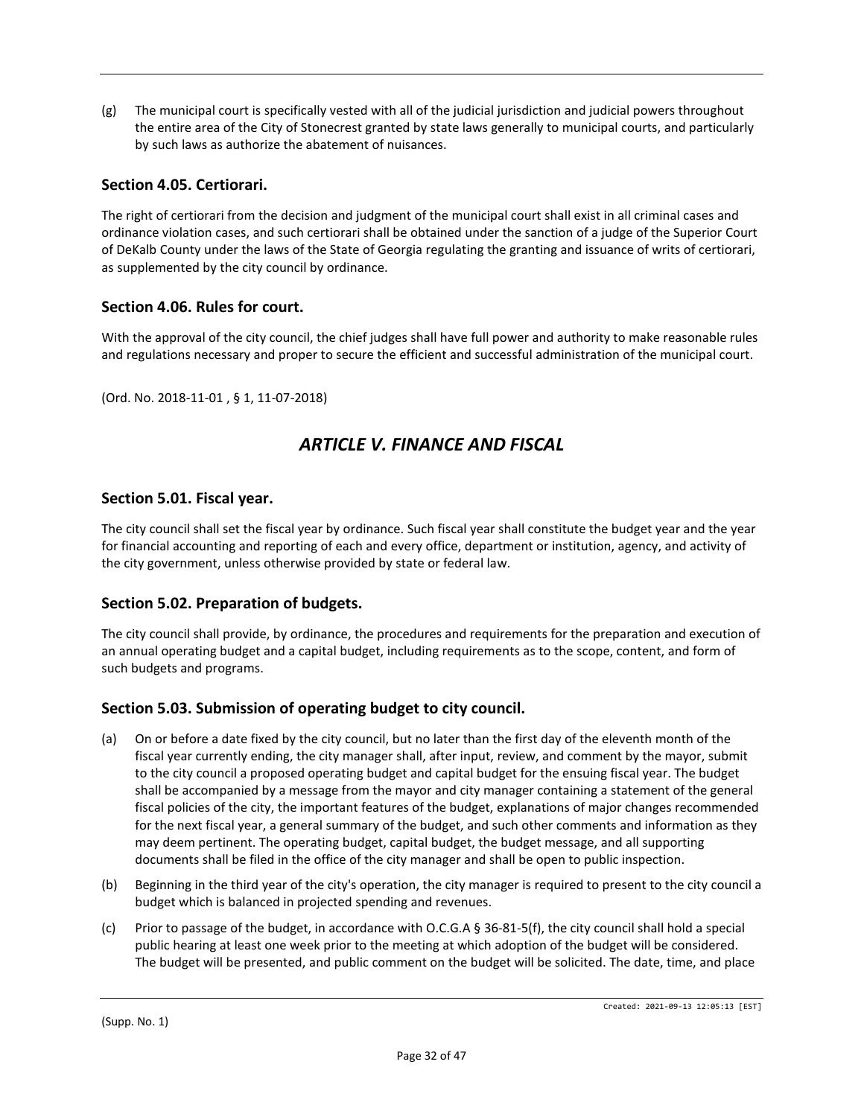(g) The municipal court is specifically vested with all of the judicial jurisdiction and judicial powers throughout the entire area of the City of Stonecrest granted by state laws generally to municipal courts, and particularly by such laws as authorize the abatement of nuisances.

## **Section 4.05. Certiorari.**

The right of certiorari from the decision and judgment of the municipal court shall exist in all criminal cases and ordinance violation cases, and such certiorari shall be obtained under the sanction of a judge of the Superior Court of DeKalb County under the laws of the State of Georgia regulating the granting and issuance of writs of certiorari, as supplemented by the city council by ordinance.

## **Section 4.06. Rules for court.**

With the approval of the city council, the chief judges shall have full power and authority to make reasonable rules and regulations necessary and proper to secure the efficient and successful administration of the municipal court.

(Ord. No. 2018-11-01 [,](https://library.municode.com/ga/jonesboro/ordinances/code_of_ordinances?nodeId=808469) § 1, 11-07-2018)

# *ARTICLE V. FINANCE AND FISCAL*

#### **Section 5.01. Fiscal year.**

The city council shall set the fiscal year by ordinance. Such fiscal year shall constitute the budget year and the year for financial accounting and reporting of each and every office, department or institution, agency, and activity of the city government, unless otherwise provided by state or federal law.

#### **Section 5.02. Preparation of budgets.**

The city council shall provide, by ordinance, the procedures and requirements for the preparation and execution of an annual operating budget and a capital budget, including requirements as to the scope, content, and form of such budgets and programs.

#### **Section 5.03. Submission of operating budget to city council.**

- (a) On or before a date fixed by the city council, but no later than the first day of the eleventh month of the fiscal year currently ending, the city manager shall, after input, review, and comment by the mayor, submit to the city council a proposed operating budget and capital budget for the ensuing fiscal year. The budget shall be accompanied by a message from the mayor and city manager containing a statement of the general fiscal policies of the city, the important features of the budget, explanations of major changes recommended for the next fiscal year, a general summary of the budget, and such other comments and information as they may deem pertinent. The operating budget, capital budget, the budget message, and all supporting documents shall be filed in the office of the city manager and shall be open to public inspection.
- (b) Beginning in the third year of the city's operation, the city manager is required to present to the city council a budget which is balanced in projected spending and revenues.
- (c) Prior to passage of the budget, in accordance with O.C.G.A § 36-81-5(f), the city council shall hold a special public hearing at least one week prior to the meeting at which adoption of the budget will be considered. The budget will be presented, and public comment on the budget will be solicited. The date, time, and place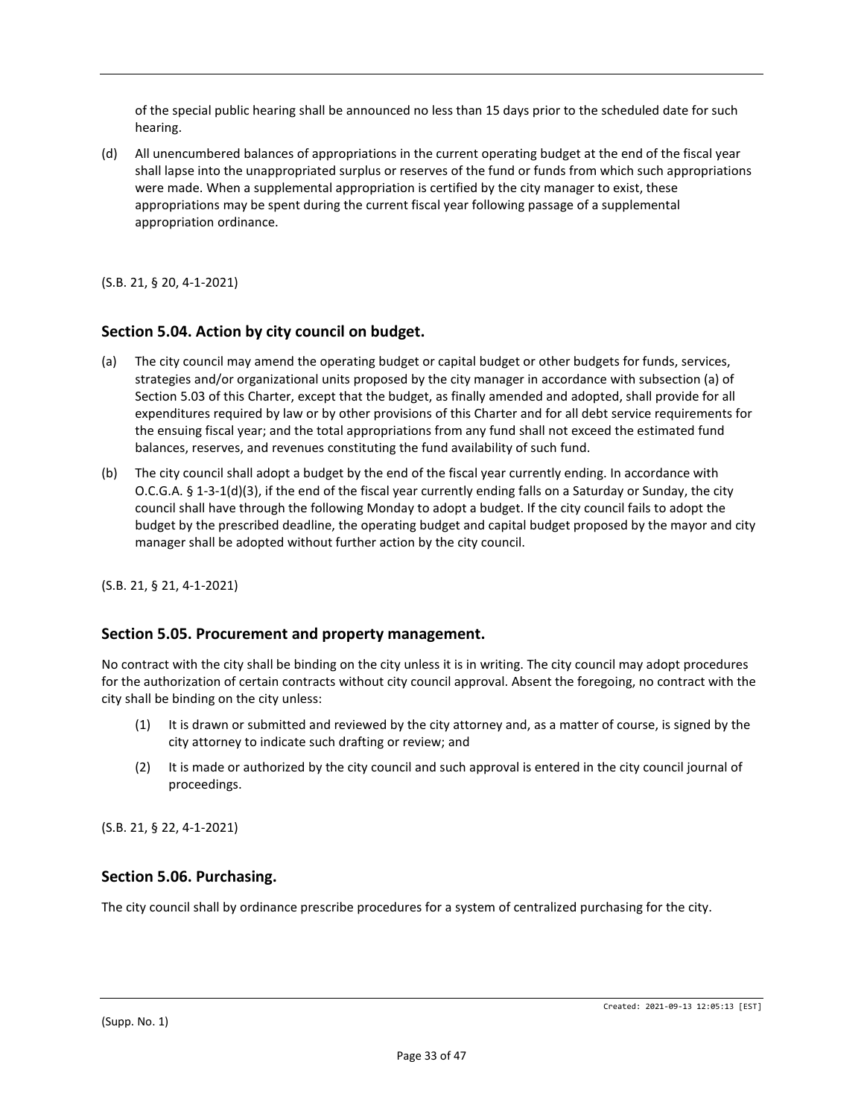of the special public hearing shall be announced no less than 15 days prior to the scheduled date for such hearing.

(d) All unencumbered balances of appropriations in the current operating budget at the end of the fiscal year shall lapse into the unappropriated surplus or reserves of the fund or funds from which such appropriations were made. When a supplemental appropriation is certified by the city manager to exist, these appropriations may be spent during the current fiscal year following passage of a supplemental appropriation ordinance.

(S.B. 21, § 20, 4-1-2021)

#### **Section 5.04. Action by city council on budget.**

- (a) The city council may amend the operating budget or capital budget or other budgets for funds, services, strategies and/or organizational units proposed by the city manager in accordance with subsection (a) of Section 5.03 of this Charter, except that the budget, as finally amended and adopted, shall provide for all expenditures required by law or by other provisions of this Charter and for all debt service requirements for the ensuing fiscal year; and the total appropriations from any fund shall not exceed the estimated fund balances, reserves, and revenues constituting the fund availability of such fund.
- (b) The city council shall adopt a budget by the end of the fiscal year currently ending. In accordance with O.C.G.A. § 1-3-1(d)(3), if the end of the fiscal year currently ending falls on a Saturday or Sunday, the city council shall have through the following Monday to adopt a budget. If the city council fails to adopt the budget by the prescribed deadline, the operating budget and capital budget proposed by the mayor and city manager shall be adopted without further action by the city council.

(S.B. 21, § 21, 4-1-2021)

#### **Section 5.05. Procurement and property management.**

No contract with the city shall be binding on the city unless it is in writing. The city council may adopt procedures for the authorization of certain contracts without city council approval. Absent the foregoing, no contract with the city shall be binding on the city unless:

- (1) It is drawn or submitted and reviewed by the city attorney and, as a matter of course, is signed by the city attorney to indicate such drafting or review; and
- (2) It is made or authorized by the city council and such approval is entered in the city council journal of proceedings.

(S.B. 21, § 22, 4-1-2021)

#### **Section 5.06. Purchasing.**

The city council shall by ordinance prescribe procedures for a system of centralized purchasing for the city.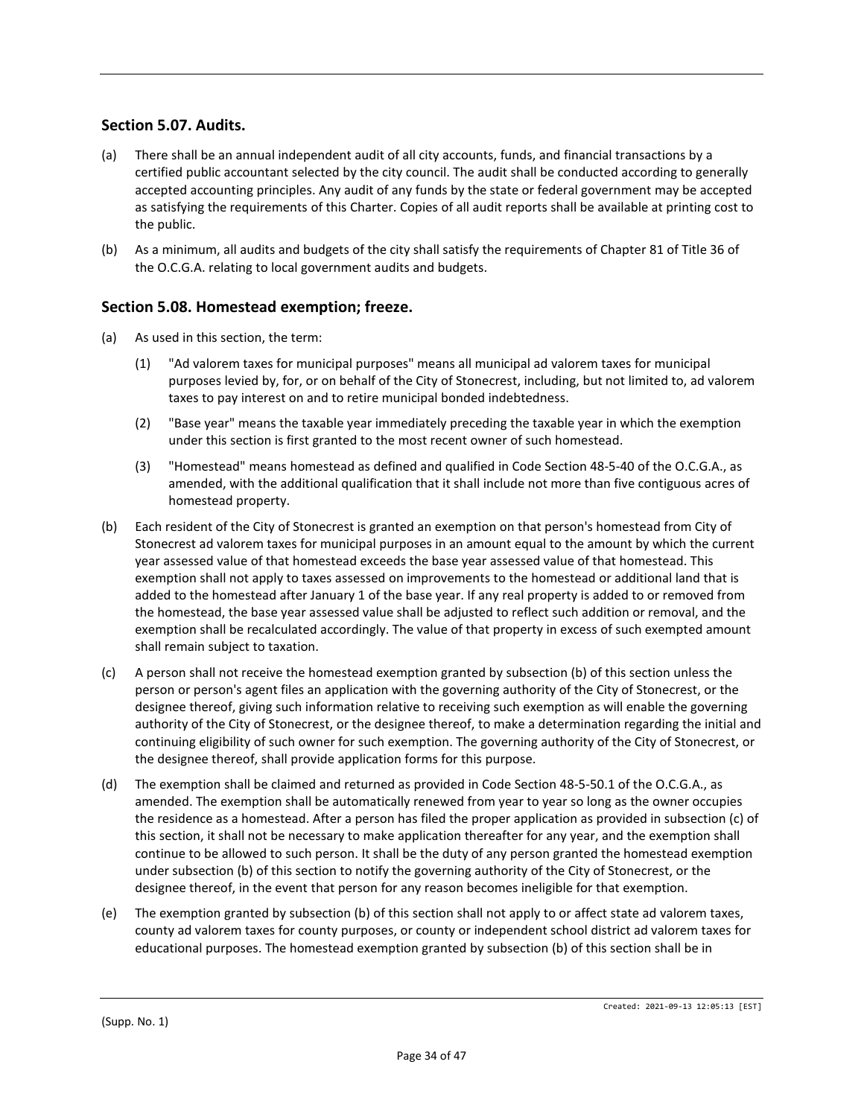## **Section 5.07. Audits.**

- (a) There shall be an annual independent audit of all city accounts, funds, and financial transactions by a certified public accountant selected by the city council. The audit shall be conducted according to generally accepted accounting principles. Any audit of any funds by the state or federal government may be accepted as satisfying the requirements of this Charter. Copies of all audit reports shall be available at printing cost to the public.
- (b) As a minimum, all audits and budgets of the city shall satisfy the requirements of Chapter 81 of Title 36 of the O.C.G.A. relating to local government audits and budgets.

## **Section 5.08. Homestead exemption; freeze.**

- (a) As used in this section, the term:
	- (1) "Ad valorem taxes for municipal purposes" means all municipal ad valorem taxes for municipal purposes levied by, for, or on behalf of the City of Stonecrest, including, but not limited to, ad valorem taxes to pay interest on and to retire municipal bonded indebtedness.
	- (2) "Base year" means the taxable year immediately preceding the taxable year in which the exemption under this section is first granted to the most recent owner of such homestead.
	- (3) "Homestead" means homestead as defined and qualified in Code Section 48-5-40 of the O.C.G.A., as amended, with the additional qualification that it shall include not more than five contiguous acres of homestead property.
- (b) Each resident of the City of Stonecrest is granted an exemption on that person's homestead from City of Stonecrest ad valorem taxes for municipal purposes in an amount equal to the amount by which the current year assessed value of that homestead exceeds the base year assessed value of that homestead. This exemption shall not apply to taxes assessed on improvements to the homestead or additional land that is added to the homestead after January 1 of the base year. If any real property is added to or removed from the homestead, the base year assessed value shall be adjusted to reflect such addition or removal, and the exemption shall be recalculated accordingly. The value of that property in excess of such exempted amount shall remain subject to taxation.
- (c) A person shall not receive the homestead exemption granted by subsection (b) of this section unless the person or person's agent files an application with the governing authority of the City of Stonecrest, or the designee thereof, giving such information relative to receiving such exemption as will enable the governing authority of the City of Stonecrest, or the designee thereof, to make a determination regarding the initial and continuing eligibility of such owner for such exemption. The governing authority of the City of Stonecrest, or the designee thereof, shall provide application forms for this purpose.
- (d) The exemption shall be claimed and returned as provided in Code Section 48-5-50.1 of the O.C.G.A., as amended. The exemption shall be automatically renewed from year to year so long as the owner occupies the residence as a homestead. After a person has filed the proper application as provided in subsection (c) of this section, it shall not be necessary to make application thereafter for any year, and the exemption shall continue to be allowed to such person. It shall be the duty of any person granted the homestead exemption under subsection (b) of this section to notify the governing authority of the City of Stonecrest, or the designee thereof, in the event that person for any reason becomes ineligible for that exemption.
- (e) The exemption granted by subsection (b) of this section shall not apply to or affect state ad valorem taxes, county ad valorem taxes for county purposes, or county or independent school district ad valorem taxes for educational purposes. The homestead exemption granted by subsection (b) of this section shall be in

(Supp. No. 1)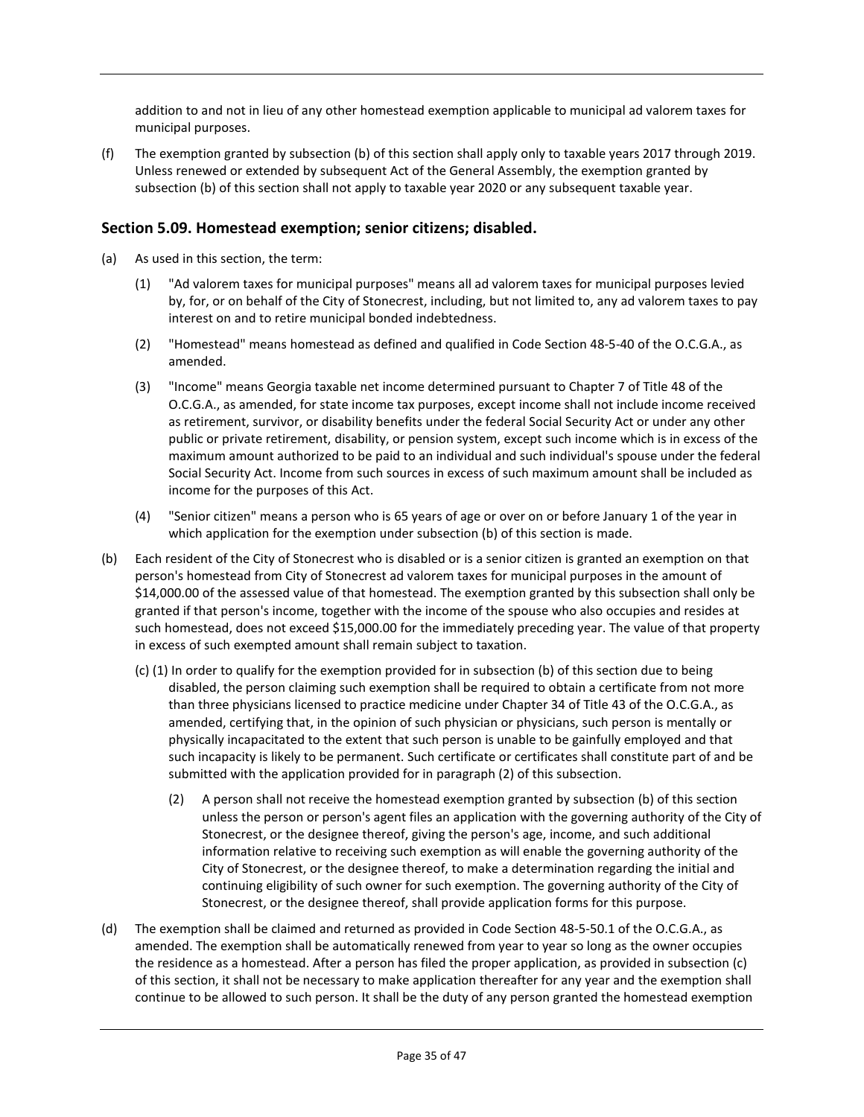addition to and not in lieu of any other homestead exemption applicable to municipal ad valorem taxes for municipal purposes.

(f) The exemption granted by subsection (b) of this section shall apply only to taxable years 2017 through 2019. Unless renewed or extended by subsequent Act of the General Assembly, the exemption granted by subsection (b) of this section shall not apply to taxable year 2020 or any subsequent taxable year.

## **Section 5.09. Homestead exemption; senior citizens; disabled.**

- (a) As used in this section, the term:
	- (1) "Ad valorem taxes for municipal purposes" means all ad valorem taxes for municipal purposes levied by, for, or on behalf of the City of Stonecrest, including, but not limited to, any ad valorem taxes to pay interest on and to retire municipal bonded indebtedness.
	- (2) "Homestead" means homestead as defined and qualified in Code Section 48-5-40 of the O.C.G.A., as amended.
	- (3) "Income" means Georgia taxable net income determined pursuant to Chapter 7 of Title 48 of the O.C.G.A., as amended, for state income tax purposes, except income shall not include income received as retirement, survivor, or disability benefits under the federal Social Security Act or under any other public or private retirement, disability, or pension system, except such income which is in excess of the maximum amount authorized to be paid to an individual and such individual's spouse under the federal Social Security Act. Income from such sources in excess of such maximum amount shall be included as income for the purposes of this Act.
	- (4) "Senior citizen" means a person who is 65 years of age or over on or before January 1 of the year in which application for the exemption under subsection (b) of this section is made.
- (b) Each resident of the City of Stonecrest who is disabled or is a senior citizen is granted an exemption on that person's homestead from City of Stonecrest ad valorem taxes for municipal purposes in the amount of \$14,000.00 of the assessed value of that homestead. The exemption granted by this subsection shall only be granted if that person's income, together with the income of the spouse who also occupies and resides at such homestead, does not exceed \$15,000.00 for the immediately preceding year. The value of that property in excess of such exempted amount shall remain subject to taxation.
	- (c) (1) In order to qualify for the exemption provided for in subsection (b) of this section due to being disabled, the person claiming such exemption shall be required to obtain a certificate from not more than three physicians licensed to practice medicine under Chapter 34 of Title 43 of the O.C.G.A., as amended, certifying that, in the opinion of such physician or physicians, such person is mentally or physically incapacitated to the extent that such person is unable to be gainfully employed and that such incapacity is likely to be permanent. Such certificate or certificates shall constitute part of and be submitted with the application provided for in paragraph (2) of this subsection.
		- (2) A person shall not receive the homestead exemption granted by subsection (b) of this section unless the person or person's agent files an application with the governing authority of the City of Stonecrest, or the designee thereof, giving the person's age, income, and such additional information relative to receiving such exemption as will enable the governing authority of the City of Stonecrest, or the designee thereof, to make a determination regarding the initial and continuing eligibility of such owner for such exemption. The governing authority of the City of Stonecrest, or the designee thereof, shall provide application forms for this purpose.
- (d) The exemption shall be claimed and returned as provided in Code Section 48-5-50.1 of the O.C.G.A., as amended. The exemption shall be automatically renewed from year to year so long as the owner occupies the residence as a homestead. After a person has filed the proper application, as provided in subsection (c) of this section, it shall not be necessary to make application thereafter for any year and the exemption shall continue to be allowed to such person. It shall be the duty of any person granted the homestead exemption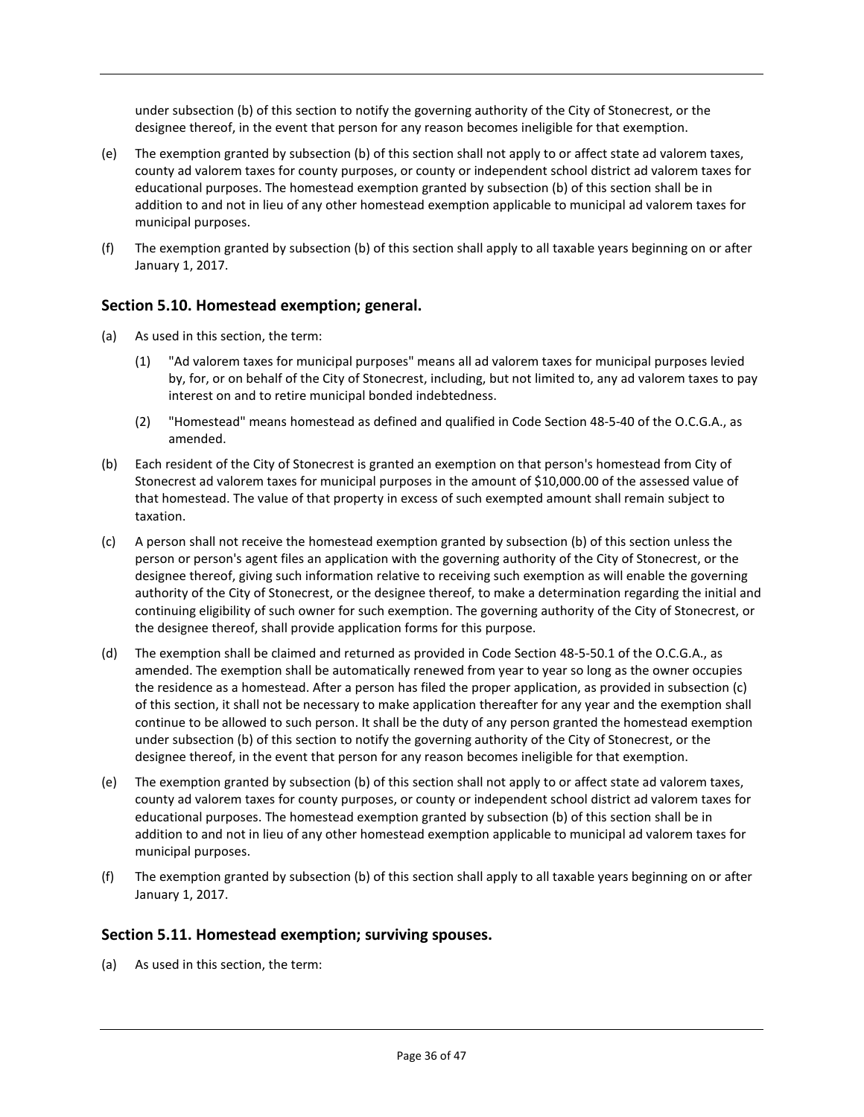under subsection (b) of this section to notify the governing authority of the City of Stonecrest, or the designee thereof, in the event that person for any reason becomes ineligible for that exemption.

- (e) The exemption granted by subsection (b) of this section shall not apply to or affect state ad valorem taxes, county ad valorem taxes for county purposes, or county or independent school district ad valorem taxes for educational purposes. The homestead exemption granted by subsection (b) of this section shall be in addition to and not in lieu of any other homestead exemption applicable to municipal ad valorem taxes for municipal purposes.
- (f) The exemption granted by subsection (b) of this section shall apply to all taxable years beginning on or after January 1, 2017.

## **Section 5.10. Homestead exemption; general.**

- (a) As used in this section, the term:
	- (1) "Ad valorem taxes for municipal purposes" means all ad valorem taxes for municipal purposes levied by, for, or on behalf of the City of Stonecrest, including, but not limited to, any ad valorem taxes to pay interest on and to retire municipal bonded indebtedness.
	- (2) "Homestead" means homestead as defined and qualified in Code Section 48-5-40 of the O.C.G.A., as amended.
- (b) Each resident of the City of Stonecrest is granted an exemption on that person's homestead from City of Stonecrest ad valorem taxes for municipal purposes in the amount of \$10,000.00 of the assessed value of that homestead. The value of that property in excess of such exempted amount shall remain subject to taxation.
- (c) A person shall not receive the homestead exemption granted by subsection (b) of this section unless the person or person's agent files an application with the governing authority of the City of Stonecrest, or the designee thereof, giving such information relative to receiving such exemption as will enable the governing authority of the City of Stonecrest, or the designee thereof, to make a determination regarding the initial and continuing eligibility of such owner for such exemption. The governing authority of the City of Stonecrest, or the designee thereof, shall provide application forms for this purpose.
- (d) The exemption shall be claimed and returned as provided in Code Section 48-5-50.1 of the O.C.G.A., as amended. The exemption shall be automatically renewed from year to year so long as the owner occupies the residence as a homestead. After a person has filed the proper application, as provided in subsection (c) of this section, it shall not be necessary to make application thereafter for any year and the exemption shall continue to be allowed to such person. It shall be the duty of any person granted the homestead exemption under subsection (b) of this section to notify the governing authority of the City of Stonecrest, or the designee thereof, in the event that person for any reason becomes ineligible for that exemption.
- (e) The exemption granted by subsection (b) of this section shall not apply to or affect state ad valorem taxes, county ad valorem taxes for county purposes, or county or independent school district ad valorem taxes for educational purposes. The homestead exemption granted by subsection (b) of this section shall be in addition to and not in lieu of any other homestead exemption applicable to municipal ad valorem taxes for municipal purposes.
- (f) The exemption granted by subsection (b) of this section shall apply to all taxable years beginning on or after January 1, 2017.

#### **Section 5.11. Homestead exemption; surviving spouses.**

(a) As used in this section, the term: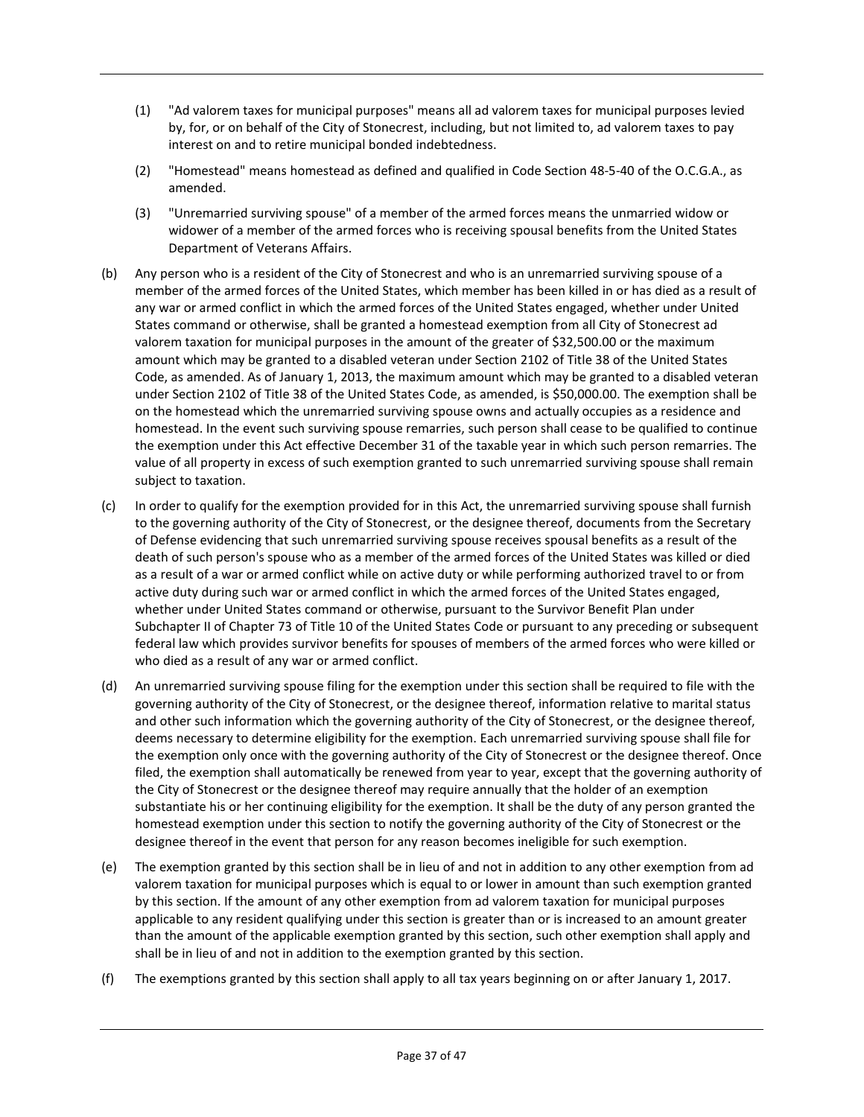- (1) "Ad valorem taxes for municipal purposes" means all ad valorem taxes for municipal purposes levied by, for, or on behalf of the City of Stonecrest, including, but not limited to, ad valorem taxes to pay interest on and to retire municipal bonded indebtedness.
- (2) "Homestead" means homestead as defined and qualified in Code Section 48-5-40 of the O.C.G.A., as amended.
- (3) "Unremarried surviving spouse" of a member of the armed forces means the unmarried widow or widower of a member of the armed forces who is receiving spousal benefits from the United States Department of Veterans Affairs.
- (b) Any person who is a resident of the City of Stonecrest and who is an unremarried surviving spouse of a member of the armed forces of the United States, which member has been killed in or has died as a result of any war or armed conflict in which the armed forces of the United States engaged, whether under United States command or otherwise, shall be granted a homestead exemption from all City of Stonecrest ad valorem taxation for municipal purposes in the amount of the greater of \$32,500.00 or the maximum amount which may be granted to a disabled veteran under Section 2102 of Title 38 of the United States Code, as amended. As of January 1, 2013, the maximum amount which may be granted to a disabled veteran under Section 2102 of Title 38 of the United States Code, as amended, is \$50,000.00. The exemption shall be on the homestead which the unremarried surviving spouse owns and actually occupies as a residence and homestead. In the event such surviving spouse remarries, such person shall cease to be qualified to continue the exemption under this Act effective December 31 of the taxable year in which such person remarries. The value of all property in excess of such exemption granted to such unremarried surviving spouse shall remain subject to taxation.
- (c) In order to qualify for the exemption provided for in this Act, the unremarried surviving spouse shall furnish to the governing authority of the City of Stonecrest, or the designee thereof, documents from the Secretary of Defense evidencing that such unremarried surviving spouse receives spousal benefits as a result of the death of such person's spouse who as a member of the armed forces of the United States was killed or died as a result of a war or armed conflict while on active duty or while performing authorized travel to or from active duty during such war or armed conflict in which the armed forces of the United States engaged, whether under United States command or otherwise, pursuant to the Survivor Benefit Plan under Subchapter II of Chapter 73 of Title 10 of the United States Code or pursuant to any preceding or subsequent federal law which provides survivor benefits for spouses of members of the armed forces who were killed or who died as a result of any war or armed conflict.
- (d) An unremarried surviving spouse filing for the exemption under this section shall be required to file with the governing authority of the City of Stonecrest, or the designee thereof, information relative to marital status and other such information which the governing authority of the City of Stonecrest, or the designee thereof, deems necessary to determine eligibility for the exemption. Each unremarried surviving spouse shall file for the exemption only once with the governing authority of the City of Stonecrest or the designee thereof. Once filed, the exemption shall automatically be renewed from year to year, except that the governing authority of the City of Stonecrest or the designee thereof may require annually that the holder of an exemption substantiate his or her continuing eligibility for the exemption. It shall be the duty of any person granted the homestead exemption under this section to notify the governing authority of the City of Stonecrest or the designee thereof in the event that person for any reason becomes ineligible for such exemption.
- (e) The exemption granted by this section shall be in lieu of and not in addition to any other exemption from ad valorem taxation for municipal purposes which is equal to or lower in amount than such exemption granted by this section. If the amount of any other exemption from ad valorem taxation for municipal purposes applicable to any resident qualifying under this section is greater than or is increased to an amount greater than the amount of the applicable exemption granted by this section, such other exemption shall apply and shall be in lieu of and not in addition to the exemption granted by this section.
- (f) The exemptions granted by this section shall apply to all tax years beginning on or after January 1, 2017.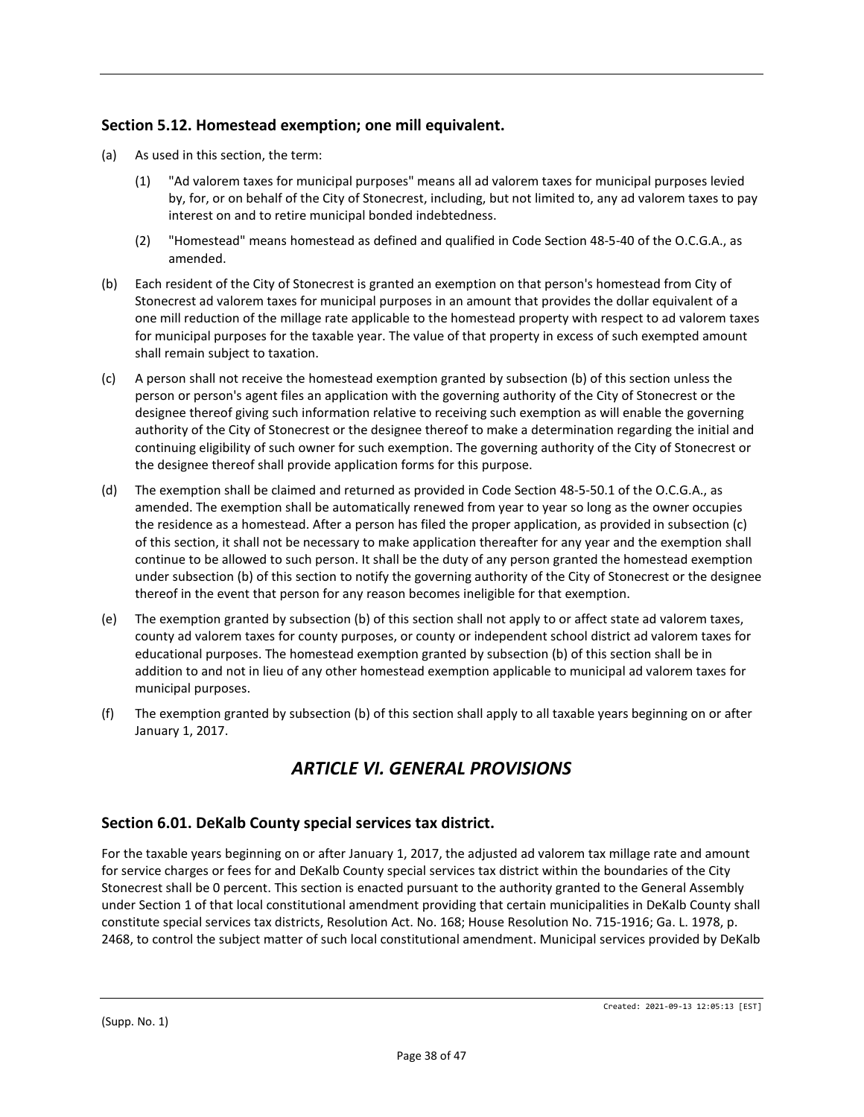## **Section 5.12. Homestead exemption; one mill equivalent.**

- (a) As used in this section, the term:
	- (1) "Ad valorem taxes for municipal purposes" means all ad valorem taxes for municipal purposes levied by, for, or on behalf of the City of Stonecrest, including, but not limited to, any ad valorem taxes to pay interest on and to retire municipal bonded indebtedness.
	- (2) "Homestead" means homestead as defined and qualified in Code Section 48-5-40 of the O.C.G.A., as amended.
- (b) Each resident of the City of Stonecrest is granted an exemption on that person's homestead from City of Stonecrest ad valorem taxes for municipal purposes in an amount that provides the dollar equivalent of a one mill reduction of the millage rate applicable to the homestead property with respect to ad valorem taxes for municipal purposes for the taxable year. The value of that property in excess of such exempted amount shall remain subject to taxation.
- (c) A person shall not receive the homestead exemption granted by subsection (b) of this section unless the person or person's agent files an application with the governing authority of the City of Stonecrest or the designee thereof giving such information relative to receiving such exemption as will enable the governing authority of the City of Stonecrest or the designee thereof to make a determination regarding the initial and continuing eligibility of such owner for such exemption. The governing authority of the City of Stonecrest or the designee thereof shall provide application forms for this purpose.
- (d) The exemption shall be claimed and returned as provided in Code Section 48-5-50.1 of the O.C.G.A., as amended. The exemption shall be automatically renewed from year to year so long as the owner occupies the residence as a homestead. After a person has filed the proper application, as provided in subsection (c) of this section, it shall not be necessary to make application thereafter for any year and the exemption shall continue to be allowed to such person. It shall be the duty of any person granted the homestead exemption under subsection (b) of this section to notify the governing authority of the City of Stonecrest or the designee thereof in the event that person for any reason becomes ineligible for that exemption.
- (e) The exemption granted by subsection (b) of this section shall not apply to or affect state ad valorem taxes, county ad valorem taxes for county purposes, or county or independent school district ad valorem taxes for educational purposes. The homestead exemption granted by subsection (b) of this section shall be in addition to and not in lieu of any other homestead exemption applicable to municipal ad valorem taxes for municipal purposes.
- (f) The exemption granted by subsection (b) of this section shall apply to all taxable years beginning on or after January 1, 2017.

# *ARTICLE VI. GENERAL PROVISIONS*

## **Section 6.01. DeKalb County special services tax district.**

For the taxable years beginning on or after January 1, 2017, the adjusted ad valorem tax millage rate and amount for service charges or fees for and DeKalb County special services tax district within the boundaries of the City Stonecrest shall be 0 percent. This section is enacted pursuant to the authority granted to the General Assembly under Section 1 of that local constitutional amendment providing that certain municipalities in DeKalb County shall constitute special services tax districts, Resolution Act. No. 168; House Resolution No. 715-1916; Ga. L. 1978, p. 2468, to control the subject matter of such local constitutional amendment. Municipal services provided by DeKalb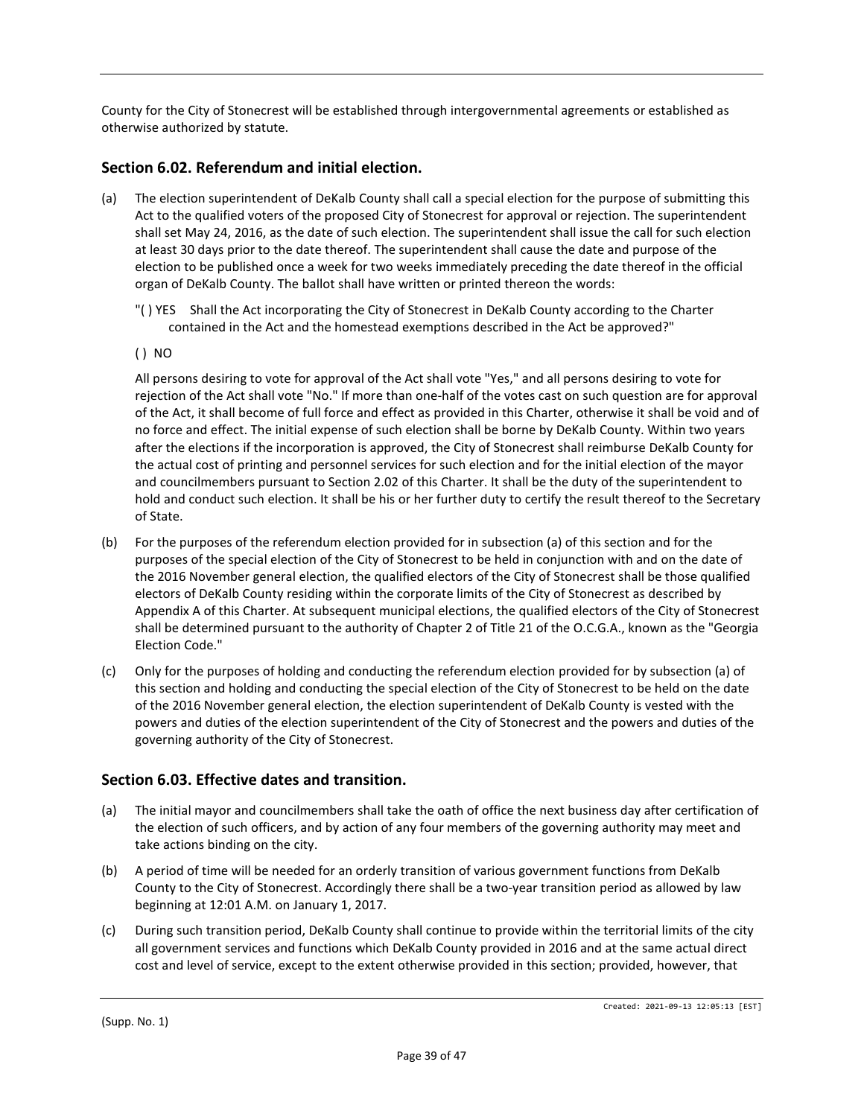County for the City of Stonecrest will be established through intergovernmental agreements or established as otherwise authorized by statute.

## **Section 6.02. Referendum and initial election.**

- (a) The election superintendent of DeKalb County shall call a special election for the purpose of submitting this Act to the qualified voters of the proposed City of Stonecrest for approval or rejection. The superintendent shall set May 24, 2016, as the date of such election. The superintendent shall issue the call for such election at least 30 days prior to the date thereof. The superintendent shall cause the date and purpose of the election to be published once a week for two weeks immediately preceding the date thereof in the official organ of DeKalb County. The ballot shall have written or printed thereon the words:
	- "( ) YES Shall the Act incorporating the City of Stonecrest in DeKalb County according to the Charter contained in the Act and the homestead exemptions described in the Act be approved?"
	- ( ) NO

All persons desiring to vote for approval of the Act shall vote "Yes," and all persons desiring to vote for rejection of the Act shall vote "No." If more than one-half of the votes cast on such question are for approval of the Act, it shall become of full force and effect as provided in this Charter, otherwise it shall be void and of no force and effect. The initial expense of such election shall be borne by DeKalb County. Within two years after the elections if the incorporation is approved, the City of Stonecrest shall reimburse DeKalb County for the actual cost of printing and personnel services for such election and for the initial election of the mayor and councilmembers pursuant to Section 2.02 of this Charter. It shall be the duty of the superintendent to hold and conduct such election. It shall be his or her further duty to certify the result thereof to the Secretary of State.

- (b) For the purposes of the referendum election provided for in subsection (a) of this section and for the purposes of the special election of the City of Stonecrest to be held in conjunction with and on the date of the 2016 November general election, the qualified electors of the City of Stonecrest shall be those qualified electors of DeKalb County residing within the corporate limits of the City of Stonecrest as described by Appendix A of this Charter. At subsequent municipal elections, the qualified electors of the City of Stonecrest shall be determined pursuant to the authority of Chapter 2 of Title 21 of the O.C.G.A., known as the "Georgia Election Code."
- (c) Only for the purposes of holding and conducting the referendum election provided for by subsection (a) of this section and holding and conducting the special election of the City of Stonecrest to be held on the date of the 2016 November general election, the election superintendent of DeKalb County is vested with the powers and duties of the election superintendent of the City of Stonecrest and the powers and duties of the governing authority of the City of Stonecrest.

#### **Section 6.03. Effective dates and transition.**

- (a) The initial mayor and councilmembers shall take the oath of office the next business day after certification of the election of such officers, and by action of any four members of the governing authority may meet and take actions binding on the city.
- (b) A period of time will be needed for an orderly transition of various government functions from DeKalb County to the City of Stonecrest. Accordingly there shall be a two-year transition period as allowed by law beginning at 12:01 A.M. on January 1, 2017.
- (c) During such transition period, DeKalb County shall continue to provide within the territorial limits of the city all government services and functions which DeKalb County provided in 2016 and at the same actual direct cost and level of service, except to the extent otherwise provided in this section; provided, however, that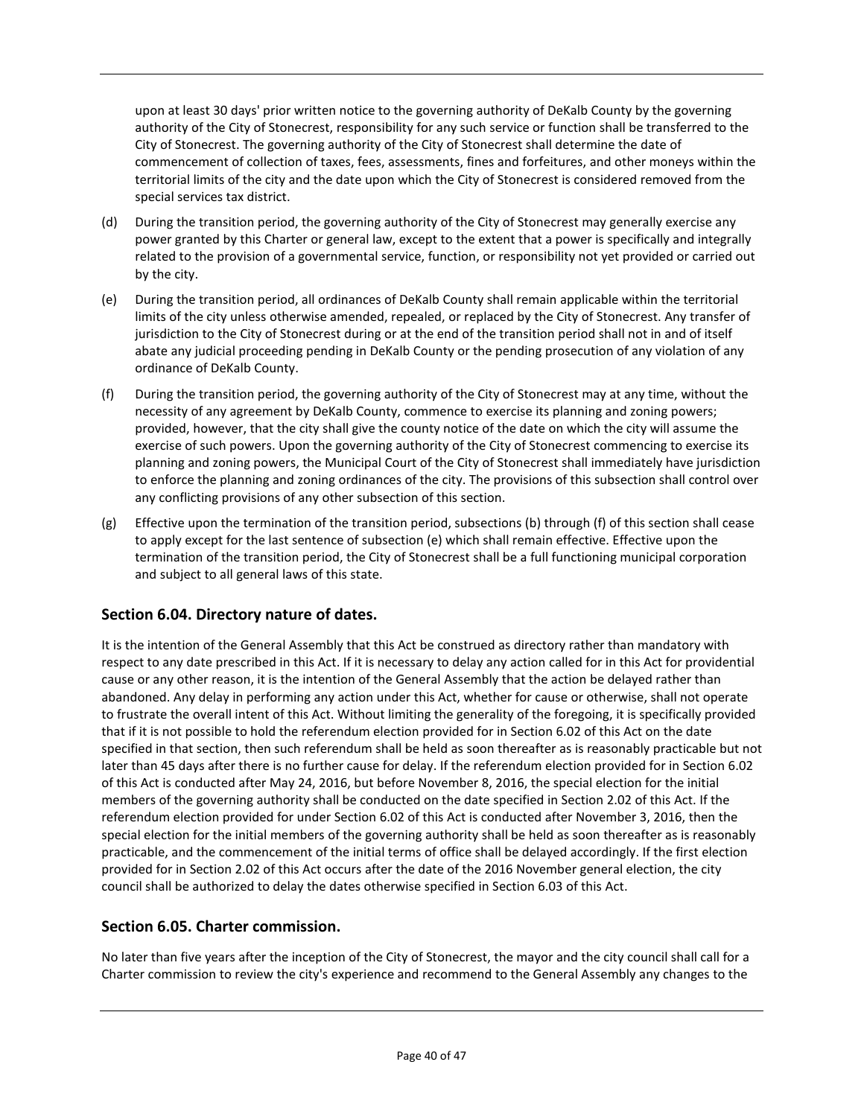upon at least 30 days' prior written notice to the governing authority of DeKalb County by the governing authority of the City of Stonecrest, responsibility for any such service or function shall be transferred to the City of Stonecrest. The governing authority of the City of Stonecrest shall determine the date of commencement of collection of taxes, fees, assessments, fines and forfeitures, and other moneys within the territorial limits of the city and the date upon which the City of Stonecrest is considered removed from the special services tax district.

- (d) During the transition period, the governing authority of the City of Stonecrest may generally exercise any power granted by this Charter or general law, except to the extent that a power is specifically and integrally related to the provision of a governmental service, function, or responsibility not yet provided or carried out by the city.
- (e) During the transition period, all ordinances of DeKalb County shall remain applicable within the territorial limits of the city unless otherwise amended, repealed, or replaced by the City of Stonecrest. Any transfer of jurisdiction to the City of Stonecrest during or at the end of the transition period shall not in and of itself abate any judicial proceeding pending in DeKalb County or the pending prosecution of any violation of any ordinance of DeKalb County.
- (f) During the transition period, the governing authority of the City of Stonecrest may at any time, without the necessity of any agreement by DeKalb County, commence to exercise its planning and zoning powers; provided, however, that the city shall give the county notice of the date on which the city will assume the exercise of such powers. Upon the governing authority of the City of Stonecrest commencing to exercise its planning and zoning powers, the Municipal Court of the City of Stonecrest shall immediately have jurisdiction to enforce the planning and zoning ordinances of the city. The provisions of this subsection shall control over any conflicting provisions of any other subsection of this section.
- (g) Effective upon the termination of the transition period, subsections (b) through (f) of this section shall cease to apply except for the last sentence of subsection (e) which shall remain effective. Effective upon the termination of the transition period, the City of Stonecrest shall be a full functioning municipal corporation and subject to all general laws of this state.

## **Section 6.04. Directory nature of dates.**

It is the intention of the General Assembly that this Act be construed as directory rather than mandatory with respect to any date prescribed in this Act. If it is necessary to delay any action called for in this Act for providential cause or any other reason, it is the intention of the General Assembly that the action be delayed rather than abandoned. Any delay in performing any action under this Act, whether for cause or otherwise, shall not operate to frustrate the overall intent of this Act. Without limiting the generality of the foregoing, it is specifically provided that if it is not possible to hold the referendum election provided for in Section 6.02 of this Act on the date specified in that section, then such referendum shall be held as soon thereafter as is reasonably practicable but not later than 45 days after there is no further cause for delay. If the referendum election provided for in Section 6.02 of this Act is conducted after May 24, 2016, but before November 8, 2016, the special election for the initial members of the governing authority shall be conducted on the date specified in Section 2.02 of this Act. If the referendum election provided for under Section 6.02 of this Act is conducted after November 3, 2016, then the special election for the initial members of the governing authority shall be held as soon thereafter as is reasonably practicable, and the commencement of the initial terms of office shall be delayed accordingly. If the first election provided for in Section 2.02 of this Act occurs after the date of the 2016 November general election, the city council shall be authorized to delay the dates otherwise specified in Section 6.03 of this Act.

#### **Section 6.05. Charter commission.**

No later than five years after the inception of the City of Stonecrest, the mayor and the city council shall call for a Charter commission to review the city's experience and recommend to the General Assembly any changes to the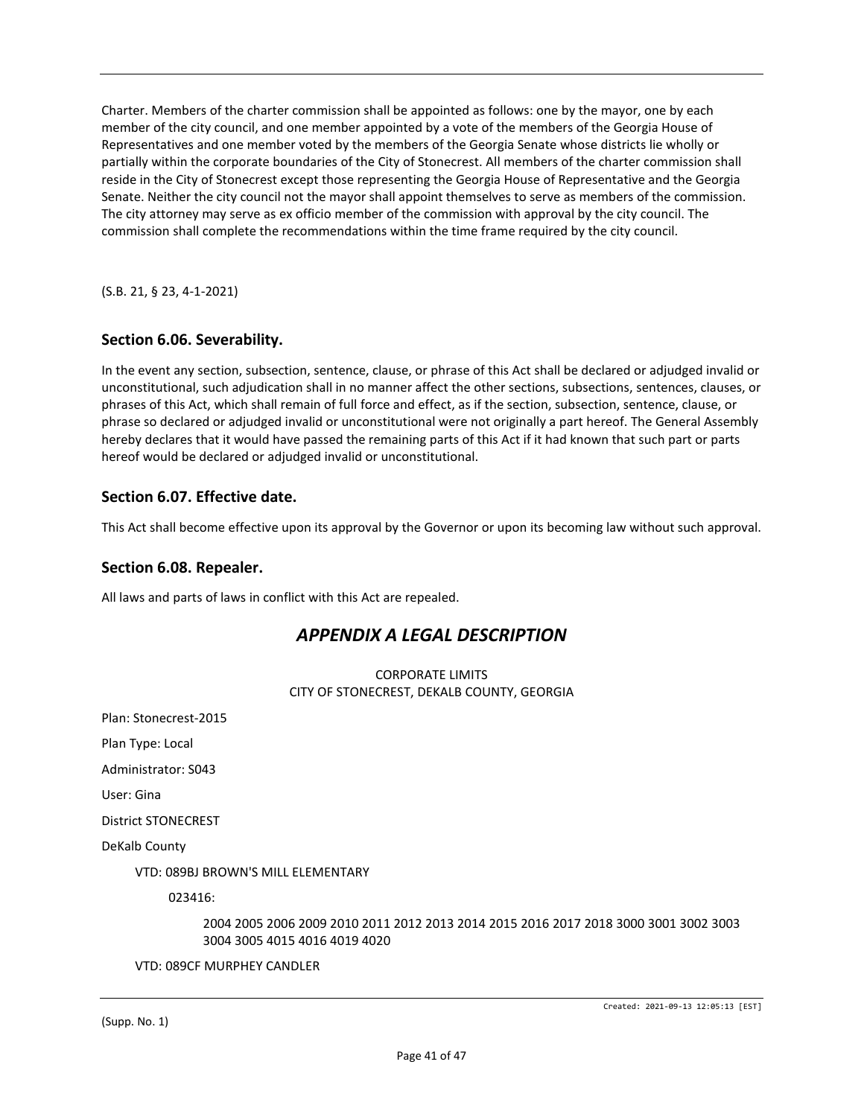Charter. Members of the charter commission shall be appointed as follows: one by the mayor, one by each member of the city council, and one member appointed by a vote of the members of the Georgia House of Representatives and one member voted by the members of the Georgia Senate whose districts lie wholly or partially within the corporate boundaries of the City of Stonecrest. All members of the charter commission shall reside in the City of Stonecrest except those representing the Georgia House of Representative and the Georgia Senate. Neither the city council not the mayor shall appoint themselves to serve as members of the commission. The city attorney may serve as ex officio member of the commission with approval by the city council. The commission shall complete the recommendations within the time frame required by the city council.

(S.B. 21, § 23, 4-1-2021)

## **Section 6.06. Severability.**

In the event any section, subsection, sentence, clause, or phrase of this Act shall be declared or adjudged invalid or unconstitutional, such adjudication shall in no manner affect the other sections, subsections, sentences, clauses, or phrases of this Act, which shall remain of full force and effect, as if the section, subsection, sentence, clause, or phrase so declared or adjudged invalid or unconstitutional were not originally a part hereof. The General Assembly hereby declares that it would have passed the remaining parts of this Act if it had known that such part or parts hereof would be declared or adjudged invalid or unconstitutional.

## **Section 6.07. Effective date.**

This Act shall become effective upon its approval by the Governor or upon its becoming law without such approval.

#### **Section 6.08. Repealer.**

All laws and parts of laws in conflict with this Act are repealed.

## *APPENDIX A LEGAL DESCRIPTION*

#### CORPORATE LIMITS CITY OF STONECREST, DEKALB COUNTY, GEORGIA

Plan: Stonecrest-2015

Plan Type: Local

Administrator: S043

User: Gina

District STONECREST

DeKalb County

VTD: 089BJ BROWN'S MILL ELEMENTARY

023416:

2004 2005 2006 2009 2010 2011 2012 2013 2014 2015 2016 2017 2018 3000 3001 3002 3003 3004 3005 4015 4016 4019 4020

VTD: 089CF MURPHEY CANDLER

(Supp. No. 1)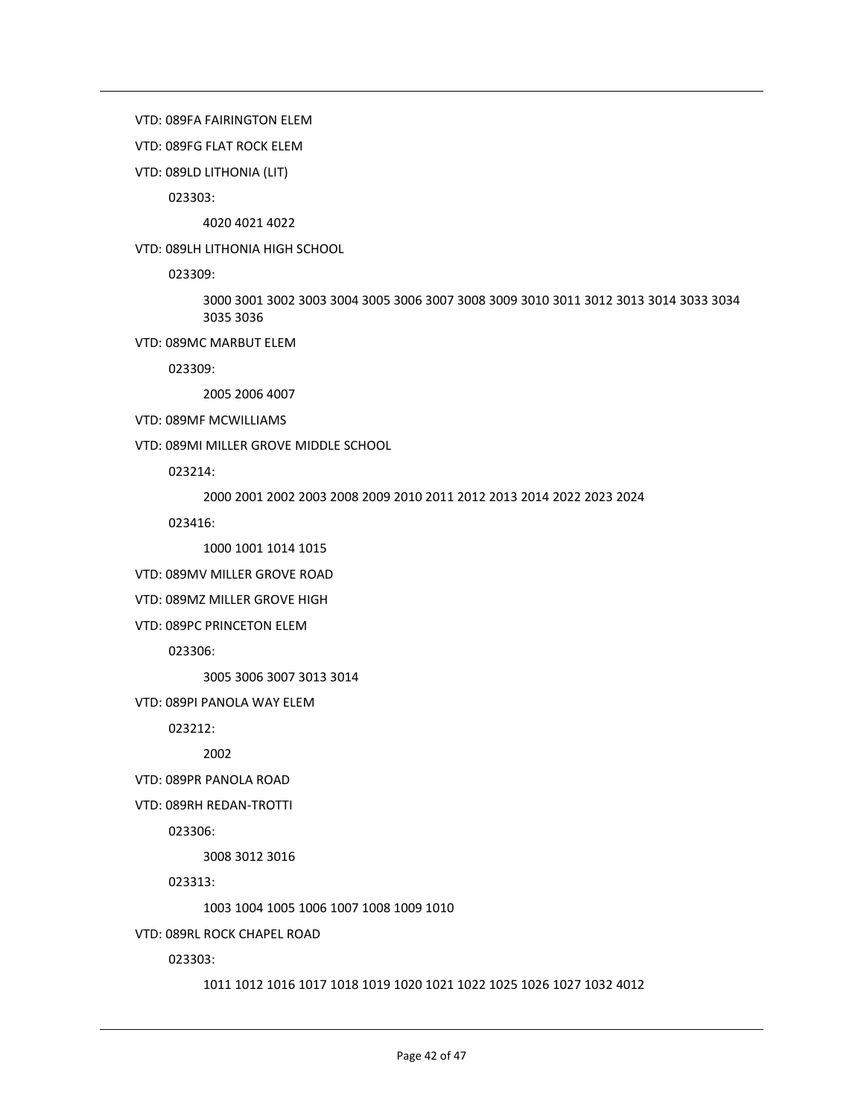#### VTD: 089FA FAIRINGTON ELEM

VTD: 089FG FLAT ROCK ELEM

VTD: 089LD LITHONIA (LIT)

023303:

4020 4021 4022

VTD: 089LH LITHONIA HIGH SCHOOL

023309:

3000 3001 3002 3003 3004 3005 3006 3007 3008 3009 3010 3011 3012 3013 3014 3033 3034 3035 3036

VTD: 089MC MARBUT ELEM

023309:

2005 2006 4007

#### VTD: 089MF MCWILLIAMS

VTD: 089MI MILLER GROVE MIDDLE SCHOOL

023214:

2000 2001 2002 2003 2008 2009 2010 2011 2012 2013 2014 2022 2023 2024

023416:

1000 1001 1014 1015

VTD: 089MV MILLER GROVE ROAD

VTD: 089MZ MILLER GROVE HIGH

VTD: 089PC PRINCETON ELEM

023306:

3005 3006 3007 3013 3014

VTD: 089PI PANOLA WAY ELEM

023212:

2002

VTD: 089PR PANOLA ROAD

VTD: 089RH REDAN-TROTTI

023306:

3008 3012 3016

023313:

1003 1004 1005 1006 1007 1008 1009 1010

VTD: 089RL ROCK CHAPEL ROAD

023303:

1011 1012 1016 1017 1018 1019 1020 1021 1022 1025 1026 1027 1032 4012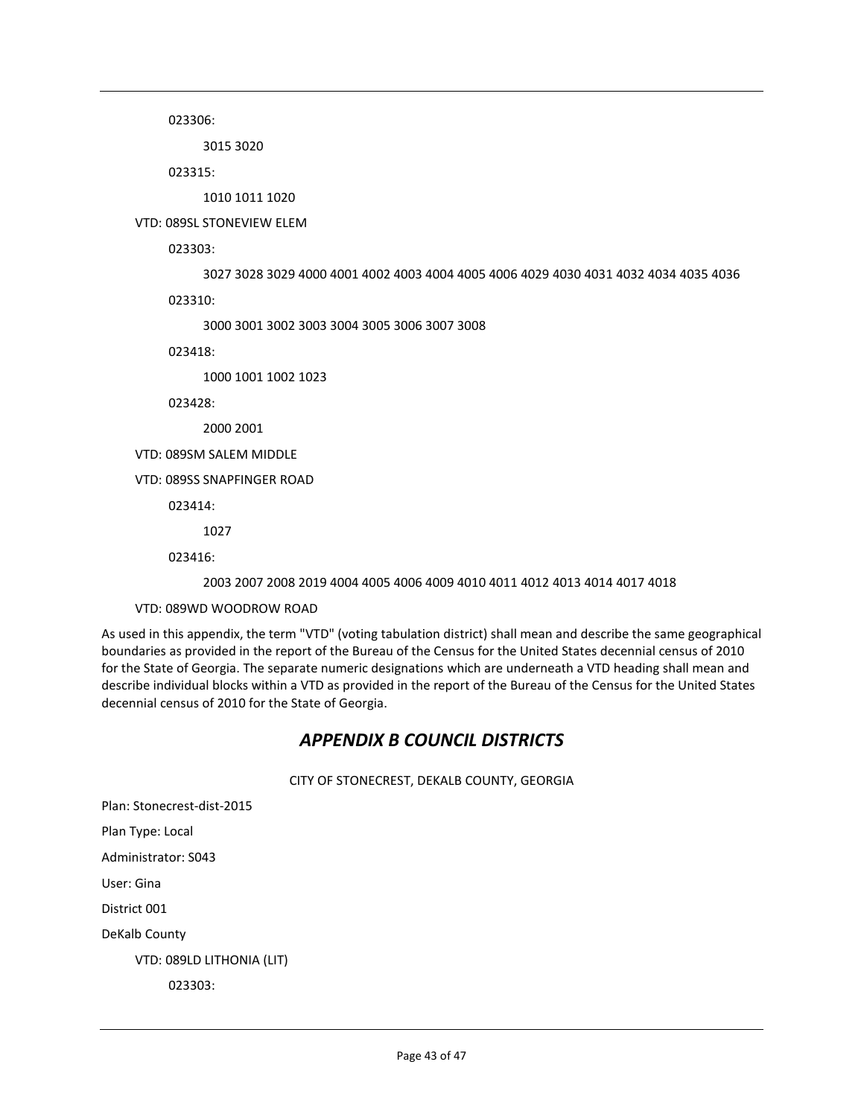023306:

3015 3020

023315:

1010 1011 1020

VTD: 089SL STONEVIEW ELEM

023303:

3027 3028 3029 4000 4001 4002 4003 4004 4005 4006 4029 4030 4031 4032 4034 4035 4036

023310:

3000 3001 3002 3003 3004 3005 3006 3007 3008

023418:

1000 1001 1002 1023

023428:

2000 2001

VTD: 089SM SALEM MIDDLE

VTD: 089SS SNAPFINGER ROAD

023414:

1027

023416:

2003 2007 2008 2019 4004 4005 4006 4009 4010 4011 4012 4013 4014 4017 4018

VTD: 089WD WOODROW ROAD

As used in this appendix, the term "VTD" (voting tabulation district) shall mean and describe the same geographical boundaries as provided in the report of the Bureau of the Census for the United States decennial census of 2010 for the State of Georgia. The separate numeric designations which are underneath a VTD heading shall mean and describe individual blocks within a VTD as provided in the report of the Bureau of the Census for the United States decennial census of 2010 for the State of Georgia.

## *APPENDIX B COUNCIL DISTRICTS*

CITY OF STONECREST, DEKALB COUNTY, GEORGIA

Plan: Stonecrest-dist-2015

Plan Type: Local

Administrator: S043

User: Gina

District 001

DeKalb County

VTD: 089LD LITHONIA (LIT)

023303: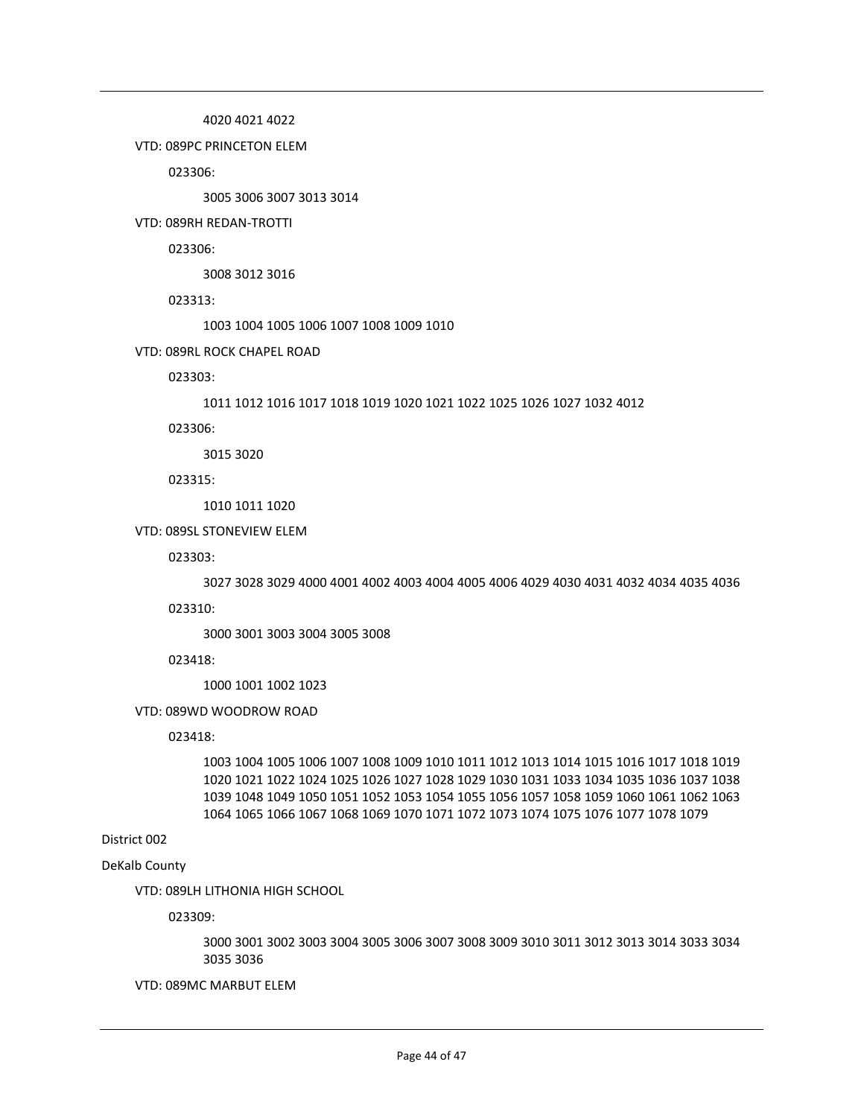4020 4021 4022

VTD: 089PC PRINCETON ELEM

023306:

3005 3006 3007 3013 3014

VTD: 089RH REDAN-TROTTI

023306:

3008 3012 3016

023313:

1003 1004 1005 1006 1007 1008 1009 1010

VTD: 089RL ROCK CHAPEL ROAD

023303:

1011 1012 1016 1017 1018 1019 1020 1021 1022 1025 1026 1027 1032 4012

023306:

3015 3020

023315:

1010 1011 1020

VTD: 089SL STONEVIEW ELEM

#### 023303:

3027 3028 3029 4000 4001 4002 4003 4004 4005 4006 4029 4030 4031 4032 4034 4035 4036

023310:

3000 3001 3003 3004 3005 3008

023418:

1000 1001 1002 1023

VTD: 089WD WOODROW ROAD

023418:

1003 1004 1005 1006 1007 1008 1009 1010 1011 1012 1013 1014 1015 1016 1017 1018 1019 1020 1021 1022 1024 1025 1026 1027 1028 1029 1030 1031 1033 1034 1035 1036 1037 1038 1039 1048 1049 1050 1051 1052 1053 1054 1055 1056 1057 1058 1059 1060 1061 1062 1063 1064 1065 1066 1067 1068 1069 1070 1071 1072 1073 1074 1075 1076 1077 1078 1079

#### District 002

DeKalb County

VTD: 089LH LITHONIA HIGH SCHOOL

023309:

3000 3001 3002 3003 3004 3005 3006 3007 3008 3009 3010 3011 3012 3013 3014 3033 3034 3035 3036

VTD: 089MC MARBUT ELEM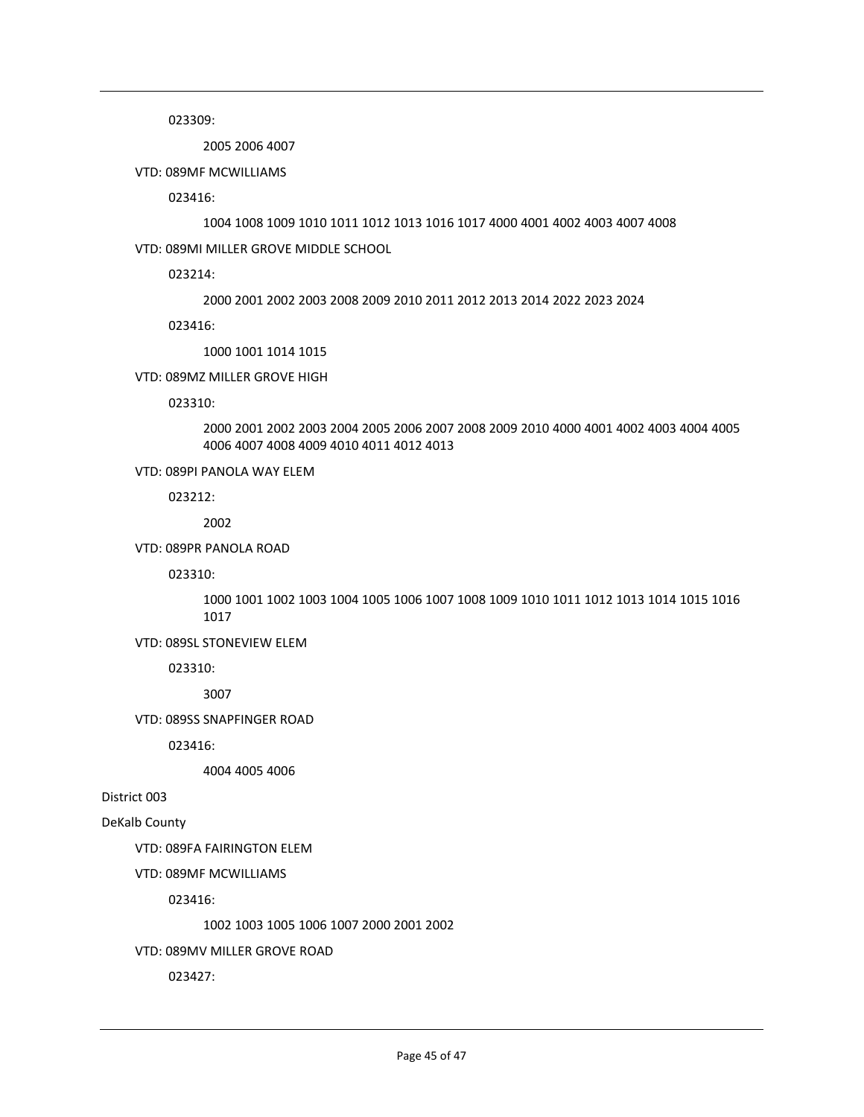023309:

2005 2006 4007

VTD: 089MF MCWILLIAMS

023416:

1004 1008 1009 1010 1011 1012 1013 1016 1017 4000 4001 4002 4003 4007 4008

VTD: 089MI MILLER GROVE MIDDLE SCHOOL

023214:

2000 2001 2002 2003 2008 2009 2010 2011 2012 2013 2014 2022 2023 2024

023416:

1000 1001 1014 1015

VTD: 089MZ MILLER GROVE HIGH

023310:

2000 2001 2002 2003 2004 2005 2006 2007 2008 2009 2010 4000 4001 4002 4003 4004 4005 4006 4007 4008 4009 4010 4011 4012 4013

VTD: 089PI PANOLA WAY ELEM

023212:

2002

VTD: 089PR PANOLA ROAD

023310:

1000 1001 1002 1003 1004 1005 1006 1007 1008 1009 1010 1011 1012 1013 1014 1015 1016 1017

VTD: 089SL STONEVIEW ELEM

023310:

3007

VTD: 089SS SNAPFINGER ROAD

023416:

4004 4005 4006

District 003

DeKalb County

VTD: 089FA FAIRINGTON ELEM

VTD: 089MF MCWILLIAMS

023416:

1002 1003 1005 1006 1007 2000 2001 2002

VTD: 089MV MILLER GROVE ROAD

023427: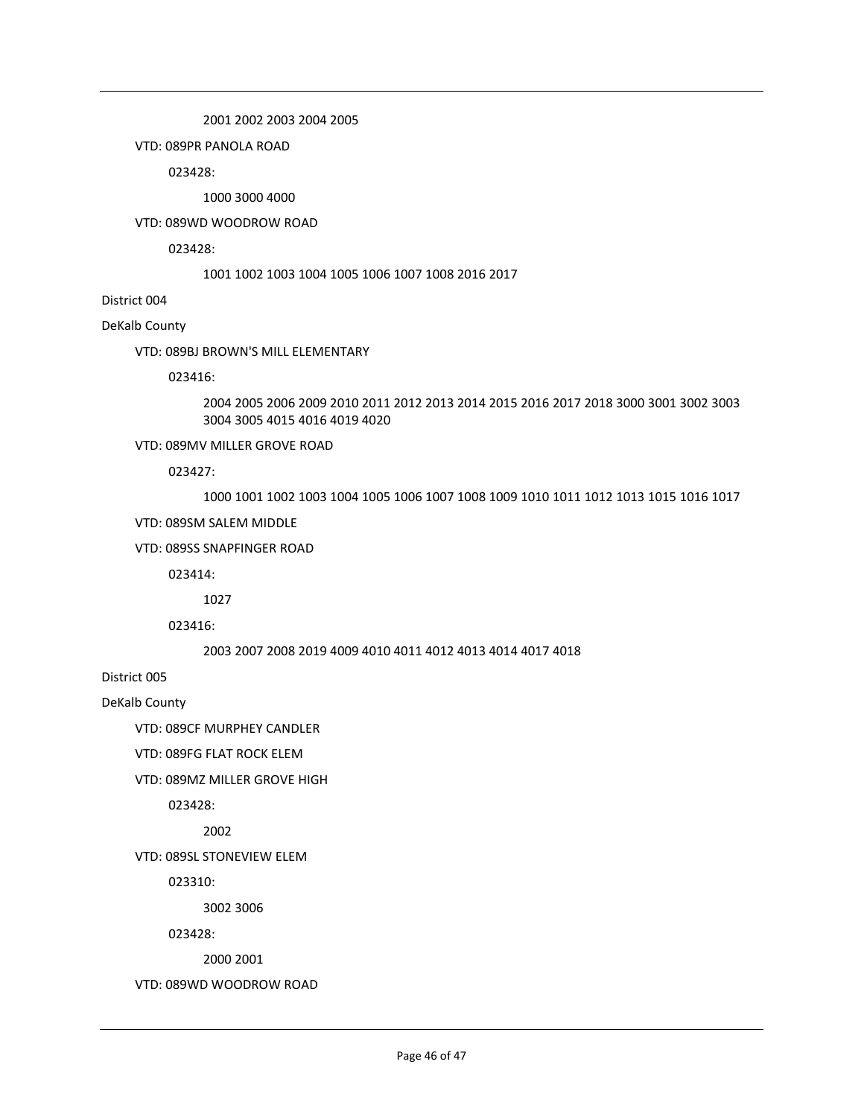2001 2002 2003 2004 2005

VTD: 089PR PANOLA ROAD

023428:

1000 3000 4000

VTD: 089WD WOODROW ROAD

023428:

1001 1002 1003 1004 1005 1006 1007 1008 2016 2017

District 004

DeKalb County

VTD: 089BJ BROWN'S MILL ELEMENTARY

023416:

2004 2005 2006 2009 2010 2011 2012 2013 2014 2015 2016 2017 2018 3000 3001 3002 3003 3004 3005 4015 4016 4019 4020

VTD: 089MV MILLER GROVE ROAD

023427:

1000 1001 1002 1003 1004 1005 1006 1007 1008 1009 1010 1011 1012 1013 1015 1016 1017

VTD: 089SM SALEM MIDDLE

VTD: 089SS SNAPFINGER ROAD

023414:

1027

023416:

2003 2007 2008 2019 4009 4010 4011 4012 4013 4014 4017 4018

District 005

DeKalb County

VTD: 089CF MURPHEY CANDLER

VTD: 089FG FLAT ROCK ELEM

VTD: 089MZ MILLER GROVE HIGH

023428:

2002

VTD: 089SL STONEVIEW ELEM

023310:

3002 3006

023428:

2000 2001

VTD: 089WD WOODROW ROAD